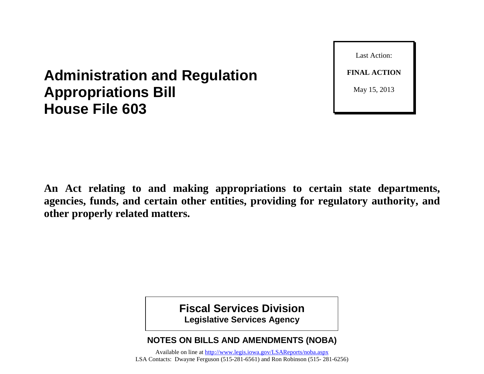Last Action: **FINAL ACTION** May 15, 2013

# **Administration and Regulation Appropriations Bill House File 603**

**An Act relating to and making appropriations to certain state departments, agencies, funds, and certain other entities, providing for regulatory authority, and other properly related matters.**

> **Fiscal Services Division Legislative Services Agency**

## **NOTES ON BILLS AND AMENDMENTS (NOBA)**

Available on line at<http://www.legis.iowa.gov/LSAReports/noba.aspx> LSA Contacts: Dwayne Ferguson (515-281-6561) and Ron Robinson (515- 281-6256)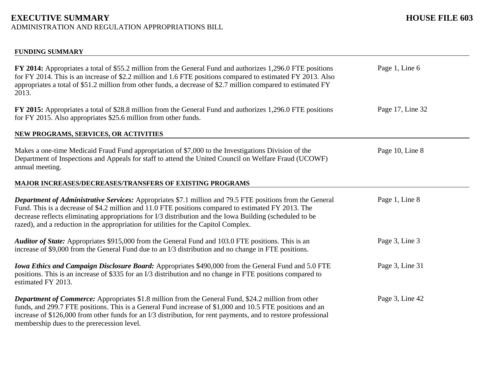# **EXECUTIVE SUMMARY HOUSE FILE 603**

ADMINISTRATION AND REGULATION APPROPRIATIONS BILL

| <b>FUNDING SUMMARY</b>                                                                                                                                                                                                                                                                                                                                                                                                     |                  |
|----------------------------------------------------------------------------------------------------------------------------------------------------------------------------------------------------------------------------------------------------------------------------------------------------------------------------------------------------------------------------------------------------------------------------|------------------|
| FY 2014: Appropriates a total of \$55.2 million from the General Fund and authorizes 1,296.0 FTE positions<br>for FY 2014. This is an increase of \$2.2 million and 1.6 FTE positions compared to estimated FY 2013. Also<br>appropriates a total of \$51.2 million from other funds, a decrease of \$2.7 million compared to estimated FY<br>2013.                                                                        | Page 1, Line 6   |
| FY 2015: Appropriates a total of \$28.8 million from the General Fund and authorizes 1,296.0 FTE positions<br>for FY 2015. Also appropriates \$25.6 million from other funds.                                                                                                                                                                                                                                              | Page 17, Line 32 |
| NEW PROGRAMS, SERVICES, OR ACTIVITIES                                                                                                                                                                                                                                                                                                                                                                                      |                  |
| Makes a one-time Medicaid Fraud Fund appropriation of \$7,000 to the Investigations Division of the<br>Department of Inspections and Appeals for staff to attend the United Council on Welfare Fraud (UCOWF)<br>annual meeting.                                                                                                                                                                                            | Page 10, Line 8  |
| <b>MAJOR INCREASES/DECREASES/TRANSFERS OF EXISTING PROGRAMS</b>                                                                                                                                                                                                                                                                                                                                                            |                  |
| <b>Department of Administrative Services:</b> Appropriates \$7.1 million and 79.5 FTE positions from the General<br>Fund. This is a decrease of \$4.2 million and 11.0 FTE positions compared to estimated FY 2013. The<br>decrease reflects eliminating appropriations for I/3 distribution and the Iowa Building (scheduled to be<br>razed), and a reduction in the appropriation for utilities for the Capitol Complex. | Page 1, Line 8   |
| Auditor of State: Appropriates \$915,000 from the General Fund and 103.0 FTE positions. This is an<br>increase of \$9,000 from the General Fund due to an I/3 distribution and no change in FTE positions.                                                                                                                                                                                                                 | Page 3, Line 3   |
| <b>Iowa Ethics and Campaign Disclosure Board:</b> Appropriates \$490,000 from the General Fund and 5.0 FTE<br>positions. This is an increase of \$335 for an I/3 distribution and no change in FTE positions compared to<br>estimated FY 2013.                                                                                                                                                                             | Page 3, Line 31  |
| <b>Department of Commerce:</b> Appropriates \$1.8 million from the General Fund, \$24.2 million from other<br>funds, and 299.7 FTE positions. This is a General Fund increase of \$1,000 and 10.5 FTE positions and an<br>increase of \$126,000 from other funds for an I/3 distribution, for rent payments, and to restore professional<br>membership dues to the prerecession level.                                     | Page 3, Line 42  |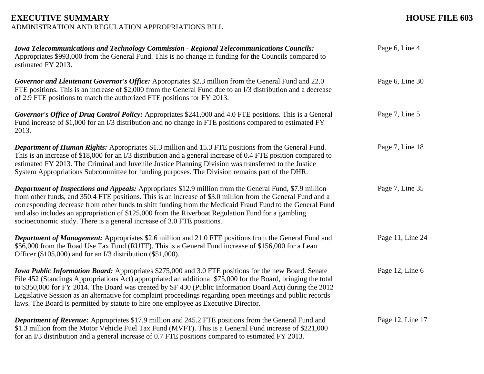| <b>Iowa Telecommunications and Technology Commission - Regional Telecommunications Councils:</b><br>Appropriates \$993,000 from the General Fund. This is no change in funding for the Councils compared to<br>estimated FY 2013.                                                                                                                                                                                                                                                                                                              | Page 6, Line 4   |
|------------------------------------------------------------------------------------------------------------------------------------------------------------------------------------------------------------------------------------------------------------------------------------------------------------------------------------------------------------------------------------------------------------------------------------------------------------------------------------------------------------------------------------------------|------------------|
| Governor and Lieutenant Governor's Office: Appropriates \$2.3 million from the General Fund and 22.0<br>FTE positions. This is an increase of \$2,000 from the General Fund due to an I/3 distribution and a decrease<br>of 2.9 FTE positions to match the authorized FTE positions for FY 2013.                                                                                                                                                                                                                                               | Page 6, Line 30  |
| Governor's Office of Drug Control Policy: Appropriates \$241,000 and 4.0 FTE positions. This is a General<br>Fund increase of \$1,000 for an I/3 distribution and no change in FTE positions compared to estimated FY<br>2013.                                                                                                                                                                                                                                                                                                                 | Page 7, Line 5   |
| <b>Department of Human Rights:</b> Appropriates \$1.3 million and 15.3 FTE positions from the General Fund.<br>This is an increase of \$18,000 for an I/3 distribution and a general increase of 0.4 FTE position compared to<br>estimated FY 2013. The Criminal and Juvenile Justice Planning Division was transferred to the Justice<br>System Appropriations Subcommittee for funding purposes. The Division remains part of the DHR.                                                                                                       | Page 7, Line 18  |
| <b>Department of Inspections and Appeals:</b> Appropriates \$12.9 million from the General Fund, \$7.9 million<br>from other funds, and 350.4 FTE positions. This is an increase of \$3.0 million from the General Fund and a<br>corresponding decrease from other funds to shift funding from the Medicaid Fraud Fund to the General Fund<br>and also includes an appropriation of \$125,000 from the Riverboat Regulation Fund for a gambling<br>socioeconomic study. There is a general increase of 3.0 FTE positions.                      | Page 7, Line 35  |
| <b>Department of Management:</b> Appropriates \$2.6 million and 21.0 FTE positions from the General Fund and<br>\$56,000 from the Road Use Tax Fund (RUTF). This is a General Fund increase of \$156,000 for a Lean<br>Officer $(\$105,000)$ and for an I/3 distribution $(\$51,000)$ .                                                                                                                                                                                                                                                        | Page 11, Line 24 |
| <b>Iowa Public Information Board:</b> Appropriates \$275,000 and 3.0 FTE positions for the new Board. Senate<br>File 452 (Standings Appropriations Act) appropriated an additional \$75,000 for the Board, bringing the total<br>to \$350,000 for FY 2014. The Board was created by SF 430 (Public Information Board Act) during the 2012<br>Legislative Session as an alternative for complaint proceedings regarding open meetings and public records<br>laws. The Board is permitted by statute to hire one employee as Executive Director. | Page 12, Line 6  |
| Department of Revenue: Appropriates \$17.9 million and 245.2 FTE positions from the General Fund and<br>\$1.3 million from the Motor Vehicle Fuel Tax Fund (MVFT). This is a General Fund increase of \$221,000<br>for an I/3 distribution and a general increase of 0.7 FTE positions compared to estimated FY 2013.                                                                                                                                                                                                                          | Page 12, Line 17 |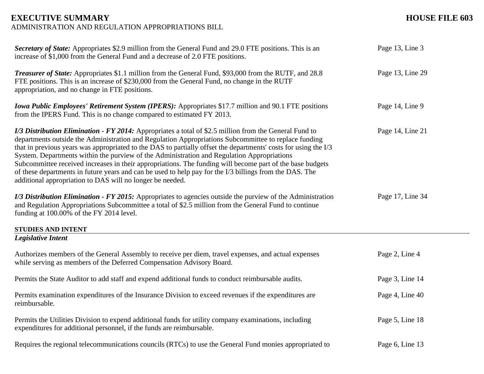#### **EXECUTIVE SUMMARY HOUSE FILE 603** ADMINISTRATION AND REGULATION APPROPRIATIONS BILL

| Secretary of State: Appropriates \$2.9 million from the General Fund and 29.0 FTE positions. This is an<br>increase of \$1,000 from the General Fund and a decrease of 2.0 FTE positions.                                                                                                                                                                                                                                                                                                                                                                                                                                                                                                                                   | Page 13, Line 3  |
|-----------------------------------------------------------------------------------------------------------------------------------------------------------------------------------------------------------------------------------------------------------------------------------------------------------------------------------------------------------------------------------------------------------------------------------------------------------------------------------------------------------------------------------------------------------------------------------------------------------------------------------------------------------------------------------------------------------------------------|------------------|
| <b>Treasurer of State:</b> Appropriates \$1.1 million from the General Fund, \$93,000 from the RUTF, and 28.8<br>FTE positions. This is an increase of \$230,000 from the General Fund, no change in the RUTF<br>appropriation, and no change in FTE positions.                                                                                                                                                                                                                                                                                                                                                                                                                                                             | Page 13, Line 29 |
| <b>Iowa Public Employees' Retirement System (IPERS):</b> Appropriates \$17.7 million and 90.1 FTE positions<br>from the IPERS Fund. This is no change compared to estimated FY 2013.                                                                                                                                                                                                                                                                                                                                                                                                                                                                                                                                        | Page 14, Line 9  |
| <i>I/3 Distribution Elimination - FY 2014:</i> Appropriates a total of \$2.5 million from the General Fund to<br>departments outside the Administration and Regulation Appropriations Subcommittee to replace funding<br>that in previous years was appropriated to the DAS to partially offset the departments' costs for using the I/3<br>System. Departments within the purview of the Administration and Regulation Appropriations<br>Subcommittee received increases in their appropriations. The funding will become part of the base budgets<br>of these departments in future years and can be used to help pay for the I/3 billings from the DAS. The<br>additional appropriation to DAS will no longer be needed. | Page 14, Line 21 |
| I/3 Distribution Elimination - FY 2015: Appropriates to agencies outside the purview of the Administration<br>and Regulation Appropriations Subcommittee a total of \$2.5 million from the General Fund to continue<br>funding at 100.00% of the FY 2014 level.                                                                                                                                                                                                                                                                                                                                                                                                                                                             | Page 17, Line 34 |
| <b>STUDIES AND INTENT</b><br><b>Legislative Intent</b>                                                                                                                                                                                                                                                                                                                                                                                                                                                                                                                                                                                                                                                                      |                  |
|                                                                                                                                                                                                                                                                                                                                                                                                                                                                                                                                                                                                                                                                                                                             |                  |
| Authorizes members of the General Assembly to receive per diem, travel expenses, and actual expenses<br>while serving as members of the Deferred Compensation Advisory Board.                                                                                                                                                                                                                                                                                                                                                                                                                                                                                                                                               | Page 2, Line 4   |
| Permits the State Auditor to add staff and expend additional funds to conduct reimbursable audits.                                                                                                                                                                                                                                                                                                                                                                                                                                                                                                                                                                                                                          | Page 3, Line 14  |
| Permits examination expenditures of the Insurance Division to exceed revenues if the expenditures are<br>reimbursable.                                                                                                                                                                                                                                                                                                                                                                                                                                                                                                                                                                                                      | Page 4, Line 40  |
| Permits the Utilities Division to expend additional funds for utility company examinations, including<br>expenditures for additional personnel, if the funds are reimbursable.                                                                                                                                                                                                                                                                                                                                                                                                                                                                                                                                              | Page 5, Line 18  |
| Requires the regional telecommunications councils (RTCs) to use the General Fund monies appropriated to                                                                                                                                                                                                                                                                                                                                                                                                                                                                                                                                                                                                                     | Page 6, Line 13  |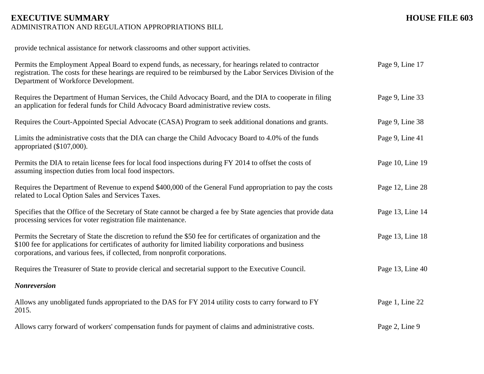# **EXECUTIVE SUMMARY HOUSE FILE 603**

ADMINISTRATION AND REGULATION APPROPRIATIONS BILL

provide technical assistance for network classrooms and other support activities.

| Permits the Employment Appeal Board to expend funds, as necessary, for hearings related to contractor<br>registration. The costs for these hearings are required to be reimbursed by the Labor Services Division of the<br>Department of Workforce Development.                                         | Page 9, Line 17  |
|---------------------------------------------------------------------------------------------------------------------------------------------------------------------------------------------------------------------------------------------------------------------------------------------------------|------------------|
| Requires the Department of Human Services, the Child Advocacy Board, and the DIA to cooperate in filing<br>an application for federal funds for Child Advocacy Board administrative review costs.                                                                                                       | Page 9, Line 33  |
| Requires the Court-Appointed Special Advocate (CASA) Program to seek additional donations and grants.                                                                                                                                                                                                   | Page 9, Line 38  |
| Limits the administrative costs that the DIA can charge the Child Advocacy Board to 4.0% of the funds<br>appropriated (\$107,000).                                                                                                                                                                      | Page 9, Line 41  |
| Permits the DIA to retain license fees for local food inspections during FY 2014 to offset the costs of<br>assuming inspection duties from local food inspectors.                                                                                                                                       | Page 10, Line 19 |
| Requires the Department of Revenue to expend \$400,000 of the General Fund appropriation to pay the costs<br>related to Local Option Sales and Services Taxes.                                                                                                                                          | Page 12, Line 28 |
| Specifies that the Office of the Secretary of State cannot be charged a fee by State agencies that provide data<br>processing services for voter registration file maintenance.                                                                                                                         | Page 13, Line 14 |
| Permits the Secretary of State the discretion to refund the \$50 fee for certificates of organization and the<br>\$100 fee for applications for certificates of authority for limited liability corporations and business<br>corporations, and various fees, if collected, from nonprofit corporations. | Page 13, Line 18 |
| Requires the Treasurer of State to provide clerical and secretarial support to the Executive Council.                                                                                                                                                                                                   | Page 13, Line 40 |
| <b>Nonreversion</b>                                                                                                                                                                                                                                                                                     |                  |
| Allows any unobligated funds appropriated to the DAS for FY 2014 utility costs to carry forward to FY<br>2015.                                                                                                                                                                                          | Page 1, Line 22  |
| Allows carry forward of workers' compensation funds for payment of claims and administrative costs.                                                                                                                                                                                                     | Page 2, Line 9   |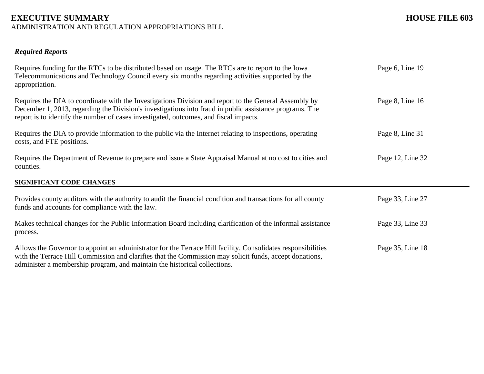### **EXECUTIVE SUMMARY HOUSE FILE 603** ADMINISTRATION AND REGULATION APPROPRIATIONS BILL

### *Required Reports*

| Requires funding for the RTCs to be distributed based on usage. The RTCs are to report to the Iowa<br>Telecommunications and Technology Council every six months regarding activities supported by the<br>appropriation.                                                                                  | Page 6, Line 19  |
|-----------------------------------------------------------------------------------------------------------------------------------------------------------------------------------------------------------------------------------------------------------------------------------------------------------|------------------|
| Requires the DIA to coordinate with the Investigations Division and report to the General Assembly by<br>December 1, 2013, regarding the Division's investigations into fraud in public assistance programs. The<br>report is to identify the number of cases investigated, outcomes, and fiscal impacts. | Page 8, Line 16  |
| Requires the DIA to provide information to the public via the Internet relating to inspections, operating<br>costs, and FTE positions.                                                                                                                                                                    | Page 8, Line 31  |
| Requires the Department of Revenue to prepare and issue a State Appraisal Manual at no cost to cities and<br>counties.                                                                                                                                                                                    | Page 12, Line 32 |
| SIGNIFICANT CODE CHANGES                                                                                                                                                                                                                                                                                  |                  |
| Provides county auditors with the authority to audit the financial condition and transactions for all county<br>funds and accounts for compliance with the law.                                                                                                                                           | Page 33, Line 27 |
| Makes technical changes for the Public Information Board including clarification of the informal assistance<br>process.                                                                                                                                                                                   | Page 33, Line 33 |
| Allows the Governor to appoint an administrator for the Terrace Hill facility. Consolidates responsibilities<br>with the Terrace Hill Commission and clarifies that the Commission may solicit funds, accept donations,<br>administer a membership program, and maintain the historical collections.      | Page 35, Line 18 |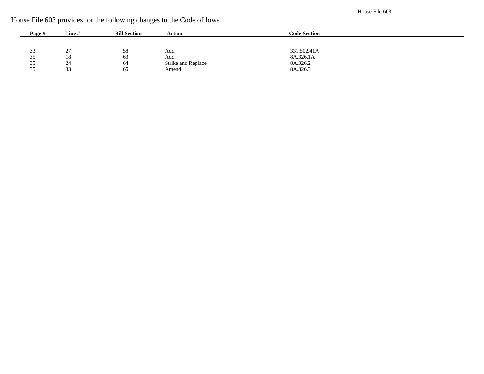House File 603

|  |  |  |  |  | House File 603 provides for the following changes to the Code of Iowa. |  |
|--|--|--|--|--|------------------------------------------------------------------------|--|
|  |  |  |  |  |                                                                        |  |

| Page # | Line#     | <b>Bill Section</b> | Action             | <b>Code Section</b> |  |
|--------|-----------|---------------------|--------------------|---------------------|--|
|        |           |                     |                    |                     |  |
| 33     | 27<br>ا ت | 58                  | Add                | 331.502.41A         |  |
| 35     | 18        | 63                  | Add                | 8A.326.1A           |  |
| 35     | 24        | 64                  | Strike and Replace | 8A.326.2            |  |
| 35     | 33        | 65                  | Amend              | 8A.326.3            |  |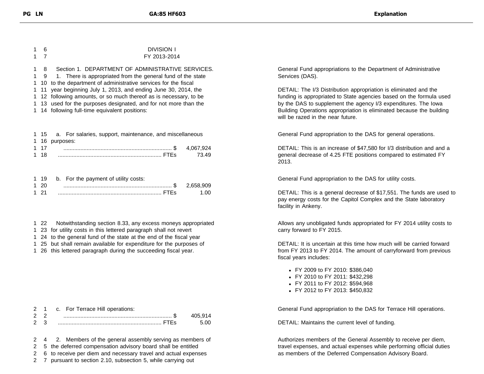| 1. | 6           | <b>DIVISION I</b>                                                 |
|----|-------------|-------------------------------------------------------------------|
|    | $1 \quad 7$ | FY 2013-2014                                                      |
| 1. | 8           | Section 1. DEPARTMENT OF ADMINISTRATIVE SERVICES.                 |
|    |             | 1 9 1. There is appropriated from the general fund of the state   |
|    |             | 1 10 to the department of administrative services for the fiscal  |
|    |             | 1 11 year beginning July 1, 2013, and ending June 30, 2014, the   |
|    |             | 1 12 following amounts, or so much thereof as is necessary, to be |
|    |             | 1 13 used for the purposes designated, and for not more than the  |
|    |             | 1 14 following full-time equivalent positions:                    |
|    |             |                                                                   |

|      | 1 15 a. For salaries, support, maintenance, and miscellaneous |       |
|------|---------------------------------------------------------------|-------|
|      | 1 16 purposes:                                                |       |
| 1 17 |                                                               |       |
| 1 18 |                                                               | 73.49 |
|      |                                                               |       |

|      | 1 19 b. For the payment of utility costs: |       |
|------|-------------------------------------------|-------|
| 1 20 | $\cdots$ 2,658,909                        |       |
| 1 21 |                                           | 1 Q Q |

- 1 22 Notwithstanding section 8.33, any excess moneys appropriated
- 1 23 for utility costs in this lettered paragraph shall not revert
- 1 24 to the general fund of the state at the end of the fiscal year
- 1 25 but shall remain available for expenditure for the purposes of
- 1 26 this lettered paragraph during the succeeding fiscal year.

| $2^{\circ}$    | c. For Terrace Hill operations: |         |
|----------------|---------------------------------|---------|
| 2 <sup>2</sup> |                                 | 405.914 |
| 2 3            |                                 |         |

2 4 2. Members of the general assembly serving as members of

2 5 the deferred compensation advisory board shall be entitled

2 6 to receive per diem and necessary travel and actual expenses

2 7 pursuant to section 2.10, subsection 5, while carrying out

General Fund appropriations to the Department of Administrative Services (DAS).

DETAIL: The I/3 Distribution appropriation is eliminated and the funding is appropriated to State agencies based on the formula used by the DAS to supplement the agency I/3 expenditures. The Iowa Building Operations appropriation is eliminated because the building will be razed in the near future.

General Fund appropriation to the DAS for general operations.

DETAIL: This is an increase of \$47,580 for I/3 distribution and and a general decrease of 4.25 FTE positions compared to estimated FY 2013.

General Fund appropriation to the DAS for utility costs.

DETAIL: This is a general decrease of \$17,551. The funds are used to pay energy costs for the Capitol Complex and the State laboratory facility in Ankeny.

Allows any unobligated funds appropriated for FY 2014 utility costs to carry forward to FY 2015.

DETAIL: It is uncertain at this time how much will be carried forward from FY 2013 to FY 2014. The amount of carryforward from previous fiscal years includes:

- FY 2009 to FY 2010: \$386,040
- FY 2010 to FY 2011: \$432,298
- FY 2011 to FY 2012: \$594,968
- FY 2012 to FY 2013: \$450,832

General Fund appropriation to the DAS for Terrace Hill operations.

DETAIL: Maintains the current level of funding.

Authorizes members of the General Assembly to receive per diem, travel expenses, and actual expenses while performing official duties as members of the Deferred Compensation Advisory Board.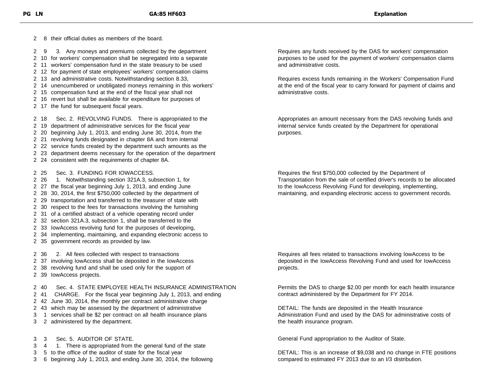8 their official duties as members of the board.

9 3. Any moneys and premiums collected by the department

10 for workers' compensation shall be segregated into a separate

11 workers' compensation fund in the state treasury to be used

12 for payment of state employees' workers' compensation claims

- 13 and administrative costs. Notwithstanding section 8.33,
- 14 unencumbered or unobligated moneys remaining in this workers'
- 15 compensation fund at the end of the fiscal year shall not
- 16 revert but shall be available for expenditure for purposes of
- 17 the fund for subsequent fiscal years.

18 Sec. 2. REVOLVING FUNDS. There is appropriated to the

- 19 department of administrative services for the fiscal year
- 20 beginning July 1, 2013, and ending June 30, 2014, from the
- 21 revolving funds designated in chapter 8A and from internal
- 22 service funds created by the department such amounts as the
- 23 department deems necessary for the operation of the department
- 24 consistent with the requirements of chapter 8A.
- 25 Sec. 3. FUNDING FOR IOWACCESS.
- 26 1. Notwithstanding section 321A.3, subsection 1, for 27 the fiscal year beginning July 1, 2013, and ending June 28 30, 2014, the first \$750,000 collected by the department of 29 transportation and transferred to the treasurer of state with 30 respect to the fees for transactions involving the furnishing 31 of a certified abstract of a vehicle operating record under 32 section 321A.3, subsection 1, shall be transferred to the 33 IowAccess revolving fund for the purposes of developing, 34 implementing, maintaining, and expanding electronic access to 35 government records as provided by law.

36 2. All fees collected with respect to transactions

- 37 involving IowAccess shall be deposited in the IowAccess
- 38 revolving fund and shall be used only for the support of
- 39 IowAccess projects.

40 Sec. 4. STATE EMPLOYEE HEALTH INSURANCE ADMINISTRATION

- 41 CHARGE. For the fiscal year beginning July 1, 2013, and ending
- 42 June 30, 2014, the monthly per contract administrative charge
- 43 which may be assessed by the department of administrative
- 1 services shall be \$2 per contract on all health insurance plans
- 2 administered by the department.
- 3 Sec. 5. AUDITOR OF STATE.
- 4 1. There is appropriated from the general fund of the state
- 5 to the office of the auditor of state for the fiscal year
- 6 beginning July 1, 2013, and ending June 30, 2014, the following

Requires any funds received by the DAS for workers' compensation purposes to be used for the payment of workers' compensation claims and administrative costs.

Requires excess funds remaining in the Workers' Compensation Fund at the end of the fiscal year to carry forward for payment of claims and administrative costs.

Appropriates an amount necessary from the DAS revolving funds and internal service funds created by the Department for operational purposes.

Requires the first \$750,000 collected by the Department of Transportation from the sale of certified driver's records to be allocated to the IowAccess Revolving Fund for developing, implementing, maintaining, and expanding electronic access to government records.

Requires all fees related to transactions involving IowAccess to be deposited in the IowAccess Revolving Fund and used for IowAccess projects.

Permits the DAS to charge \$2.00 per month for each health insurance contract administered by the Department for FY 2014.

DETAIL: The funds are deposited in the Health Insurance Administration Fund and used by the DAS for administrative costs of the health insurance program.

General Fund appropriation to the Auditor of State.

DETAIL: This is an increase of \$9,038 and no change in FTE positions compared to estimated FY 2013 due to an I/3 distribution.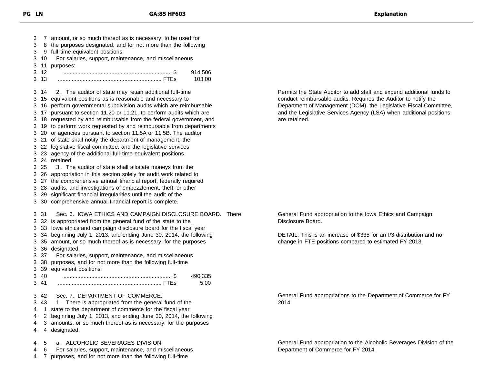7 amount, or so much thereof as is necessary, to be used for 8 the purposes designated, and for not more than the following 9 full-time equivalent positions: 10 For salaries, support, maintenance, and miscellaneous 11 purposes: 12 ...................................................................... \$ 914,506 13 ................................................................... FTEs 103.00 14 2. The auditor of state may retain additional full-time 15 equivalent positions as is reasonable and necessary to 16 perform governmental subdivision audits which are reimbursable 17 pursuant to section 11.20 or 11.21, to perform audits which are 18 requested by and reimbursable from the federal government, and 19 to perform work requested by and reimbursable from departments 20 or agencies pursuant to section 11.5A or 11.5B. The auditor 21 of state shall notify the department of management, the 22 legislative fiscal committee, and the legislative services 23 agency of the additional full-time equivalent positions 24 retained. 25 3. The auditor of state shall allocate moneys from the 26 appropriation in this section solely for audit work related to 27 the comprehensive annual financial report, federally required 28 audits, and investigations of embezzlement, theft, or other 29 significant financial irregularities until the audit of the 30 comprehensive annual financial report is complete. 31 Sec. 6. IOWA ETHICS AND CAMPAIGN DISCLOSURE BOARD. There 32 is appropriated from the general fund of the state to the 33 Iowa ethics and campaign disclosure board for the fiscal year 34 beginning July 1, 2013, and ending June 30, 2014, the following 35 amount, or so much thereof as is necessary, for the purposes 36 designated: 37 For salaries, support, maintenance, and miscellaneous 38 purposes, and for not more than the following full-time 39 equivalent positions: 40 ...................................................................... \$ 490,335 41 ................................................................... FTEs 5.00 42 Sec. 7. DEPARTMENT OF COMMERCE. 43 1. There is appropriated from the general fund of the 1 state to the department of commerce for the fiscal year 2 beginning July 1, 2013, and ending June 30, 2014, the following 3 amounts, or so much thereof as is necessary, for the purposes 4 designated: 5 a. ALCOHOLIC BEVERAGES DIVISION 6 For salaries, support, maintenance, and miscellaneous

7 purposes, and for not more than the following full-time

Permits the State Auditor to add staff and expend additional funds to conduct reimbursable audits. Requires the Auditor to notify the Department of Management (DOM), the Legislative Fiscal Committee, and the Legislative Services Agency (LSA) when additional positions are retained.

General Fund appropriation to the Iowa Ethics and Campaign Disclosure Board.

DETAIL: This is an increase of \$335 for an I/3 distribution and no change in FTE positions compared to estimated FY 2013.

General Fund appropriations to the Department of Commerce for FY 2014.

General Fund appropriation to the Alcoholic Beverages Division of the Department of Commerce for FY 2014.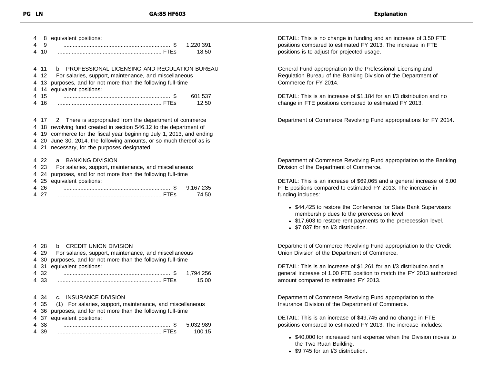| 4              | 8     | equivalent positions:                                              |  |
|----------------|-------|--------------------------------------------------------------------|--|
| 4              | 9     | 1,220,391                                                          |  |
| 4              | 10    | 18.50                                                              |  |
|                |       |                                                                    |  |
|                | 4 11  | b. PROFESSIONAL LICENSING AND REGULATION BUREAU                    |  |
|                | 4 12  | For salaries, support, maintenance, and miscellaneous              |  |
| 4              | 13    | purposes, and for not more than the following full-time            |  |
| $\overline{4}$ | 14    | equivalent positions:                                              |  |
| 4              | 15    | 601,537                                                            |  |
| 4              | 16    | 12.50                                                              |  |
|                |       |                                                                    |  |
|                |       | 4 17 2. There is appropriated from the department of commerce      |  |
| 4              |       | 18 revolving fund created in section 546.12 to the department of   |  |
| 4              |       | 19 commerce for the fiscal year beginning July 1, 2013, and ending |  |
| 4              |       | 20 June 30, 2014, the following amounts, or so much thereof as is  |  |
| 4              |       | 21 necessary, for the purposes designated:                         |  |
|                |       |                                                                    |  |
| 4              | 22    | a. BANKING DIVISION                                                |  |
| 4              | -23   | For salaries, support, maintenance, and miscellaneous              |  |
|                | 4 24  | purposes, and for not more than the following full-time            |  |
|                | 4 25  | equivalent positions:                                              |  |
|                | 4 2 6 | 9,167,235                                                          |  |
|                | 4 27  | 74.50                                                              |  |

|   | 4 28 | b. CREDIT UNION DIVISION                                  |           |  |
|---|------|-----------------------------------------------------------|-----------|--|
| 4 | -29  | For salaries, support, maintenance, and miscellaneous     |           |  |
|   | 4 30 | purposes, and for not more than the following full-time   |           |  |
|   | 4 31 | equivalent positions:                                     |           |  |
|   | 4 32 |                                                           | 1,794,256 |  |
|   | 4 33 |                                                           | 15.00     |  |
|   |      |                                                           |           |  |
|   |      | 4 34 C. INSURANCE DIVISION                                |           |  |
|   | 4 35 | (1) For salaries, support, maintenance, and miscellaneous |           |  |
|   | 4 36 | purposes, and for not more than the following full-time   |           |  |
|   | 4 37 | equivalent positions:                                     |           |  |
| 4 | -38  |                                                           | 5,032,989 |  |
| 4 | 39   |                                                           | 100.15    |  |

DETAIL: This is no change in funding and an increase of 3.50 FTE positions compared to estimated FY 2013. The increase in FTE positions is to adjust for projected usage.

General Fund appropriation to the Professional Licensing and Regulation Bureau of the Banking Division of the Department of Commerce for FY 2014.

DETAIL: This is an increase of \$1,184 for an I/3 distribution and no change in FTE positions compared to estimated FY 2013.

Department of Commerce Revolving Fund appropriations for FY 2014.

Department of Commerce Revolving Fund appropriation to the Banking Division of the Department of Commerce.

DETAIL: This is an increase of \$69,065 and a general increase of 6.00 FTE positions compared to estimated FY 2013. The increase in funding includes:

- \$44,425 to restore the Conference for State Bank Supervisors membership dues to the prerecession level.
- \$17,603 to restore rent payments to the prerecession level.
- \$7,037 for an I/3 distribution.

Department of Commerce Revolving Fund appropriation to the Credit Union Division of the Department of Commerce.

DETAIL: This is an increase of \$1,261 for an I/3 distribution and a general increase of 1.00 FTE position to match the FY 2013 authorized amount compared to estimated FY 2013.

Department of Commerce Revolving Fund appropriation to the Insurance Division of the Department of Commerce.

DETAIL: This is an increase of \$49,745 and no change in FTE positions compared to estimated FY 2013. The increase includes:

- \$40,000 for increased rent expense when the Division moves to the Two Ruan Building.
- \$9,745 for an I/3 distribution.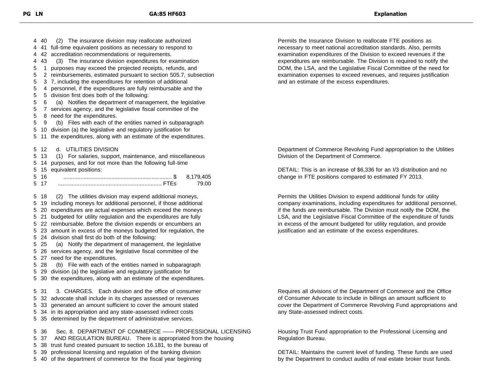40 (2) The insurance division may reallocate authorized 41 full-time equivalent positions as necessary to respond to 42 accreditation recommendations or requirements. 43 (3) The insurance division expenditures for examination 1 purposes may exceed the projected receipts, refunds, and 2 reimbursements, estimated pursuant to section 505.7, subsection 3 7, including the expenditures for retention of additional 4 personnel, if the expenditures are fully reimbursable and the 5 division first does both of the following: 6 (a) Notifies the department of management, the legislative 7 services agency, and the legislative fiscal committee of the 8 need for the expenditures. 9 (b) Files with each of the entities named in subparagraph 10 division (a) the legislative and regulatory justification for 11 the expenditures, along with an estimate of the expenditures. 12 d. UTILITIES DIVISION 13 (1) For salaries, support, maintenance, and miscellaneous 14 purposes, and for not more than the following full-time 15 equivalent positions: 16 ...................................................................... \$ 8,179,405 17 ................................................................... FTEs 79.00 18 (2) The utilities division may expend additional moneys, 19 including moneys for additional personnel, if those additional 20 expenditures are actual expenses which exceed the moneys 21 budgeted for utility regulation and the expenditures are fully 22 reimbursable. Before the division expends or encumbers an 23 amount in excess of the moneys budgeted for regulation, the 24 division shall first do both of the following: 25 (a) Notify the department of management, the legislative 26 services agency, and the legislative fiscal committee of the 27 need for the expenditures. 28 (b) File with each of the entities named in subparagraph 29 division (a) the legislative and regulatory justification for 30 the expenditures, along with an estimate of the expenditures. 31 3. CHARGES. Each division and the office of consumer 32 advocate shall include in its charges assessed or revenues 33 generated an amount sufficient to cover the amount stated 34 in its appropriation and any state-assessed indirect costs 35 determined by the department of administrative services. 36 Sec. 8. DEPARTMENT OF COMMERCE —— PROFESSIONAL LICENSING 37 AND REGULATION BUREAU. There is appropriated from the housing 38 trust fund created pursuant to section 16.181, to the bureau of 39 professional licensing and regulation of the banking division

40 of the department of commerce for the fiscal year beginning

Permits the Insurance Division to reallocate FTE positions as necessary to meet national accreditation standards. Also, permits examination expenditures of the Division to exceed revenues if the expenditures are reimbursable. The Division is required to notify the DOM, the LSA, and the Legislative Fiscal Committee of the need for examination expenses to exceed revenues, and requires justification and an estimate of the excess expenditures.

Department of Commerce Revolving Fund appropriation to the Utilities Division of the Department of Commerce.

DETAIL: This is an increase of \$6,336 for an I/3 distribution and no change in FTE positions compared to estimated FY 2013.

Permits the Utilities Division to expend additional funds for utility company examinations, including expenditures for additional personnel, if the funds are reimbursable. The Division must notify the DOM, the LSA, and the Legislative Fiscal Committee of the expenditure of funds in excess of the amount budgeted for utility regulation, and provide justification and an estimate of the excess expenditures.

Requires all divisions of the Department of Commerce and the Office of Consumer Advocate to include in billings an amount sufficient to cover the Department of Commerce Revolving Fund appropriations and any State-assessed indirect costs.

Housing Trust Fund appropriation to the Professional Licensing and Regulation Bureau.

DETAIL: Maintains the current level of funding. These funds are used by the Department to conduct audits of real estate broker trust funds.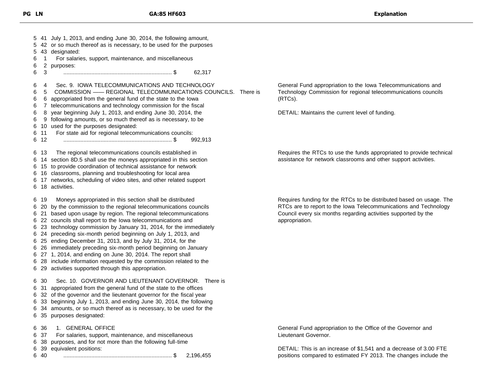41 July 1, 2013, and ending June 30, 2014, the following amount, 42 or so much thereof as is necessary, to be used for the purposes 43 designated: 1 For salaries, support, maintenance, and miscellaneous 2 purposes: 3 ...................................................................... \$ 62,317 4 Sec. 9. IOWA TELECOMMUNICATIONS AND TECHNOLOGY 5 COMMISSION —— REGIONAL TELECOMMUNICATIONS COUNCILS. There is 6 appropriated from the general fund of the state to the Iowa 7 telecommunications and technology commission for the fiscal 8 year beginning July 1, 2013, and ending June 30, 2014, the 9 following amounts, or so much thereof as is necessary, to be 10 used for the purposes designated: 11 For state aid for regional telecommunications councils: 12 ...................................................................... \$ 992,913 13 The regional telecommunications councils established in 14 section 8D.5 shall use the moneys appropriated in this section 15 to provide coordination of technical assistance for network 16 classrooms, planning and troubleshooting for local area 17 networks, scheduling of video sites, and other related support 18 activities. 19 Moneys appropriated in this section shall be distributed 20 by the commission to the regional telecommunications councils 21 based upon usage by region. The regional telecommunications 22 councils shall report to the Iowa telecommunications and 23 technology commission by January 31, 2014, for the immediately 24 preceding six-month period beginning on July 1, 2013, and 25 ending December 31, 2013, and by July 31, 2014, for the 26 immediately preceding six-month period beginning on January 27 1, 2014, and ending on June 30, 2014. The report shall 28 include information requested by the commission related to the 29 activities supported through this appropriation. 30 Sec. 10. GOVERNOR AND LIEUTENANT GOVERNOR. There is 31 appropriated from the general fund of the state to the offices 32 of the governor and the lieutenant governor for the fiscal year 33 beginning July 1, 2013, and ending June 30, 2014, the following 34 amounts, or so much thereof as is necessary, to be used for the 35 purposes designated: 36 1. GENERAL OFFICE 37 For salaries, support, maintenance, and miscellaneous 38 purposes, and for not more than the following full-time 39 equivalent positions: 40 ...................................................................... \$ 2,196,455

General Fund appropriation to the Iowa Telecommunications and Technology Commission for regional telecommunications councils (RTCs).

DETAIL: Maintains the current level of funding.

Requires the RTCs to use the funds appropriated to provide technical assistance for network classrooms and other support activities.

Requires funding for the RTCs to be distributed based on usage. The RTCs are to report to the Iowa Telecommunications and Technology Council every six months regarding activities supported by the appropriation.

General Fund appropriation to the Office of the Governor and Lieutenant Governor.

DETAIL: This is an increase of \$1,541 and a decrease of 3.00 FTE positions compared to estimated FY 2013. The changes include the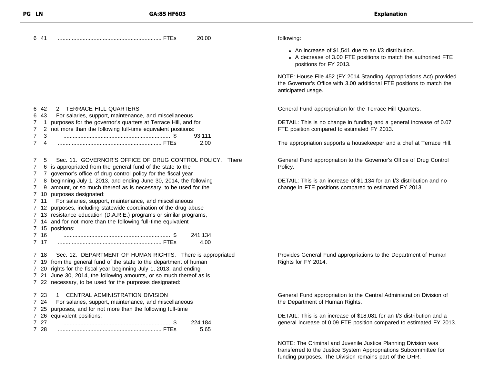| PG LN                         | GA:85 HF603                                                                                                                                                                                      | <b>Explanation</b>                                                                                                                                                 |
|-------------------------------|--------------------------------------------------------------------------------------------------------------------------------------------------------------------------------------------------|--------------------------------------------------------------------------------------------------------------------------------------------------------------------|
| 6 41                          | 20.00                                                                                                                                                                                            | following:                                                                                                                                                         |
|                               |                                                                                                                                                                                                  | • An increase of \$1,541 due to an I/3 distribution.<br>• A decrease of 3.00 FTE positions to match the authorized FTE<br>positions for FY 2013.                   |
|                               |                                                                                                                                                                                                  | NOTE: House File 452 (FY 2014 Standing Appropriations Act) provided<br>the Governor's Office with 3.00 additional FTE positions to match the<br>anticipated usage. |
| -42<br>6<br>43<br>6           | 2. TERRACE HILL QUARTERS<br>For salaries, support, maintenance, and miscellaneous                                                                                                                | General Fund appropriation for the Terrace Hill Quarters.                                                                                                          |
| 7<br>7                        | purposes for the governor's quarters at Terrace Hill, and for<br>not more than the following full-time equivalent positions:                                                                     | DETAIL: This is no change in funding and a general increase of 0.07<br>FTE position compared to estimated FY 2013.                                                 |
| 7<br>3<br>7<br>$\overline{4}$ | 93,111<br>2.00                                                                                                                                                                                   | The appropriation supports a housekeeper and a chef at Terrace Hill.                                                                                               |
| 5<br>7                        | Sec. 11. GOVERNOR'S OFFICE OF DRUG CONTROL POLICY. There<br>is appropriated from the general fund of the state to the<br>governor's office of drug control policy for the fiscal year            | General Fund appropriation to the Governor's Office of Drug Control<br>Policy.                                                                                     |
| 9<br>710                      | beginning July 1, 2013, and ending June 30, 2014, the following<br>amount, or so much thereof as is necessary, to be used for the<br>purposes designated:                                        | DETAIL: This is an increase of \$1,134 for an I/3 distribution and no<br>change in FTE positions compared to estimated FY 2013.                                    |
| 7 11                          | For salaries, support, maintenance, and miscellaneous<br>7 12 purposes, including statewide coordination of the drug abuse<br>7 13 resistance education (D.A.R.E.) programs or similar programs, |                                                                                                                                                                    |
|                               | 7 14 and for not more than the following full-time equivalent                                                                                                                                    |                                                                                                                                                                    |
| 7 16<br>7 17                  | 7 15 positions:<br>241,134<br>4.00                                                                                                                                                               |                                                                                                                                                                    |
| 718<br>719                    | Sec. 12. DEPARTMENT OF HUMAN RIGHTS. There is appropriated<br>from the general fund of the state to the department of human                                                                      | Provides General Fund appropriations to the Department of Human<br>Rights for FY 2014.                                                                             |
| 720                           | rights for the fiscal year beginning July 1, 2013, and ending                                                                                                                                    |                                                                                                                                                                    |
|                               | 7 21 June 30, 2014, the following amounts, or so much thereof as is<br>7 22 necessary, to be used for the purposes designated:                                                                   |                                                                                                                                                                    |
| 723<br>7 24                   | 1. CENTRAL ADMINISTRATION DIVISION<br>For salaries, support, maintenance, and miscellaneous                                                                                                      | General Fund appropriation to the Central Administration Division of<br>the Department of Human Rights.                                                            |
| 7 25                          | purposes, and for not more than the following full-time                                                                                                                                          |                                                                                                                                                                    |
| 7 26<br>7 27<br>7 28          | equivalent positions:<br>224,184<br>5.65                                                                                                                                                         | DETAIL: This is an increase of \$18,081 for an I/3 distribution and a<br>general increase of 0.09 FTE position compared to estimated FY 2013.                      |
|                               |                                                                                                                                                                                                  |                                                                                                                                                                    |

NOTE: The Criminal and Juvenile Justice Planning Division was transferred to the Justice System Appropriations Subcommittee for funding purposes. The Division remains part of the DHR.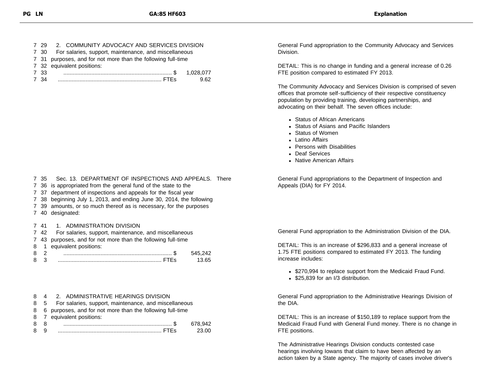|      | 7 29 2. COMMUNITY ADVOCACY AND SERVICES DIVISION             |      |
|------|--------------------------------------------------------------|------|
| 7 30 | For salaries, support, maintenance, and miscellaneous        |      |
|      | 7 31 purposes, and for not more than the following full-time |      |
|      | 7 32 equivalent positions:                                   |      |
| 7 33 |                                                              |      |
| 7 34 |                                                              | 9.62 |

7 35 Sec. 13. DEPARTMENT OF INSPECTIONS AND APPEALS. There

- 7 36 is appropriated from the general fund of the state to the
- 7 37 department of inspections and appeals for the fiscal year
- 7 38 beginning July 1, 2013, and ending June 30, 2014, the following
- 7 39 amounts, or so much thereof as is necessary, for the purposes
- 7 40 designated:

#### 7 41 1. ADMINISTRATION DIVISION

- 7 42 For salaries, support, maintenance, and miscellaneous
- 7 43 purposes, and for not more than the following full-time
- 8 1 equivalent positions:

#### 8 4 2. ADMINISTRATIVE HEARINGS DIVISION

- 8 5 For salaries, support, maintenance, and miscellaneous
- 8 6 purposes, and for not more than the following full-time
- 8 7 equivalent positions:

General Fund appropriation to the Community Advocacy and Services Division.

DETAIL: This is no change in funding and a general increase of 0.26 FTE position compared to estimated FY 2013.

The Community Advocacy and Services Division is comprised of seven offices that promote self-sufficiency of their respective constituency population by providing training, developing partnerships, and advocating on their behalf. The seven offices include:

- Status of African Americans
- Status of Asians and Pacific Islanders
- Status of Women
- Latino Affairs
- Persons with Disabilities
- Deaf Services
- Native American Affairs

General Fund appropriations to the Department of Inspection and Appeals (DIA) for FY 2014.

General Fund appropriation to the Administration Division of the DIA.

DETAIL: This is an increase of \$296,833 and a general increase of 1.75 FTE positions compared to estimated FY 2013. The funding increase includes:

- \$270,994 to replace support from the Medicaid Fraud Fund.
- \$25,839 for an I/3 distribution.

General Fund appropriation to the Administrative Hearings Division of the DIA.

DETAIL: This is an increase of \$150,189 to replace support from the Medicaid Fraud Fund with General Fund money. There is no change in FTE positions.

The Administrative Hearings Division conducts contested case hearings involving Iowans that claim to have been affected by an action taken by a State agency. The majority of cases involve driver's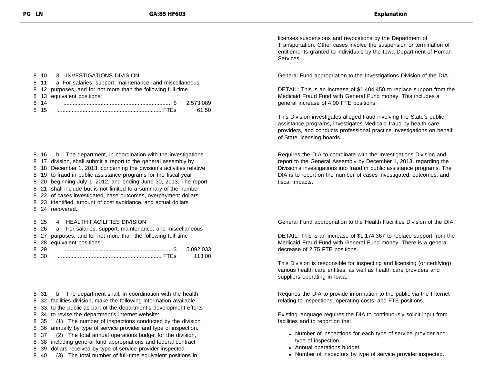#### 8 10 3. INVESTIGATIONS DIVISION 8 11 a. For salaries, support, maintenance, and miscellaneous 8 12 purposes, and for not more than the following full-time 8 13 equivalent positions: 8 14 ...................................................................... \$ 2,573,089 8 15 ................................................................... FTEs 61.50

8 16 b. The department, in coordination with the investigations

- 8 17 division, shall submit a report to the general assembly by
- 8 18 December 1, 2013, concerning the division's activities relative
- 8 19 to fraud in public assistance programs for the fiscal year
- 8 20 beginning July 1, 2012, and ending June 30, 2013. The report
- 8 21 shall include but is not limited to a summary of the number
- 8 22 of cases investigated, case outcomes, overpayment dollars
- 8 23 identified, amount of cost avoidance, and actual dollars
- 8 24 recovered.

#### 8 25 4. HEALTH FACILITIES DIVISION

|      | 8 26 a. For salaries, support, maintenance, and miscellaneous |          |
|------|---------------------------------------------------------------|----------|
|      | 8 27 purposes, and for not more than the following full-time  |          |
|      | 8 28 equivalent positions:                                    |          |
| 8 29 |                                                               |          |
| 8 30 |                                                               | - 113.00 |

8 31 b. The department shall, in coordination with the health

8 32 facilities division, make the following information available

8 33 to the public as part of the department's development efforts

- 8 34 to revise the department's internet website:
- 8 35 (1) The number of inspections conducted by the division

8 36 annually by type of service provider and type of inspection.

8 37 (2) The total annual operations budget for the division,

- 8 38 including general fund appropriations and federal contract
- 8 39 dollars received by type of service provider inspected.
- 8 40 (3) The total number of full-time equivalent positions in

licenses suspensions and revocations by the Department of Transportation. Other cases involve the suspension or termination of entitlements granted to individuals by the Iowa Department of Human Services.

General Fund appropriation to the Investigations Division of the DIA.

DETAIL: This is an increase of \$1,404,450 to replace support from the Medicaid Fraud Fund with General Fund money. This includes a general increase of 4.00 FTE positions.

This Division investigates alleged fraud involving the State's public assistance programs, investigates Medicaid fraud by health care providers, and conducts professional practice investigations on behalf of State licensing boards.

Requires the DIA to coordinate with the Investigations Division and report to the General Assembly by December 1, 2013, regarding the Division's investigations into fraud in public assistance programs. The DIA is to report on the number of cases investigated, outcomes, and fiscal impacts.

General Fund appropriation to the Health Facilities Division of the DIA.

DETAIL: This is an increase of \$1,174,367 to replace support from the Medicaid Fraud Fund with General Fund money. There is a general decrease of 2.75 FTE positions.

This Division is responsible for inspecting and licensing (or certifying) various health care entities, as well as health care providers and suppliers operating in Iowa.

Requires the DIA to provide information to the public via the Internet relating to inspections, operating costs, and FTE positions.

Existing language requires the DIA to continuously solicit input from facilities and to report on the:

- Number of inspections for each type of service provider and type of inspection.
- Annual operations budget.
- Number of inspectors by type of service provider inspected.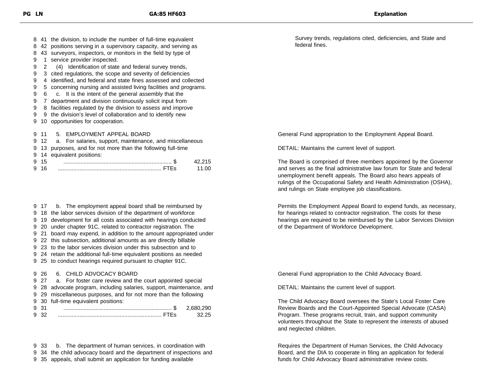41 the division, to include the number of full-time equivalent

- 42 positions serving in a supervisory capacity, and serving as
- 43 surveyors, inspectors, or monitors in the field by type of
- 1 service provider inspected.
- 2 (4) Identification of state and federal survey trends,
- 3 cited regulations, the scope and severity of deficiencies
- 4 identified, and federal and state fines assessed and collected
- 5 concerning nursing and assisted living facilities and programs.
- 6 c. It is the intent of the general assembly that the
- 7 department and division continuously solicit input from
- 8 facilities regulated by the division to assess and improve
- 9 the division's level of collaboration and to identify new
- 10 opportunities for cooperation.

#### 11 5. EMPLOYMENT APPEAL BOARD

- 12 a. For salaries, support, maintenance, and miscellaneous
- 13 purposes, and for not more than the following full-time
- 14 equivalent positions:

17 b. The employment appeal board shall be reimbursed by

- 18 the labor services division of the department of workforce
- 19 development for all costs associated with hearings conducted
- 20 under chapter 91C, related to contractor registration. The
- 21 board may expend, in addition to the amount appropriated under
- 22 this subsection, additional amounts as are directly billable
- 23 to the labor services division under this subsection and to
- 24 retain the additional full-time equivalent positions as needed
- 25 to conduct hearings required pursuant to chapter 91C.

#### 26 6. CHILD ADVOCACY BOARD

- 27 a. For foster care review and the court appointed special
- 28 advocate program, including salaries, support, maintenance, and
- 29 miscellaneous purposes, and for not more than the following
- 30 full-time equivalent positions:

33 b. The department of human services, in coordination with

34 the child advocacy board and the department of inspections and

35 appeals, shall submit an application for funding available

Survey trends, regulations cited, deficiencies, and State and federal fines.

General Fund appropriation to the Employment Appeal Board.

DETAIL: Maintains the current level of support.

The Board is comprised of three members appointed by the Governor and serves as the final administrative law forum for State and federal unemployment benefit appeals. The Board also hears appeals of rulings of the Occupational Safety and Health Administration (OSHA), and rulings on State employee job classifications.

Permits the Employment Appeal Board to expend funds, as necessary, for hearings related to contractor registration. The costs for these hearings are required to be reimbursed by the Labor Services Division of the Department of Workforce Development.

General Fund appropriation to the Child Advocacy Board.

DETAIL: Maintains the current level of support.

The Child Advocacy Board oversees the State's Local Foster Care Review Boards and the Court-Appointed Special Advocate (CASA) Program. These programs recruit, train, and support community volunteers throughout the State to represent the interests of abused and neglected children.

Requires the Department of Human Services, the Child Advocacy Board, and the DIA to cooperate in filing an application for federal funds for Child Advocacy Board administrative review costs.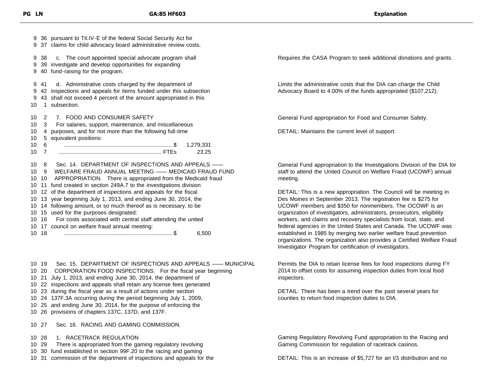36 pursuant to Tit.IV-E of the federal Social Security Act for 37 claims for child advocacy board administrative review costs. 38 c. The court appointed special advocate program shall 39 investigate and develop opportunities for expanding 40 fund-raising for the program. 41 d. Administrative costs charged by the department of 42 inspections and appeals for items funded under this subsection 43 shall not exceed 4 percent of the amount appropriated in this 1 subsection. 2 7. FOOD AND CONSUMER SAFETY 3 For salaries, support, maintenance, and miscellaneous 4 purposes, and for not more than the following full-time 5 equivalent positions: 6 ...................................................................... \$ 1,279,331 7 ................................................................... FTEs 23.25 8 Sec. 14. DEPARTMENT OF INSPECTIONS AND APPEALS —— 9 WELFARE FRAUD ANNUAL MEETING —— MEDICAID FRAUD FUND 10 APPROPRIATION. There is appropriated from the Medicaid fraud 11 fund created in section 249A.7 to the investigations division 12 of the department of inspections and appeals for the fiscal 13 year beginning July 1, 2013, and ending June 30, 2014, the 14 following amount, or so much thereof as is necessary, to be 15 used for the purposes designated: 16 For costs associated with central staff attending the united 17 council on welfare fraud annual meeting: 18 ...................................................................... \$ 6,500

10 19 Sec. 15. DEPARTMENT OF INSPECTIONS AND APPEALS —— MUNICIPAL

- 10 20 CORPORATION FOOD INSPECTIONS. For the fiscal year beginning
- 10 21 July 1, 2013, and ending June 30, 2014, the department of
- 10 22 inspections and appeals shall retain any license fees generated
- 10 23 during the fiscal year as a result of actions under section
- 10 24 137F.3A occurring during the period beginning July 1, 2009,
- 10 25 and ending June 30, 2014, for the purpose of enforcing the
- 10 26 provisions of chapters 137C, 137D, and 137F.

10 27 Sec. 16. RACING AND GAMING COMMISSION.

- 10 28 1. RACETRACK REGULATION
- 10 29 There is appropriated from the gaming regulatory revolving
- 10 30 fund established in section 99F.20 to the racing and gaming
- 10 31 commission of the department of inspections and appeals for the

Requires the CASA Program to seek additional donations and grants.

Limits the administrative costs that the DIA can charge the Child Advocacy Board to 4.00% of the funds appropriated (\$107,212).

General Fund appropriation for Food and Consumer Safety.

DETAIL: Maintains the current level of support.

General Fund appropriation to the Investigations Division of the DIA for staff to attend the United Council on Welfare Fraud (UCOWF) annual meeting.

DETAIL: This is a new appropriation. The Council will be meeting in Des Moines in September 2013. The registration fee is \$275 for UCOWF members and \$350 for nonmembers. The OCOWF is an organization of investigators, administrators, prosecutors, eligibility workers, and claims and recovery specialists from local, state, and federal agencies in the United States and Canada. The UCOWF was established in 1985 by merging two earlier welfare fraud prevention organizations. The organization also provides a Certified Welfare Fraud Investigator Program for certification of investigators.

Permits the DIA to retain license fees for food inspections during FY 2014 to offset costs for assuming inspection duties from local food inspectors.

DETAIL: There has been a trend over the past several years for counties to return food inspection duties to DIA.

Gaming Regulatory Revolving Fund appropriation to the Racing and Gaming Commission for regulation of racetrack casinos.

DETAIL: This is an increase of \$5,727 for an I/3 distribution and no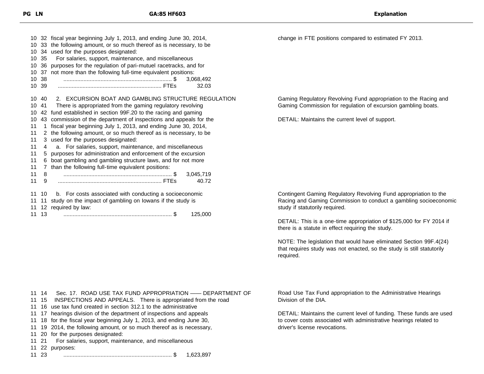|             | 10 32 fiscal year beginning July 1, 2013, and ending June 30, 2014,   |
|-------------|-----------------------------------------------------------------------|
|             | 10 33 the following amount, or so much thereof as is necessary, to be |
|             | 10 34 used for the purposes designated:                               |
|             | For salaries, support, maintenance, and miscellaneous                 |
|             | purposes for the regulation of pari-mutuel racetracks, and for        |
|             | not more than the following full-time equivalent positions:           |
|             | 3,068,492                                                             |
|             | 32.03                                                                 |
|             | 10 40 2. EXCURSION BOAT AND GAMBLING STRUCTURE REGULATION             |
| 41          | There is appropriated from the gaming regulatory revolving            |
|             | 42 fund established in section 99F.20 to the racing and gaming        |
|             | 43 commission of the department of inspections and appeals for the    |
| 1.          | fiscal year beginning July 1, 2013, and ending June 30, 2014,         |
| 2           | the following amount, or so much thereof as is necessary, to be       |
|             | 3 used for the purposes designated:                                   |
| 4           | a. For salaries, support, maintenance, and miscellaneous              |
| 5           | purposes for administration and enforcement of the excursion          |
| 6.          | boat gambling and gambling structure laws, and for not more           |
| $7^{\circ}$ | than the following full-time equivalent positions:                    |
| 8           | 3,045,719                                                             |
| 9           | 40.72                                                                 |
|             | b. For costs associated with conducting a socioeconomic               |
|             | 11 11 study on the impact of gambling on lowans if the study is       |
|             | 11 12 required by law:                                                |
|             | 10 35<br>10 36<br>10 37<br>10 38<br>10 39<br>10<br>11 10              |

13 ...................................................................... \$ 125,000

Gaming Regulatory Revolving Fund appropriation to the Racing and Gaming Commission for regulation of excursion gambling boats.

change in FTE positions compared to estimated FY 2013.

DETAIL: Maintains the current level of support.

Contingent Gaming Regulatory Revolving Fund appropriation to the Racing and Gaming Commission to conduct a gambling socioeconomic study if statutorily required.

DETAIL: This is a one-time appropriation of \$125,000 for FY 2014 if there is a statute in effect requiring the study.

NOTE: The legislation that would have eliminated Section 99F.4(24) that requires study was not enacted, so the study is still statutorily required.

14 Sec. 17. ROAD USE TAX FUND APPROPRIATION —— DEPARTMENT OF

- 15 INSPECTIONS AND APPEALS. There is appropriated from the road
- 16 use tax fund created in section 312.1 to the administrative
- 17 hearings division of the department of inspections and appeals
- 18 for the fiscal year beginning July 1, 2013, and ending June 30,
- 19 2014, the following amount, or so much thereof as is necessary,
- 20 for the purposes designated:
- 21 For salaries, support, maintenance, and miscellaneous

22 purposes:

23 ...................................................................... \$ 1,623,897

Road Use Tax Fund appropriation to the Administrative Hearings Division of the DIA.

DETAIL: Maintains the current level of funding. These funds are used to cover costs associated with administrative hearings related to driver's license revocations.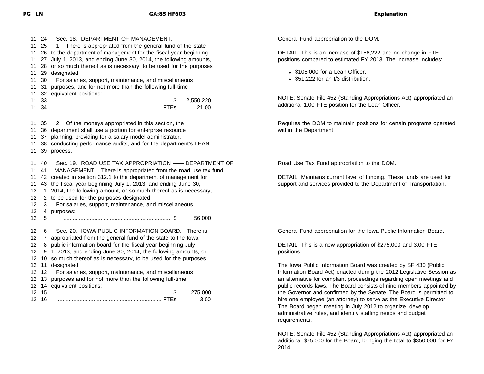24 Sec. 18. DEPARTMENT OF MANAGEMENT. 11 25 1. There is appropriated from the general fund of the state 26 to the department of management for the fiscal year beginning 27 July 1, 2013, and ending June 30, 2014, the following amounts, 28 or so much thereof as is necessary, to be used for the purposes 29 designated: 30 For salaries, support, maintenance, and miscellaneous 31 purposes, and for not more than the following full-time 32 equivalent positions: 33 ...................................................................... \$ 2,550,220 34 ................................................................... FTEs 21.00 35 2. Of the moneys appropriated in this section, the 36 department shall use a portion for enterprise resource 37 planning, providing for a salary model administrator, 38 conducting performance audits, and for the department's LEAN 39 process. 40 Sec. 19. ROAD USE TAX APPROPRIATION —— DEPARTMENT OF 41 MANAGEMENT. There is appropriated from the road use tax fund 42 created in section 312.1 to the department of management for 43 the fiscal year beginning July 1, 2013, and ending June 30, 12 1 2014, the following amount, or so much thereof as is necessary, 2 to be used for the purposes designated: 3 For salaries, support, maintenance, and miscellaneous 4 purposes: 5 ...................................................................... \$ 56,000 6 Sec. 20. IOWA PUBLIC INFORMATION BOARD. There is 7 appropriated from the general fund of the state to the Iowa 8 public information board for the fiscal year beginning July 9 1, 2013, and ending June 30, 2014, the following amounts, or 10 so much thereof as is necessary, to be used for the purposes 11 designated: 12 For salaries, support, maintenance, and miscellaneous 13 purposes and for not more than the following full-time 14 equivalent positions: 15 ...................................................................... \$ 275,000 16 ................................................................... FTEs 3.00

General Fund appropriation to the DOM.

DETAIL: This is an increase of \$156,222 and no change in FTE positions compared to estimated FY 2013. The increase includes:

- \$105,000 for a Lean Officer.
- \$51,222 for an I/3 distribution.

NOTE: Senate File 452 (Standing Appropriations Act) appropriated an additional 1.00 FTE position for the Lean Officer.

Requires the DOM to maintain positions for certain programs operated within the Department.

Road Use Tax Fund appropriation to the DOM.

DETAIL: Maintains current level of funding. These funds are used for support and services provided to the Department of Transportation.

General Fund appropriation for the Iowa Public Information Board.

DETAIL: This is a new appropriation of \$275,000 and 3.00 FTE positions.

The Iowa Public Information Board was created by SF 430 (Public Information Board Act) enacted during the 2012 Legislative Session as an alternative for complaint proceedings regarding open meetings and public records laws. The Board consists of nine members appointed by the Governor and confirmed by the Senate. The Board is permitted to hire one employee (an attorney) to serve as the Executive Director. The Board began meeting in July 2012 to organize, develop administrative rules, and identify staffing needs and budget requirements.

NOTE: Senate File 452 (Standing Appropriations Act) appropriated an additional \$75,000 for the Board, bringing the total to \$350,000 for FY 2014.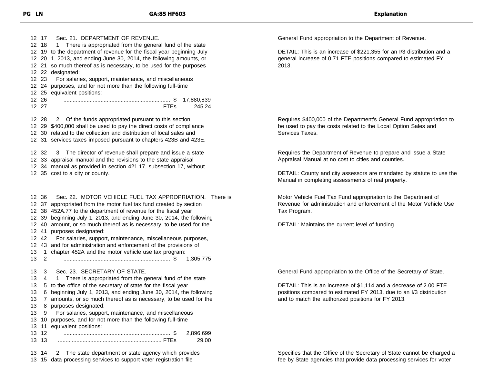17 Sec. 21. DEPARTMENT OF REVENUE. 12 18 1. There is appropriated from the general fund of the state 19 to the department of revenue for the fiscal year beginning July 20 1, 2013, and ending June 30, 2014, the following amounts, or 21 so much thereof as is necessary, to be used for the purposes 22 designated: 23 For salaries, support, maintenance, and miscellaneous 24 purposes, and for not more than the following full-time 25 equivalent positions: 26 ...................................................................... \$ 17,880,839 27 ................................................................... FTEs 245.24 28 2. Of the funds appropriated pursuant to this section, 29 \$400,000 shall be used to pay the direct costs of compliance 30 related to the collection and distribution of local sales and 31 services taxes imposed pursuant to chapters 423B and 423E. 32 3. The director of revenue shall prepare and issue a state 33 appraisal manual and the revisions to the state appraisal 34 manual as provided in section 421.17, subsection 17, without 35 cost to a city or county. 36 Sec. 22. MOTOR VEHICLE FUEL TAX APPROPRIATION. There is 37 appropriated from the motor fuel tax fund created by section 38 452A.77 to the department of revenue for the fiscal year 39 beginning July 1, 2013, and ending June 30, 2014, the following 40 amount, or so much thereof as is necessary, to be used for the 41 purposes designated: 42 For salaries, support, maintenance, miscellaneous purposes, 43 and for administration and enforcement of the provisions of 1 chapter 452A and the motor vehicle use tax program: 2 ...................................................................... \$ 1,305,775 3 Sec. 23. SECRETARY OF STATE. 4 1. There is appropriated from the general fund of the state 5 to the office of the secretary of state for the fiscal year 6 beginning July 1, 2013, and ending June 30, 2014, the following 7 amounts, or so much thereof as is necessary, to be used for the 8 purposes designated: 9 For salaries, support, maintenance, and miscellaneous 10 purposes, and for not more than the following full-time 11 equivalent positions: 12 ...................................................................... \$ 2,896,699 13 ................................................................... FTEs 29.00 14 2. The state department or state agency which provides

15 data processing services to support voter registration file

General Fund appropriation to the Department of Revenue.

DETAIL: This is an increase of \$221,355 for an I/3 distribution and a general increase of 0.71 FTE positions compared to estimated FY 2013.

Requires \$400,000 of the Department's General Fund appropriation to be used to pay the costs related to the Local Option Sales and Services Taxes.

Requires the Department of Revenue to prepare and issue a State Appraisal Manual at no cost to cities and counties.

DETAIL: County and city assessors are mandated by statute to use the Manual in completing assessments of real property.

Motor Vehicle Fuel Tax Fund appropriation to the Department of Revenue for administration and enforcement of the Motor Vehicle Use Tax Program.

DETAIL: Maintains the current level of funding.

General Fund appropriation to the Office of the Secretary of State.

DETAIL: This is an increase of \$1,114 and a decrease of 2.00 FTE positions compared to estimated FY 2013, due to an I/3 distribution and to match the authorized positions for FY 2013.

Specifies that the Office of the Secretary of State cannot be charged a fee by State agencies that provide data processing services for voter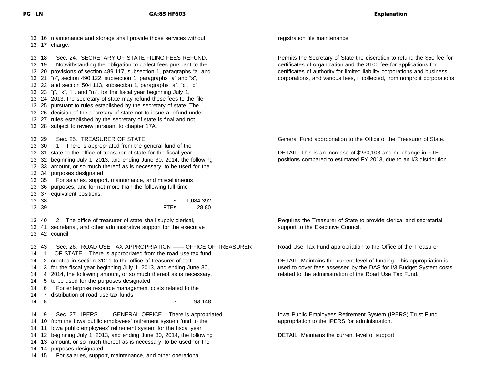|                                              |                                           | 13 16 maintenance and storage shall provide those services without<br>13 17 charge.                                                                                                                                                                                                                                                                                                                                                                                                                                                                                                                                                                                                                                                                           |
|----------------------------------------------|-------------------------------------------|---------------------------------------------------------------------------------------------------------------------------------------------------------------------------------------------------------------------------------------------------------------------------------------------------------------------------------------------------------------------------------------------------------------------------------------------------------------------------------------------------------------------------------------------------------------------------------------------------------------------------------------------------------------------------------------------------------------------------------------------------------------|
|                                              | 13 18<br>13 19                            | Sec. 24. SECRETARY OF STATE FILING FEES REFUND.<br>Notwithstanding the obligation to collect fees pursuant to the<br>13 20 provisions of section 489.117, subsection 1, paragraphs "a" and<br>13 21 "o", section 490.122, subsection 1, paragraphs "a" and "s",<br>13 22 and section 504.113, subsection 1, paragraphs "a", "c", "d",<br>13 23 "j", "k", "l", and "m", for the fiscal year beginning July 1,<br>13 24 2013, the secretary of state may refund these fees to the filer<br>13 25 pursuant to rules established by the secretary of state. The<br>13 26 decision of the secretary of state not to issue a refund under<br>13 27 rules established by the secretary of state is final and not<br>13 28 subject to review pursuant to chapter 17A. |
|                                              | 13 29<br>13 30<br>13 35<br>13 38<br>13 39 | Sec. 25. TREASURER OF STATE.<br>1. There is appropriated from the general fund of the<br>13 31 state to the office of treasurer of state for the fiscal year<br>13 32 beginning July 1, 2013, and ending June 30, 2014, the following<br>13 33 amount, or so much thereof as is necessary, to be used for the<br>13 34 purposes designated:<br>For salaries, support, maintenance, and miscellaneous<br>13 36 purposes, and for not more than the following full-time<br>13 37 equivalent positions:<br>1,084,392<br>28.80                                                                                                                                                                                                                                    |
|                                              | 13 40                                     | 2. The office of treasurer of state shall supply clerical,<br>13 41 secretarial, and other administrative support for the executive<br>13 42 council.                                                                                                                                                                                                                                                                                                                                                                                                                                                                                                                                                                                                         |
| 14<br>14<br>14<br>14<br>14<br>14<br>14<br>14 | 1343<br>1<br>6.<br>8                      | Sec. 26. ROAD USE TAX APPROPRIATION - OFFICE OF TREASURER<br>OF STATE. There is appropriated from the road use tax fund<br>2 created in section 312.1 to the office of treasurer of state<br>3 for the fiscal year beginning July 1, 2013, and ending June 30,<br>4 2014, the following amount, or so much thereof as is necessary,<br>5 to be used for the purposes designated:<br>For enterprise resource management costs related to the<br>7 distribution of road use tax funds:<br>93,148                                                                                                                                                                                                                                                                |
| 14<br>14<br>14<br>14<br>14<br>14             | 9<br>11<br>14<br>14 15                    | Sec. 27. IPERS - GENERAL OFFICE. There is appropriated<br>10 from the lowa public employees' retirement system fund to the<br>lowa public employees' retirement system for the fiscal year<br>12 beginning July 1, 2013, and ending June 30, 2014, the following<br>13 amount, or so much thereof as is necessary, to be used for the<br>purposes designated:<br>For salaries, support, maintenance, and other operational                                                                                                                                                                                                                                                                                                                                    |

registration file maintenance.

Permits the Secretary of State the discretion to refund the \$50 fee for certificates of organization and the \$100 fee for applications for certificates of authority for limited liability corporations and business corporations, and various fees, if collected, from nonprofit corporations.

General Fund appropriation to the Office of the Treasurer of State.

DETAIL: This is an increase of \$230,103 and no change in FTE positions compared to estimated FY 2013, due to an I/3 distribution.

Requires the Treasurer of State to provide clerical and secretarial support to the Executive Council.

Road Use Tax Fund appropriation to the Office of the Treasurer.

DETAIL: Maintains the current level of funding. This appropriation is used to cover fees assessed by the DAS for I/3 Budget System costs related to the administration of the Road Use Tax Fund.

Iowa Public Employees Retirement System (IPERS) Trust Fund appropriation to the IPERS for administration.

DETAIL: Maintains the current level of support.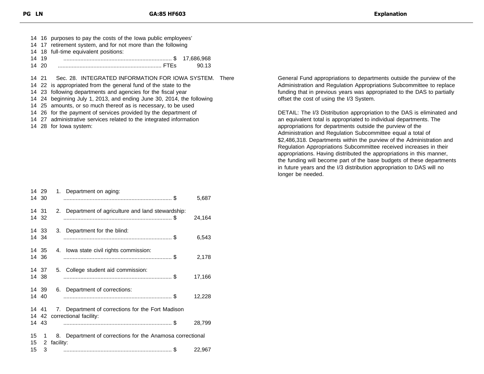|       | 14 16 purposes to pay the costs of the lowa public employees'   |
|-------|-----------------------------------------------------------------|
|       | 14 17 retirement system, and for not more than the following    |
|       | 14 18 full-time equivalent positions:                           |
| 14 19 |                                                                 |
|       | 90.13                                                           |
|       |                                                                 |
|       | 14 21 Sec. 28. INTEGRATED INFORMATION FOR IOWA SYSTEM. There    |
|       | 14 22 is appropriated from the general fund of the state to the |
|       | 14 23 following departments and agencies for the fiscal year    |

24 beginning July 1, 2013, and ending June 30, 2014, the following

25 amounts, or so much thereof as is necessary, to be used

26 for the payment of services provided by the department of

27 administrative services related to the integrated information

28 for Iowa system:

|          | 14 29<br>14 30 | 1. Department on aging:                                   | 5,687  |
|----------|----------------|-----------------------------------------------------------|--------|
|          | 14 31<br>14 32 | Department of agriculture and land stewardship:<br>2.     | 24,164 |
|          | 14 33<br>14 34 | 3. Department for the blind:                              | 6,543  |
|          | 14 35<br>14 36 | 4. Iowa state civil rights commission:                    | 2,178  |
|          | 14 37<br>14 38 | College student aid commission:<br>5.                     | 17,166 |
|          | 14 39<br>14 40 | 6. Department of corrections:                             | 12,228 |
|          |                | 14 41 7. Department of corrections for the Fort Madison   |        |
|          | 14 43          | 14 42 correctional facility:                              | 28,799 |
| 15<br>15 | $1 \quad$<br>2 | 8. Department of corrections for the Anamosa correctional |        |
| 15       | 3              | facility:                                                 | 22,967 |

General Fund appropriations to departments outside the purview of the Administration and Regulation Appropriations Subcommittee to replace funding that in previous years was appropriated to the DAS to partially offset the cost of using the I/3 System.

DETAIL: The I/3 Distribution appropriation to the DAS is eliminated and an equivalent total is appropriated to individual departments. The appropriations for departments outside the purview of the Administration and Regulation Subcommittee equal a total of \$2,486,318. Departments within the purview of the Administration and Regulation Appropriations Subcommittee received increases in their appropriations. Having distributed the appropriations in this manner, the funding will become part of the base budgets of these departments in future years and the I/3 distribution appropriation to DAS will no longer be needed.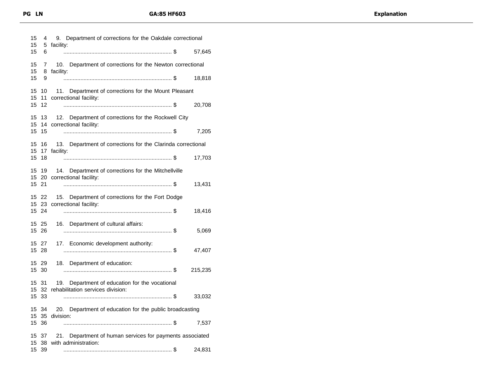| 15<br>15 | 4               | Department of corrections for the Oakdale correctional<br>9.                        |  |
|----------|-----------------|-------------------------------------------------------------------------------------|--|
| 15       | 6               | 5 facility:<br>57,645                                                               |  |
| 15       |                 | 7 10. Department of corrections for the Newton correctional                         |  |
| 15<br>15 | 8<br>9          | facility:<br>18,818                                                                 |  |
| 15       |                 | 10 11. Department of corrections for the Mount Pleasant                             |  |
| 15<br>15 | 12 <sup>2</sup> | 11 correctional facility:<br>20,708                                                 |  |
| 15<br>15 |                 | 13 12. Department of corrections for the Rockwell City<br>14 correctional facility: |  |
| 15       | 15              | 7,205                                                                               |  |
| 15       | 15 16           | 13. Department of corrections for the Clarinda correctional<br>17 facility:         |  |
| 15       | 18              | 17,703                                                                              |  |
|          | 15 19           | 14. Department of corrections for the Mitchellville<br>15 20 correctional facility: |  |
|          | 15 21           | 13,431                                                                              |  |
|          | 15 22           | 15. Department of corrections for the Fort Dodge<br>15 23 correctional facility:    |  |
|          | 15 24           | 18,416                                                                              |  |
|          | 15 25<br>15 26  | 16. Department of cultural affairs:<br>5,069                                        |  |
|          | 15 27<br>15 28  | 17. Economic development authority:<br>47,407                                       |  |
|          | 15 29           | 18. Department of education:                                                        |  |
|          | 15 30           | 215,235                                                                             |  |
|          | 15 31           | Department of education for the vocational<br>19.                                   |  |
|          | 15 33           | 15 32 rehabilitation services division:<br>33,032                                   |  |
|          | 15 34           | 20. Department of education for the public broadcasting                             |  |
|          | 15 36           | 15 35 division:<br>7,537                                                            |  |
|          | 15 37           | 21.<br>Department of human services for payments associated                         |  |
|          | 15 39           | 15 38 with administration:<br>24,831                                                |  |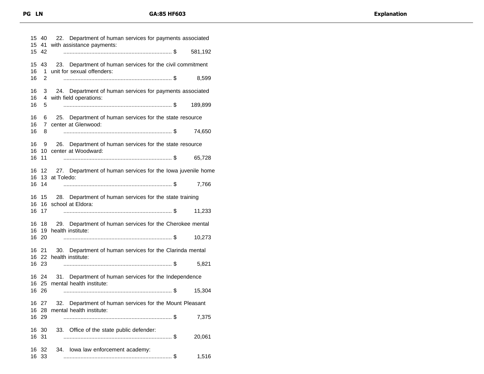|          | 15 40<br>15 41     | 22. Department of human services for payments associated<br>with assistance payments:      |
|----------|--------------------|--------------------------------------------------------------------------------------------|
| 15       | 42                 | 581,192                                                                                    |
| 15<br>16 | 43                 | Department of human services for the civil commitment<br>23.<br>unit for sexual offenders: |
| 16       | 1.<br>2            | 8,599                                                                                      |
| 16<br>16 | 3                  | 24. Department of human services for payments associated<br>with field operations:         |
| 16       | 4<br>5.            | 189,899                                                                                    |
| 16<br>16 | 6.<br>$\mathbf{7}$ | 25. Department of human services for the state resource<br>center at Glenwood:             |
| 16       | 8                  | 74,650                                                                                     |
| 16<br>16 | 9                  | 26. Department of human services for the state resource<br>10 center at Woodward:          |
| 16       | 11                 | 65,728                                                                                     |
| 16<br>16 | 12                 | 27. Department of human services for the lowa juvenile home<br>13 at Toledo:               |
| 16       | 14                 | 7,766                                                                                      |
| 16<br>16 | 15                 | 28. Department of human services for the state training<br>16 school at Eldora:            |
| 16       | 17                 | 11,233                                                                                     |
|          | 16 18              | 29. Department of human services for the Cherokee mental<br>16 19 health institute:        |
|          | 16 20              | 10,273                                                                                     |
|          | 16 21              | 30. Department of human services for the Clarinda mental                                   |
|          | 16 23              | 16 22 health institute:<br>5,821                                                           |
|          | 16 24              | Department of human services for the Independence<br>31.                                   |
|          | 16 26              | 16 25 mental health institute:<br>15,304                                                   |
|          |                    | 16 27 32. Department of human services for the Mount Pleasant                              |
|          | 16 28<br>16 29     | mental health institute:<br>7,375                                                          |
| 16 31    | 16 30              | 33. Office of the state public defender:<br>20,061                                         |
| 16<br>16 | -32<br>-33         | lowa law enforcement academy:<br>34.                                                       |
|          |                    | 1,516                                                                                      |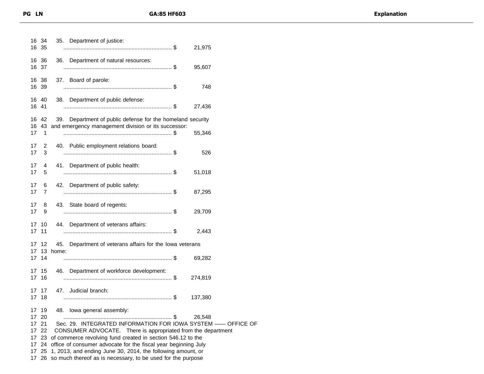| Sec. 29. INTEGRATED INFORMATION FOR IOWA SYSTEM -- OFFICE OF |
|--------------------------------------------------------------|
|                                                              |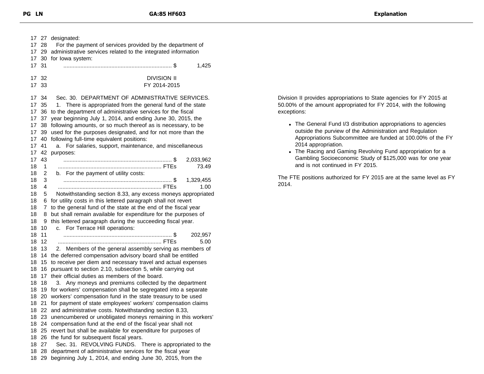| 17 27                  | designated:                                                         |
|------------------------|---------------------------------------------------------------------|
| 17<br>28               | For the payment of services provided by the department of           |
| 17<br>29               | administrative services related to the integrated information       |
| 17<br>30               | for lowa system:                                                    |
| 17<br>31               | 1,425                                                               |
|                        |                                                                     |
| 32<br>17               | <b>DIVISION II</b>                                                  |
| 17 <sup>17</sup><br>33 | FY 2014-2015                                                        |
|                        |                                                                     |
| 17 34                  | Sec. 30. DEPARTMENT OF ADMINISTRATIVE SERVICES.                     |
| 35<br>17               | There is appropriated from the general fund of the state<br>1.      |
| 17<br>36               | to the department of administrative services for the fiscal         |
| 17<br>37               | year beginning July 1, 2014, and ending June 30, 2015, the          |
| 17<br>38               | following amounts, or so much thereof as is necessary, to be        |
| 39<br>17               | used for the purposes designated, and for not more than the         |
| 17<br>40               | following full-time equivalent positions:                           |
| 17<br>41               | For salaries, support, maintenance, and miscellaneous<br>a.         |
| 42<br>17               | purposes:                                                           |
| 17<br>43               | 2,033,962                                                           |
| 18<br>1                | 73.49                                                               |
| 18<br>2                | b. For the payment of utility costs:                                |
| 18<br>3                | 1,329,455                                                           |
|                        | 1.00                                                                |
| 18<br>4                |                                                                     |
| 18<br>5                | Notwithstanding section 8.33, any excess moneys appropriated        |
| 18<br>6                | for utility costs in this lettered paragraph shall not revert       |
| 18<br>7                | to the general fund of the state at the end of the fiscal year      |
| 18<br>8                | but shall remain available for expenditure for the purposes of      |
| 18<br>9                | this lettered paragraph during the succeeding fiscal year.          |
| 18<br>10               | For Terrace Hill operations:<br>C.                                  |
| 18<br>11               | 202,957                                                             |
| 18<br>12               | 5.00                                                                |
| 18<br>13               | Members of the general assembly serving as members of<br>2.         |
| 18<br>14               | the deferred compensation advisory board shall be entitled          |
| 18<br>15               | to receive per diem and necessary travel and actual expenses        |
| 18<br>16               | pursuant to section 2.10, subsection 5, while carrying out          |
| 18<br>17               | their official duties as members of the board.                      |
| 18<br>18               | 3. Any moneys and premiums collected by the department              |
| 18<br>19               | for workers' compensation shall be segregated into a separate       |
| 18<br>20               | workers' compensation fund in the state treasury to be used         |
| 18<br>21               | for payment of state employees' workers' compensation claims        |
|                        | 18 22 and administrative costs. Notwithstanding section 8.33,       |
|                        | 18 23 unencumbered or unobligated moneys remaining in this workers' |
| 18                     | 24 compensation fund at the end of the fiscal year shall not        |
| 25<br>18               | revert but shall be available for expenditure for purposes of       |
| 18<br>26               | the fund for subsequent fiscal years.                               |
| 18<br>27               | Sec. 31. REVOLVING FUNDS. There is appropriated to the              |
| 28<br>18               | department of administrative services for the fiscal year           |
| 29<br>18               | beginning July 1, 2014, and ending June 30, 2015, from the          |
|                        |                                                                     |

Division II provides appropriations to State agencies for FY 2015 at 50.00% of the amount appropriated for FY 2014, with the following exceptions:

- The General Fund I/3 distribution appropriations to agencies outside the purview of the Administration and Regulation Appropriations Subcommittee are funded at 100.00% of the FY 2014 appropriation.
- The Racing and Gaming Revolving Fund appropriation for a Gambling Socioeconomic Study of \$125,000 was for one year and is not continued in FY 2015.

The FTE positions authorized for FY 2015 are at the same level as FY 2014.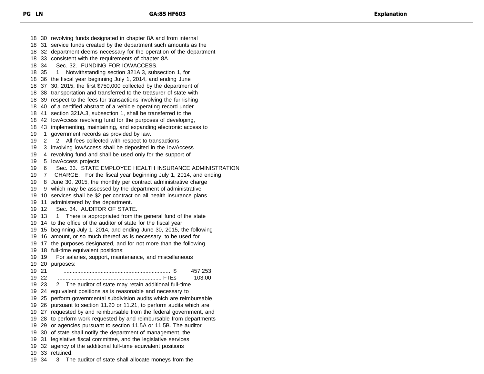30 revolving funds designated in chapter 8A and from internal 31 service funds created by the department such amounts as the 32 department deems necessary for the operation of the department 33 consistent with the requirements of chapter 8A. 34 Sec. 32. FUNDING FOR IOWACCESS. 35 1. Notwithstanding section 321A.3, subsection 1, for 36 the fiscal year beginning July 1, 2014, and ending June 37 30, 2015, the first \$750,000 collected by the department of 38 transportation and transferred to the treasurer of state with 39 respect to the fees for transactions involving the furnishing 40 of a certified abstract of a vehicle operating record under 41 section 321A.3, subsection 1, shall be transferred to the 42 IowAccess revolving fund for the purposes of developing, 43 implementing, maintaining, and expanding electronic access to 1 government records as provided by law. 2 2. All fees collected with respect to transactions 3 involving IowAccess shall be deposited in the IowAccess 4 revolving fund and shall be used only for the support of 5 IowAccess projects. 6 Sec. 33. STATE EMPLOYEE HEALTH INSURANCE ADMINISTRATION 7 CHARGE. For the fiscal year beginning July 1, 2014, and ending 8 June 30, 2015, the monthly per contract administrative charge 9 which may be assessed by the department of administrative 10 services shall be \$2 per contract on all health insurance plans 11 administered by the department. 12 Sec. 34. AUDITOR OF STATE. 13 1. There is appropriated from the general fund of the state 14 to the office of the auditor of state for the fiscal year 15 beginning July 1, 2014, and ending June 30, 2015, the following 16 amount, or so much thereof as is necessary, to be used for 17 the purposes designated, and for not more than the following 18 full-time equivalent positions: 19 For salaries, support, maintenance, and miscellaneous 20 purposes: 21 ...................................................................... \$ 457,253 22 ................................................................... FTEs 103.00 23 2. The auditor of state may retain additional full-time 24 equivalent positions as is reasonable and necessary to 25 perform governmental subdivision audits which are reimbursable 26 pursuant to section 11.20 or 11.21, to perform audits which are 27 requested by and reimbursable from the federal government, and 28 to perform work requested by and reimbursable from departments 29 or agencies pursuant to section 11.5A or 11.5B. The auditor 30 of state shall notify the department of management, the 31 legislative fiscal committee, and the legislative services 32 agency of the additional full-time equivalent positions 33 retained. 34 3. The auditor of state shall allocate moneys from the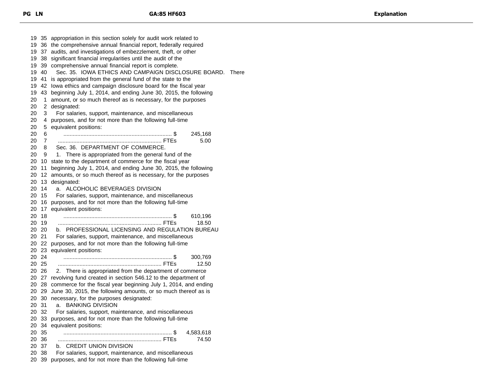35 appropriation in this section solely for audit work related to 36 the comprehensive annual financial report, federally required 37 audits, and investigations of embezzlement, theft, or other 38 significant financial irregularities until the audit of the 39 comprehensive annual financial report is complete. 40 Sec. 35. IOWA ETHICS AND CAMPAIGN DISCLOSURE BOARD. There 41 is appropriated from the general fund of the state to the 42 Iowa ethics and campaign disclosure board for the fiscal year 43 beginning July 1, 2014, and ending June 30, 2015, the following 1 amount, or so much thereof as is necessary, for the purposes 2 designated: 3 For salaries, support, maintenance, and miscellaneous 4 purposes, and for not more than the following full-time 5 equivalent positions: 6 ...................................................................... \$ 245,168 7 ................................................................... FTEs 5.00 8 Sec. 36. DEPARTMENT OF COMMERCE. 9 1. There is appropriated from the general fund of the 10 state to the department of commerce for the fiscal year 11 beginning July 1, 2014, and ending June 30, 2015, the following 12 amounts, or so much thereof as is necessary, for the purposes 13 designated: 14 a. ALCOHOLIC BEVERAGES DIVISION 15 For salaries, support, maintenance, and miscellaneous 16 purposes, and for not more than the following full-time 17 equivalent positions: 18 ...................................................................... \$ 610,196 19 ................................................................... FTEs 18.50 20 b. PROFESSIONAL LICENSING AND REGULATION BUREAU 21 For salaries, support, maintenance, and miscellaneous 22 purposes, and for not more than the following full-time 23 equivalent positions: 24 ...................................................................... \$ 300,769 25 ................................................................... FTEs 12.50 26 2. There is appropriated from the department of commerce 27 revolving fund created in section 546.12 to the department of 28 commerce for the fiscal year beginning July 1, 2014, and ending 29 June 30, 2015, the following amounts, or so much thereof as is 30 necessary, for the purposes designated: 31 a. BANKING DIVISION 32 For salaries, support, maintenance, and miscellaneous 33 purposes, and for not more than the following full-time 34 equivalent positions: 35 ...................................................................... \$ 4,583,618 36 ................................................................... FTEs 74.50 37 b. CREDIT UNION DIVISION 38 For salaries, support, maintenance, and miscellaneous 39 purposes, and for not more than the following full-time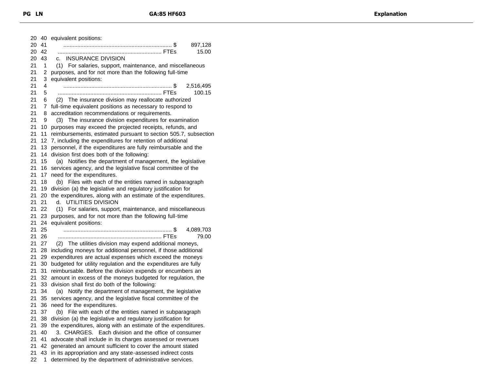| 20 | 40 | equivalent positions:                                           |
|----|----|-----------------------------------------------------------------|
| 20 | 41 | 897,128                                                         |
| 20 | 42 | 15.00                                                           |
| 20 | 43 | <b>INSURANCE DIVISION</b><br>c.                                 |
| 21 | 1  | (1) For salaries, support, maintenance, and miscellaneous       |
| 21 | 2  | purposes, and for not more than the following full-time         |
| 21 | 3  | equivalent positions:                                           |
|    |    |                                                                 |
| 21 | 4  | 2,516,495                                                       |
| 21 | 5  | 100.15                                                          |
| 21 | 6  | (2) The insurance division may reallocate authorized            |
| 21 | 7  | full-time equivalent positions as necessary to respond to       |
| 21 | 8  | accreditation recommendations or requirements.                  |
| 21 | 9  | (3) The insurance division expenditures for examination         |
| 21 | 10 | purposes may exceed the projected receipts, refunds, and        |
| 21 | 11 | reimbursements, estimated pursuant to section 505.7, subsection |
| 21 | 12 | 7, including the expenditures for retention of additional       |
| 21 | 13 | personnel, if the expenditures are fully reimbursable and the   |
| 21 | 14 | division first does both of the following:                      |
| 21 | 15 | Notifies the department of management, the legislative<br>(a)   |
| 21 | 16 | services agency, and the legislative fiscal committee of the    |
|    |    |                                                                 |
| 21 | 17 | need for the expenditures.                                      |
| 21 | 18 | (b) Files with each of the entities named in subparagraph       |
| 21 | 19 | division (a) the legislative and regulatory justification for   |
| 21 | 20 | the expenditures, along with an estimate of the expenditures.   |
| 21 | 21 | d. UTILITIES DIVISION                                           |
| 21 | 22 | (1) For salaries, support, maintenance, and miscellaneous       |
| 21 | 23 | purposes, and for not more than the following full-time         |
| 21 | 24 | equivalent positions:                                           |
| 21 | 25 | 4,089,703                                                       |
| 21 | 26 | 79.00                                                           |
| 21 | 27 | (2) The utilities division may expend additional moneys,        |
| 21 | 28 | including moneys for additional personnel, if those additional  |
| 21 | 29 | expenditures are actual expenses which exceed the moneys        |
| 21 | 30 | budgeted for utility regulation and the expenditures are fully  |
| 21 | 31 |                                                                 |
|    |    | reimbursable. Before the division expends or encumbers an       |
| 21 | 32 | amount in excess of the moneys budgeted for regulation, the     |
| 21 | 33 | division shall first do both of the following:                  |
| 21 | 34 | Notify the department of management, the legislative<br>(a)     |
| 21 | 35 | services agency, and the legislative fiscal committee of the    |
| 21 | 36 | need for the expenditures.                                      |
| 21 | 37 | (b) File with each of the entities named in subparagraph        |
| 21 | 38 | division (a) the legislative and regulatory justification for   |
| 21 | 39 | the expenditures, along with an estimate of the expenditures.   |
| 21 | 40 | 3. CHARGES. Each division and the office of consumer            |
| 21 | 41 | advocate shall include in its charges assessed or revenues      |
| 21 | 42 | generated an amount sufficient to cover the amount stated       |
| 21 | 43 | in its appropriation and any state-assessed indirect costs      |
| 22 | 1  | determined by the department of administrative services.        |
|    |    |                                                                 |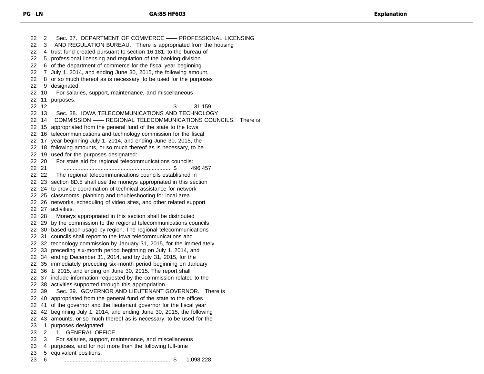22 2 Sec. 37. DEPARTMENT OF COMMERCE - PROFESSIONAL LICENSING 3 AND REGULATION BUREAU. There is appropriated from the housing 4 trust fund created pursuant to section 16.181, to the bureau of 5 professional licensing and regulation of the banking division 6 of the department of commerce for the fiscal year beginning 7 July 1, 2014, and ending June 30, 2015, the following amount, 22 8 or so much thereof as is necessary, to be used for the purposes 9 designated: 10 For salaries, support, maintenance, and miscellaneous 11 purposes: 12 ...................................................................... \$ 31,159 13 Sec. 38. IOWA TELECOMMUNICATIONS AND TECHNOLOGY 14 COMMISSION —— REGIONAL TELECOMMUNICATIONS COUNCILS. There is 15 appropriated from the general fund of the state to the Iowa 16 telecommunications and technology commission for the fiscal 17 year beginning July 1, 2014, and ending June 30, 2015, the 18 following amounts, or so much thereof as is necessary, to be 19 used for the purposes designated: 20 For state aid for regional telecommunications councils: 21 ...................................................................... \$ 496,457 22 22 The regional telecommunications councils established in 23 section 8D.5 shall use the moneys appropriated in this section 24 to provide coordination of technical assistance for network 25 classrooms, planning and troubleshooting for local area 26 networks, scheduling of video sites, and other related support 27 activities. 28 Moneys appropriated in this section shall be distributed 29 by the commission to the regional telecommunications councils 30 based upon usage by region. The regional telecommunications 31 councils shall report to the Iowa telecommunications and 32 technology commission by January 31, 2015, for the immediately 33 preceding six-month period beginning on July 1, 2014, and 34 ending December 31, 2014, and by July 31, 2015, for the 35 immediately preceding six-month period beginning on January 36 1, 2015, and ending on June 30, 2015. The report shall 37 include information requested by the commission related to the 38 activities supported through this appropriation. 39 Sec. 39. GOVERNOR AND LIEUTENANT GOVERNOR. There is 40 appropriated from the general fund of the state to the offices 41 of the governor and the lieutenant governor for the fiscal year 42 beginning July 1, 2014, and ending June 30, 2015, the following 43 amounts, or so much thereof as is necessary, to be used for the 1 purposes designated: 2 1. GENERAL OFFICE 3 For salaries, support, maintenance, and miscellaneous 4 purposes, and for not more than the following full-time 5 equivalent positions: 6 ...................................................................... \$ 1,098,228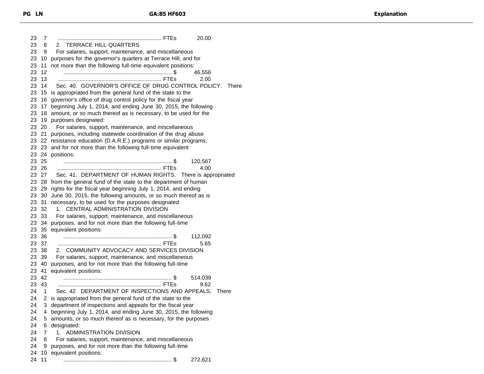7 ................................................................... FTEs 20.00 8 2. TERRACE HILL QUARTERS 9 For salaries, support, maintenance, and miscellaneous 10 purposes for the governor's quarters at Terrace Hill, and for 11 not more than the following full-time equivalent positions: 12 ...................................................................... \$ 46,556 13 ................................................................... FTEs 2.00 14 Sec. 40. GOVERNOR'S OFFICE OF DRUG CONTROL POLICY. There 15 is appropriated from the general fund of the state to the 16 governor's office of drug control policy for the fiscal year 17 beginning July 1, 2014, and ending June 30, 2015, the following 18 amount, or so much thereof as is necessary, to be used for the 19 purposes designated: 20 For salaries, support, maintenance, and miscellaneous 21 purposes, including statewide coordination of the drug abuse 22 resistance education (D.A.R.E.) programs or similar programs, 23 and for not more than the following full-time equivalent 24 positions: 25 ...................................................................... \$ 120,567 26 ................................................................... FTEs 4.00 27 Sec. 41. DEPARTMENT OF HUMAN RIGHTS. There is appropriated 28 from the general fund of the state to the department of human 29 rights for the fiscal year beginning July 1, 2014, and ending 30 June 30, 2015, the following amounts, or so much thereof as is 31 necessary, to be used for the purposes designated: 32 1. CENTRAL ADMINISTRATION DIVISION 33 For salaries, support, maintenance, and miscellaneous 34 purposes, and for not more than the following full-time 35 equivalent positions: 36 ...................................................................... \$ 112,092 37 ................................................................... FTEs 5.65 38 2. COMMUNITY ADVOCACY AND SERVICES DIVISION 39 For salaries, support, maintenance, and miscellaneous 40 purposes, and for not more than the following full-time 41 equivalent positions: 42 ...................................................................... \$ 514,039 43 ................................................................... FTEs 9.62 1 Sec. 42. DEPARTMENT OF INSPECTIONS AND APPEALS. There 2 is appropriated from the general fund of the state to the 24 3 department of inspections and appeals for the fiscal year 4 beginning July 1, 2014, and ending June 30, 2015, the following 5 amounts, or so much thereof as is necessary, for the purposes 6 designated: 7 1. ADMINISTRATION DIVISION 8 For salaries, support, maintenance, and miscellaneous 9 purposes, and for not more than the following full-time 10 equivalent positions: 11 ...................................................................... \$ 272,621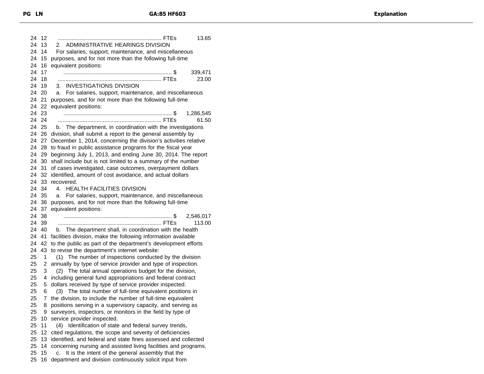12 ................................................................... FTEs 13.65 13 2. ADMINISTRATIVE HEARINGS DIVISION 14 For salaries, support, maintenance, and miscellaneous 15 purposes, and for not more than the following full-time 16 equivalent positions: 17 ...................................................................... \$ 339,471 18 ................................................................... FTEs 23.00 19 3. INVESTIGATIONS DIVISION 20 a. For salaries, support, maintenance, and miscellaneous 21 purposes, and for not more than the following full-time 22 equivalent positions: 23 ...................................................................... \$ 1,286,545 24 ................................................................... FTEs 61.50 25 b. The department, in coordination with the investigations 26 division, shall submit a report to the general assembly by 27 December 1, 2014, concerning the division's activities relative 28 to fraud in public assistance programs for the fiscal year 29 beginning July 1, 2013, and ending June 30, 2014. The report 30 shall include but is not limited to a summary of the number 31 of cases investigated, case outcomes, overpayment dollars 32 identified, amount of cost avoidance, and actual dollars 33 recovered. 34 4. HEALTH FACILITIES DIVISION 35 a. For salaries, support, maintenance, and miscellaneous 36 purposes, and for not more than the following full-time 37 equivalent positions: 38 ...................................................................... \$ 2,546,017 39 ................................................................... FTEs 113.00 40 b. The department shall, in coordination with the health 41 facilities division, make the following information available 42 to the public as part of the department's development efforts 43 to revise the department's internet website: 1 (1) The number of inspections conducted by the division 2 annually by type of service provider and type of inspection. 3 (2) The total annual operations budget for the division, 4 including general fund appropriations and federal contract 5 dollars received by type of service provider inspected. 6 (3) The total number of full-time equivalent positions in 7 the division, to include the number of full-time equivalent 8 positions serving in a supervisory capacity, and serving as 9 surveyors, inspectors, or monitors in the field by type of 10 service provider inspected. 11 (4) Identification of state and federal survey trends, 12 cited regulations, the scope and severity of deficiencies 13 identified, and federal and state fines assessed and collected 14 concerning nursing and assisted living facilities and programs. 15 c. It is the intent of the general assembly that the 16 department and division continuously solicit input from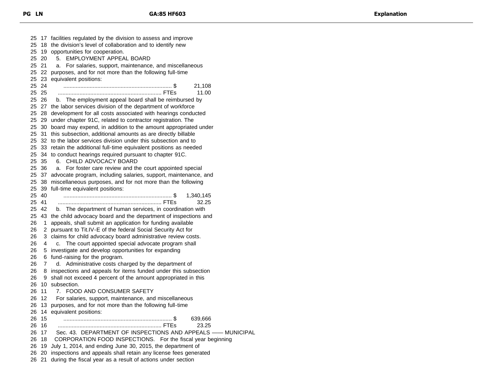17 facilities regulated by the division to assess and improve 18 the division's level of collaboration and to identify new 19 opportunities for cooperation. 20 5. EMPLOYMENT APPEAL BOARD 21 a. For salaries, support, maintenance, and miscellaneous 22 purposes, and for not more than the following full-time 23 equivalent positions: 24 ...................................................................... \$ 21,108 25 ................................................................... FTEs 11.00 26 b. The employment appeal board shall be reimbursed by 27 the labor services division of the department of workforce 28 development for all costs associated with hearings conducted 29 under chapter 91C, related to contractor registration. The 30 board may expend, in addition to the amount appropriated under 31 this subsection, additional amounts as are directly billable 32 to the labor services division under this subsection and to 33 retain the additional full-time equivalent positions as needed 34 to conduct hearings required pursuant to chapter 91C. 35 6. CHILD ADVOCACY BOARD 36 a. For foster care review and the court appointed special 37 advocate program, including salaries, support, maintenance, and 38 miscellaneous purposes, and for not more than the following 39 full-time equivalent positions: 40 ...................................................................... \$ 1,340,145 41 ................................................................... FTEs 32.25 42 b. The department of human services, in coordination with 43 the child advocacy board and the department of inspections and 1 appeals, shall submit an application for funding available 2 pursuant to Tit.IV-E of the federal Social Security Act for 3 claims for child advocacy board administrative review costs. 4 c. The court appointed special advocate program shall 5 investigate and develop opportunities for expanding 6 fund-raising for the program. 7 d. Administrative costs charged by the department of 8 inspections and appeals for items funded under this subsection 9 shall not exceed 4 percent of the amount appropriated in this 10 subsection. 11 7. FOOD AND CONSUMER SAFETY 12 For salaries, support, maintenance, and miscellaneous 13 purposes, and for not more than the following full-time 14 equivalent positions: 15 ...................................................................... \$ 639,666 16 ................................................................... FTEs 23.25 17 Sec. 43. DEPARTMENT OF INSPECTIONS AND APPEALS —— MUNICIPAL 18 CORPORATION FOOD INSPECTIONS. For the fiscal year beginning 19 July 1, 2014, and ending June 30, 2015, the department of 20 inspections and appeals shall retain any license fees generated 21 during the fiscal year as a result of actions under section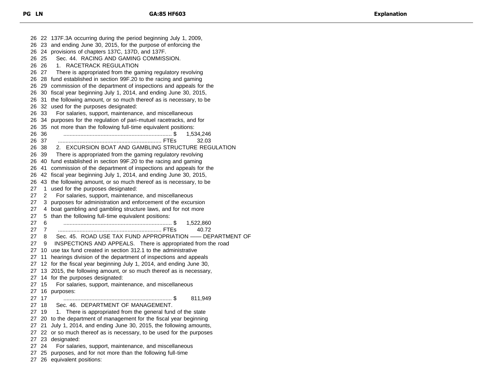22 137F.3A occurring during the period beginning July 1, 2009, 23 and ending June 30, 2015, for the purpose of enforcing the 24 provisions of chapters 137C, 137D, and 137F. 25 Sec. 44. RACING AND GAMING COMMISSION. 26 1. RACETRACK REGULATION 27 There is appropriated from the gaming regulatory revolving 28 fund established in section 99F.20 to the racing and gaming 29 commission of the department of inspections and appeals for the 30 fiscal year beginning July 1, 2014, and ending June 30, 2015, 31 the following amount, or so much thereof as is necessary, to be 32 used for the purposes designated: 33 For salaries, support, maintenance, and miscellaneous 34 purposes for the regulation of pari-mutuel racetracks, and for 35 not more than the following full-time equivalent positions: 36 ...................................................................... \$ 1,534,246 37 ................................................................... FTEs 32.03 38 2. EXCURSION BOAT AND GAMBLING STRUCTURE REGULATION 39 There is appropriated from the gaming regulatory revolving 40 fund established in section 99F.20 to the racing and gaming 41 commission of the department of inspections and appeals for the 42 fiscal year beginning July 1, 2014, and ending June 30, 2015, 43 the following amount, or so much thereof as is necessary, to be 1 used for the purposes designated: 2 For salaries, support, maintenance, and miscellaneous 3 purposes for administration and enforcement of the excursion 4 boat gambling and gambling structure laws, and for not more 5 than the following full-time equivalent positions: 6 ...................................................................... \$ 1,522,860 7 ................................................................... FTEs 40.72 8 Sec. 45. ROAD USE TAX FUND APPROPRIATION —— DEPARTMENT OF 9 INSPECTIONS AND APPEALS. There is appropriated from the road 10 use tax fund created in section 312.1 to the administrative 11 hearings division of the department of inspections and appeals 12 for the fiscal year beginning July 1, 2014, and ending June 30, 13 2015, the following amount, or so much thereof as is necessary, 14 for the purposes designated: 15 For salaries, support, maintenance, and miscellaneous 16 purposes: 17 ...................................................................... \$ 811,949 18 Sec. 46. DEPARTMENT OF MANAGEMENT. 27 19 1. There is appropriated from the general fund of the state 20 to the department of management for the fiscal year beginning 21 July 1, 2014, and ending June 30, 2015, the following amounts, 22 or so much thereof as is necessary, to be used for the purposes 23 designated: 24 For salaries, support, maintenance, and miscellaneous 25 purposes, and for not more than the following full-time 26 equivalent positions: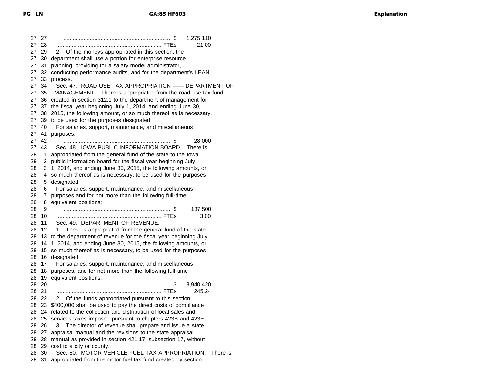27 ...................................................................... \$ 1,275,110 28 ................................................................... FTEs 21.00 29 2. Of the moneys appropriated in this section, the 30 department shall use a portion for enterprise resource 31 planning, providing for a salary model administrator, 32 conducting performance audits, and for the department's LEAN 33 process. 34 Sec. 47. ROAD USE TAX APPROPRIATION —— DEPARTMENT OF 35 MANAGEMENT. There is appropriated from the road use tax fund 36 created in section 312.1 to the department of management for 37 the fiscal year beginning July 1, 2014, and ending June 30, 38 2015, the following amount, or so much thereof as is necessary, 39 to be used for the purposes designated: 40 For salaries, support, maintenance, and miscellaneous 41 purposes: 42 ...................................................................... \$ 28,000 43 Sec. 48. IOWA PUBLIC INFORMATION BOARD. There is 1 appropriated from the general fund of the state to the Iowa 2 public information board for the fiscal year beginning July 3 1, 2014, and ending June 30, 2015, the following amounts, or 4 so much thereof as is necessary, to be used for the purposes 5 designated: 6 For salaries, support, maintenance, and miscellaneous 7 purposes and for not more than the following full-time 8 equivalent positions: 9 ...................................................................... \$ 137,500 10 ................................................................... FTEs 3.00 11 Sec. 49. DEPARTMENT OF REVENUE. 12 1. There is appropriated from the general fund of the state 13 to the department of revenue for the fiscal year beginning July 14 1, 2014, and ending June 30, 2015, the following amounts, or 15 so much thereof as is necessary, to be used for the purposes 16 designated: 17 For salaries, support, maintenance, and miscellaneous 18 purposes, and for not more than the following full-time 19 equivalent positions: 20 ...................................................................... \$ 8,940,420 21 ................................................................... FTEs 245.24 22 2. Of the funds appropriated pursuant to this section, 23 \$400,000 shall be used to pay the direct costs of compliance 24 related to the collection and distribution of local sales and 25 services taxes imposed pursuant to chapters 423B and 423E. 26 3. The director of revenue shall prepare and issue a state 27 appraisal manual and the revisions to the state appraisal 28 manual as provided in section 421.17, subsection 17, without 29 cost to a city or county. 30 Sec. 50. MOTOR VEHICLE FUEL TAX APPROPRIATION. There is 31 appropriated from the motor fuel tax fund created by section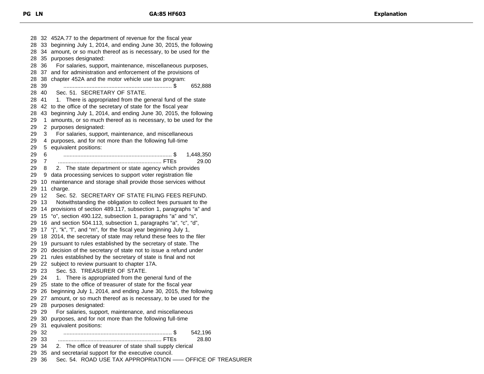32 452A.77 to the department of revenue for the fiscal year 33 beginning July 1, 2014, and ending June 30, 2015, the following 34 amount, or so much thereof as is necessary, to be used for the 35 purposes designated: 36 For salaries, support, maintenance, miscellaneous purposes, 37 and for administration and enforcement of the provisions of 38 chapter 452A and the motor vehicle use tax program: 39 ...................................................................... \$ 652,888 40 Sec. 51. SECRETARY OF STATE. 28 41 1. There is appropriated from the general fund of the state 42 to the office of the secretary of state for the fiscal year 43 beginning July 1, 2014, and ending June 30, 2015, the following 1 amounts, or so much thereof as is necessary, to be used for the 2 purposes designated: 3 For salaries, support, maintenance, and miscellaneous 4 purposes, and for not more than the following full-time 5 equivalent positions: 6 ...................................................................... \$ 1,448,350 7 ................................................................... FTEs 29.00 8 2. The state department or state agency which provides 9 data processing services to support voter registration file 10 maintenance and storage shall provide those services without 11 charge. 12 Sec. 52. SECRETARY OF STATE FILING FEES REFUND. 13 Notwithstanding the obligation to collect fees pursuant to the 14 provisions of section 489.117, subsection 1, paragraphs "a" and 15 "o", section 490.122, subsection 1, paragraphs "a" and "s", 16 and section 504.113, subsection 1, paragraphs "a", "c", "d", 17 "j", "k", "l", and "m", for the fiscal year beginning July 1, 18 2014, the secretary of state may refund these fees to the filer 19 pursuant to rules established by the secretary of state. The 20 decision of the secretary of state not to issue a refund under 21 rules established by the secretary of state is final and not 22 subject to review pursuant to chapter 17A. 23 Sec. 53. TREASURER OF STATE. 24 1. There is appropriated from the general fund of the 25 state to the office of treasurer of state for the fiscal year 26 beginning July 1, 2014, and ending June 30, 2015, the following 27 amount, or so much thereof as is necessary, to be used for the 28 purposes designated: 29 For salaries, support, maintenance, and miscellaneous 30 purposes, and for not more than the following full-time 31 equivalent positions: 32 ...................................................................... \$ 542,196 33 ................................................................... FTEs 28.80 34 2. The office of treasurer of state shall supply clerical 35 and secretarial support for the executive council. 36 Sec. 54. ROAD USE TAX APPROPRIATION —— OFFICE OF TREASURER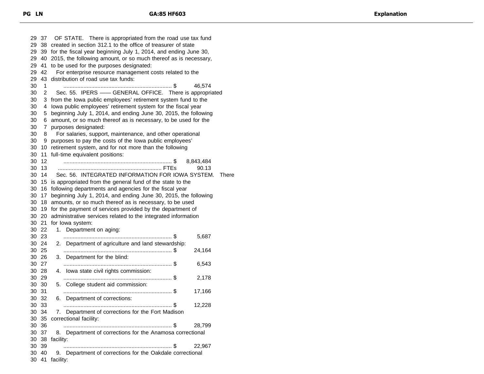37 OF STATE. There is appropriated from the road use tax fund 38 created in section 312.1 to the office of treasurer of state 39 for the fiscal year beginning July 1, 2014, and ending June 30, 40 2015, the following amount, or so much thereof as is necessary, 41 to be used for the purposes designated: 29 42 For enterprise resource management costs related to the 43 distribution of road use tax funds: 1 ...................................................................... \$ 46,574 2 Sec. 55. IPERS —— GENERAL OFFICE. There is appropriated 3 from the Iowa public employees' retirement system fund to the 4 Iowa public employees' retirement system for the fiscal year 5 beginning July 1, 2014, and ending June 30, 2015, the following 6 amount, or so much thereof as is necessary, to be used for the 7 purposes designated: 8 For salaries, support, maintenance, and other operational 9 purposes to pay the costs of the Iowa public employees' 10 retirement system, and for not more than the following 11 full-time equivalent positions: 12 ...................................................................... \$ 8,843,484 13 ................................................................... FTEs 90.13 14 Sec. 56. INTEGRATED INFORMATION FOR IOWA SYSTEM. There 15 is appropriated from the general fund of the state to the 16 following departments and agencies for the fiscal year 17 beginning July 1, 2014, and ending June 30, 2015, the following 18 amounts, or so much thereof as is necessary, to be used 19 for the payment of services provided by the department of 20 administrative services related to the integrated information 21 for Iowa system: 22 1. Department on aging: 23 ...................................................................... \$ 5,687 24 2. Department of agriculture and land stewardship: 25 ...................................................................... \$ 24,164 26 3. Department for the blind: 27 ...................................................................... \$ 6,543 28 4. Iowa state civil rights commission: 29 ...................................................................... \$ 2,178 30 5. College student aid commission: 31 ...................................................................... \$ 17,166 32 6. Department of corrections: 33 ...................................................................... \$ 12,228 34 7. Department of corrections for the Fort Madison 35 correctional facility: 36 ...................................................................... \$ 28,799 37 8. Department of corrections for the Anamosa correctional 38 facility: 39 ...................................................................... \$ 22,967 40 9. Department of corrections for the Oakdale correctional 41 facility: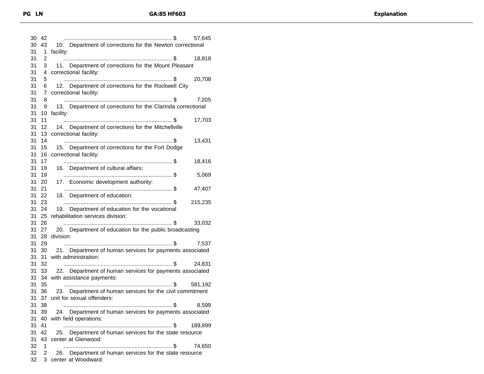| 30       | 42                 | 57,645                                                                                  |
|----------|--------------------|-----------------------------------------------------------------------------------------|
| 30<br>31 | 43<br>$\mathbf{1}$ | 10. Department of corrections for the Newton correctional<br>facility:                  |
| 31       | 2                  | 18,818                                                                                  |
| 31       | 3                  | 11. Department of corrections for the Mount Pleasant                                    |
| 31       | 4                  | correctional facility:                                                                  |
| 31       | 5                  | 20,708                                                                                  |
| 31       | 6                  | 12. Department of corrections for the Rockwell City                                     |
| 31       | $\overline{7}$     | correctional facility:                                                                  |
| 31       | 8                  | 7,205                                                                                   |
| 31       | 9                  | 13. Department of corrections for the Clarinda correctional                             |
| 31       | 10                 | facility:                                                                               |
| 31       | 11                 | 17,703                                                                                  |
| 31       | 12                 | 14. Department of corrections for the Mitchellville                                     |
| 31       | 13                 | correctional facility:                                                                  |
| 31       | 14                 | 13,431                                                                                  |
| 31       | 15                 | 15. Department of corrections for the Fort Dodge                                        |
| 31       | 16                 | correctional facility:                                                                  |
| 31       | 17                 | 18,416                                                                                  |
| 31       | 18                 | 16. Department of cultural affairs:                                                     |
| 31       | 19                 | 5,069                                                                                   |
| 31       | 20                 | 17. Economic development authority:                                                     |
| 31       | 21                 | 47,407                                                                                  |
| 31       | 22                 | 18. Department of education:                                                            |
| 31       | 23                 | 215,235                                                                                 |
| 31       | 24                 | 19. Department of education for the vocational                                          |
| 31       | 25                 | rehabilitation services division:                                                       |
| 31       | 26                 | 33,032                                                                                  |
| 31       | 27                 | 20. Department of education for the public broadcasting                                 |
| 31       | 28                 | division:                                                                               |
| 31       | 29                 | 7,537                                                                                   |
| 31       | 30                 | 21. Department of human services for payments associated                                |
| 31       | 31                 | with administration:                                                                    |
| 31       | 32                 | 24,831                                                                                  |
| 31       | 33                 | 22. Department of human services for payments associated                                |
| 31       | 34                 | with assistance payments:                                                               |
| 31       | 35                 | 581,192                                                                                 |
| 31<br>31 | 36                 | 23. Department of human services for the civil commitment<br>unit for sexual offenders: |
| 31       | 37<br>38           | 8,599                                                                                   |
|          |                    | 24. Department of human services for payments associated                                |
| 31<br>31 | 39<br>40           | with field operations:                                                                  |
| 31       | 41                 | 189,899                                                                                 |
| 31       | 42                 | 25. Department of human services for the state resource                                 |
| 31       | 43                 | center at Glenwood:                                                                     |
| 32       | 1                  | 74,650                                                                                  |
| 32       | 2                  | 26. Department of human services for the state resource                                 |
| 32       |                    | 3 center at Woodward:                                                                   |
|          |                    |                                                                                         |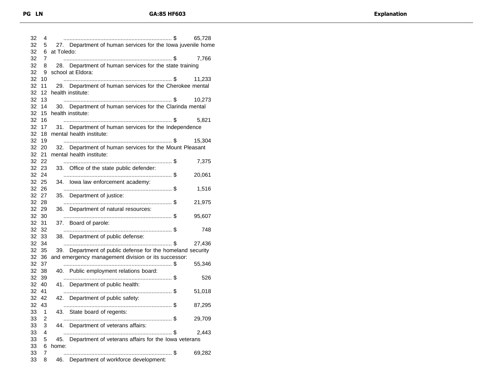| 32<br>32 | 4<br>5         |            | 27. Department of human services for the lowa juvenile home                                                       | 65,728 |
|----------|----------------|------------|-------------------------------------------------------------------------------------------------------------------|--------|
| 32       | 6              | at Toledo: |                                                                                                                   |        |
| 32<br>32 | 7<br>8         |            | 28. Department of human services for the state training                                                           | 7,766  |
| 32       | 9              |            | school at Eldora:                                                                                                 |        |
| 32       | 10             |            |                                                                                                                   | 11,233 |
| 32       | 11             |            | 29. Department of human services for the Cherokee mental                                                          |        |
| 32<br>32 | 12<br>13       |            | health institute:                                                                                                 | 10,273 |
| 32       | 14             |            | 30. Department of human services for the Clarinda mental                                                          |        |
| 32       | 15             |            | health institute:                                                                                                 |        |
| 32<br>32 | 16<br>17       |            | 31. Department of human services for the Independence                                                             | 5,821  |
| 32       | 18             |            | mental health institute:                                                                                          |        |
| 32       | 19             |            |                                                                                                                   | 15,304 |
|          | 32 20          |            | 32. Department of human services for the Mount Pleasant                                                           |        |
|          | 32 21          |            | mental health institute:                                                                                          |        |
|          | 32 22<br>32 23 |            | 33. Office of the state public defender:                                                                          | 7,375  |
|          | 32 24          |            |                                                                                                                   | 20,061 |
|          | 32 25          |            | 34. Iowa law enforcement academy:                                                                                 |        |
|          | 32 26          |            |                                                                                                                   | 1,516  |
|          | 32 27          |            | 35. Department of justice:                                                                                        |        |
|          | 32 28<br>32 29 |            | 36. Department of natural resources:                                                                              | 21,975 |
|          | 32 30          |            |                                                                                                                   | 95,607 |
|          | 32 31          |            | 37. Board of parole:                                                                                              |        |
|          | 32 32          |            |                                                                                                                   | 748    |
|          | 32 33          |            | 38. Department of public defense:                                                                                 |        |
|          | 32 34<br>32 35 |            |                                                                                                                   | 27,436 |
|          | 32 36          |            | 39. Department of public defense for the homeland security<br>and emergency management division or its successor: |        |
|          | 32 37          |            |                                                                                                                   | 55,346 |
|          | 32 38          |            | 40. Public employment relations board:                                                                            |        |
|          | 32 39          |            |                                                                                                                   | 526    |
|          | 32 40          |            | 41. Department of public health:                                                                                  |        |
| 32       | 41             |            | 42. Department of public safety:                                                                                  | 51,018 |
|          |                |            |                                                                                                                   |        |
|          | 32 42          |            |                                                                                                                   |        |
|          | 32 43<br>1     |            |                                                                                                                   | 87,295 |
| 33<br>33 | 2              |            | 43. State board of regents:                                                                                       | 29,709 |
| 33       | 3              |            | 44. Department of veterans affairs:                                                                               |        |
| 33       | 4              |            |                                                                                                                   | 2,443  |
| 33       | 5              |            | 45. Department of veterans affairs for the lowa veterans                                                          |        |
| 33<br>33 | 6<br>7         | home:      |                                                                                                                   | 69,282 |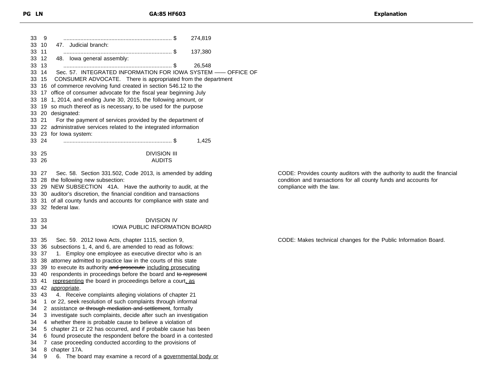| 33 | 9     | 274,819                                                              |
|----|-------|----------------------------------------------------------------------|
| 33 | 10    | 47. Judicial branch:                                                 |
| 33 | 11    | 137,380                                                              |
| 33 | 12    | 48. Iowa general assembly:                                           |
| 33 | 13    | 26,548                                                               |
| 33 | 14    | Sec. 57. INTEGRATED INFORMATION FOR IOWA SYSTEM -- OFFICE OF         |
| 33 | 15    | CONSUMER ADVOCATE. There is appropriated from the department         |
| 33 |       | 16 of commerce revolving fund created in section 546.12 to the       |
| 33 |       | 17 office of consumer advocate for the fiscal year beginning July    |
| 33 |       | 18 1, 2014, and ending June 30, 2015, the following amount, or       |
|    |       | 33 19 so much thereof as is necessary, to be used for the purpose    |
|    |       | 33 20 designated:                                                    |
|    | 33 21 | For the payment of services provided by the department of            |
|    |       | 33 22 administrative services related to the integrated information  |
|    |       | 33 23 for lowa system:                                               |
|    | 33 24 | 1,425                                                                |
|    |       |                                                                      |
|    | 33 25 | <b>DIVISION III</b>                                                  |
|    | 33 26 | <b>AUDITS</b>                                                        |
|    |       |                                                                      |
|    | 33 27 | Sec. 58. Section 331.502, Code 2013, is amended by adding            |
|    |       | 33 28 the following new subsection:                                  |
|    |       | 33 29 NEW SUBSECTION 41A. Have the authority to audit, at the        |
|    |       | 33 30 auditor's discretion, the financial condition and transactions |
|    |       | 33 31 of all county funds and accounts for compliance with state and |
|    |       | 33 32 federal law.                                                   |
|    |       |                                                                      |
|    | 33 33 | <b>DIVISION IV</b>                                                   |
|    | 33 34 | IOWA PUBLIC INFORMATION BOARD                                        |
|    |       |                                                                      |
|    | 33 35 | Sec. 59. 2012 lowa Acts, chapter 1115, section 9,                    |
|    |       | 33 36 subsections 1, 4, and 6, are amended to read as follows:       |
|    | 33 37 | 1. Employ one employee as executive director who is an               |
|    |       | 33 38 attorney admitted to practice law in the courts of this state  |
|    |       | 33 39 to execute its authority and prosecute including prosecuting   |
|    |       | 33 40 respondents in proceedings before the board and to represent   |
|    |       | 33 41 representing the board in proceedings before a court, as       |
|    |       | 33 42 appropriate.                                                   |
|    | 33 43 | 4. Receive complaints alleging violations of chapter 21              |
| 34 |       | 1 or 22, seek resolution of such complaints through informal         |
|    |       | 34 2 assistance or through mediation and settlement, formally        |
| 34 |       | 3 investigate such complaints, decide after such an investigation    |
| 34 |       | 4 whether there is probable cause to believe a violation of          |
| 34 |       | 5 chapter 21 or 22 has occurred, and if probable cause has been      |
| 34 |       | 6 found prosecute the respondent before the board in a contested     |
| 34 | 7     | case proceeding conducted according to the provisions of             |
| 34 | 8.    | chapter 17A.                                                         |
| 34 | 9     | The board may examine a record of a governmental body or<br>6.       |

CODE: Provides county auditors with the authority to audit the financial condition and transactions for all county funds and accounts for compliance with the law.

CODE: Makes technical changes for the Public Information Board.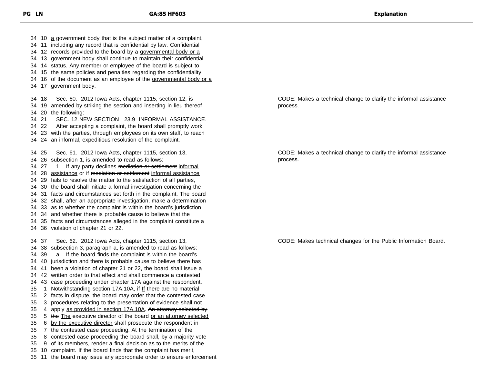11 including any record that is confidential by law. Confidential 12 records provided to the board by a governmental body or a 13 government body shall continue to maintain their confidential 14 status. Any member or employee of the board is subject to 15 the same policies and penalties regarding the confidentiality 34 16 of the document as an employee of the governmental body or a 17 government body. 18 Sec. 60. 2012 Iowa Acts, chapter 1115, section 12, is 19 amended by striking the section and inserting in lieu thereof 20 the following: 21 SEC. 12.NEW SECTION 23.9 INFORMAL ASSISTANCE. 22 After accepting a complaint, the board shall promptly work 23 with the parties, through employees on its own staff, to reach 24 an informal, expeditious resolution of the complaint. 25 Sec. 61. 2012 Iowa Acts, chapter 1115, section 13, 26 subsection 1, is amended to read as follows: 34 27 1. If any party declines mediation or settlement informal 34 28 assistance or if mediation or settlement informal assistance 29 fails to resolve the matter to the satisfaction of all parties, 30 the board shall initiate a formal investigation concerning the 31 facts and circumstances set forth in the complaint. The board 32 shall, after an appropriate investigation, make a determination 33 as to whether the complaint is within the board's jurisdiction 34 and whether there is probable cause to believe that the 35 facts and circumstances alleged in the complaint constitute a 36 violation of chapter 21 or 22. 37 Sec. 62. 2012 Iowa Acts, chapter 1115, section 13, 38 subsection 3, paragraph a, is amended to read as follows: 39 a. If the board finds the complaint is within the board's 40 jurisdiction and there is probable cause to believe there has 41 been a violation of chapter 21 or 22, the board shall issue a 42 written order to that effect and shall commence a contested 43 case proceeding under chapter 17A against the respondent. 35 1 Notwithstanding section 17A.10A, if If there are no material 2 facts in dispute, the board may order that the contested case 3 procedures relating to the presentation of evidence shall not 35 4 apply as provided in section 17A.10A. An attorney selected by 35 5 the The executive director of the board or an attorney selected 35 6 by the executive director shall prosecute the respondent in 7 the contested case proceeding. At the termination of the 8 contested case proceeding the board shall, by a majority vote 9 of its members, render a final decision as to the merits of the 10 complaint. If the board finds that the complaint has merit, 11 the board may issue any appropriate order to ensure enforcement

10 a government body that is the subject matter of a complaint,

CODE: Makes a technical change to clarify the informal assistance process.

CODE: Makes a technical change to clarify the informal assistance process.

CODE: Makes technical changes for the Public Information Board.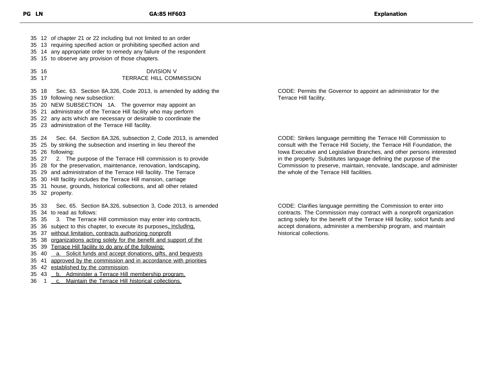12 of chapter 21 or 22 including but not limited to an order 13 requiring specified action or prohibiting specified action and 14 any appropriate order to remedy any failure of the respondent 15 to observe any provision of those chapters. 16 DIVISION V 17 TERRACE HILL COMMISSION 18 Sec. 63. Section 8A.326, Code 2013, is amended by adding the 19 following new subsection: 20 NEW SUBSECTION 1A. The governor may appoint an 21 administrator of the Terrace Hill facility who may perform 22 any acts which are necessary or desirable to coordinate the 23 administration of the Terrace Hill facility. 24 Sec. 64. Section 8A.326, subsection 2, Code 2013, is amended 25 by striking the subsection and inserting in lieu thereof the 26 following: 27 2. The purpose of the Terrace Hill commission is to provide 28 for the preservation, maintenance, renovation, landscaping, 29 and administration of the Terrace Hill facility. The Terrace 30 Hill facility includes the Terrace Hill mansion, carriage 31 house, grounds, historical collections, and all other related 32 property. 33 Sec. 65. Section 8A.326, subsection 3, Code 2013, is amended 34 to read as follows: 35 3. The Terrace Hill commission may enter into contracts, 36 subject to this chapter, to execute its purposes, including, 37 without limitation, contracts authorizing nonprofit 38 organizations acting solely for the benefit and support of the 39 Terrace Hill facility to do any of the following: 35 40 a. Solicit funds and accept donations, gifts, and bequests 41 approved by the commission and in accordance with priorities 42 established by the commission.

- 35 43 b. Administer a Terrace Hill membership program.
- 36 1 c. Maintain the Terrace Hill historical collections.

CODE: Permits the Governor to appoint an administrator for the Terrace Hill facility.

CODE: Strikes language permitting the Terrace Hill Commission to consult with the Terrace Hill Society, the Terrace Hill Foundation, the Iowa Executive and Legislative Branches, and other persons interested in the property. Substitutes language defining the purpose of the Commission to preserve, maintain, renovate, landscape, and administer the whole of the Terrace Hill facilities.

CODE: Clarifies language permitting the Commission to enter into contracts. The Commission may contract with a nonprofit organization acting solely for the benefit of the Terrace Hill facility, solicit funds and accept donations, administer a membership program, and maintain historical collections.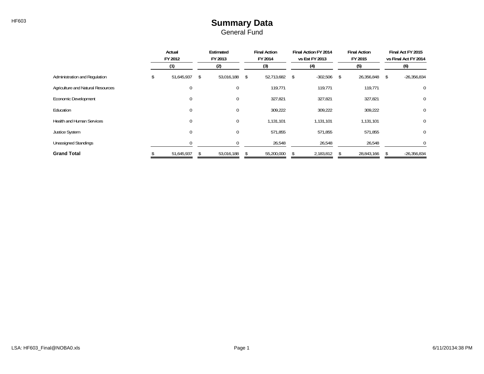## HF603 **Summary Data** General Fund

|                                   | Actual<br>FY 2012 |            | Estimated<br>FY 2013 |             |      | <b>Final Action</b><br>FY 2014 |  | Final Action FY 2014<br>vs Est FY 2013 | <b>Final Action</b><br>FY 2015 |            | Final Act FY 2015<br>vs Final Act FY 2014 |               |
|-----------------------------------|-------------------|------------|----------------------|-------------|------|--------------------------------|--|----------------------------------------|--------------------------------|------------|-------------------------------------------|---------------|
|                                   |                   | (1)        | (2)                  |             |      | (3)                            |  | (4)                                    |                                | (5)        |                                           | (6)           |
| Administration and Regulation     |                   | 51,645,937 | S.                   | 53,016,188  | - \$ | 52,713,682 \$                  |  | $-302,506$                             | \$                             | 26,356,848 | \$                                        | $-26,356,834$ |
| Agriculture and Natural Resources |                   | $\Omega$   |                      | 0           |      | 119,771                        |  | 119,771                                |                                | 119,771    |                                           | $\mathbf 0$   |
| Economic Development              |                   | $\Omega$   |                      | 0           |      | 327,821                        |  | 327,821                                |                                | 327,821    |                                           | $\mathbf 0$   |
| Education                         |                   | $\Omega$   |                      | $\mathbf 0$ |      | 309,222                        |  | 309,222                                |                                | 309,222    |                                           | $\mathbf 0$   |
| <b>Health and Human Services</b>  |                   | $\Omega$   |                      | $\Omega$    |      | 1,131,101                      |  | 1,131,101                              |                                | 1,131,101  |                                           | $\mathbf 0$   |
| Justice System                    |                   | $\Omega$   |                      | 0           |      | 571,855                        |  | 571,855                                |                                | 571,855    |                                           | 0             |
| <b>Unassigned Standings</b>       |                   |            |                      |             |      | 26,548                         |  | 26,548                                 |                                | 26,548     |                                           | $\Omega$      |
| <b>Grand Total</b>                |                   | 51,645,937 |                      | 53,016,188  |      | 55,200,000                     |  | 2,183,812                              |                                | 28,843,166 |                                           | $-26,356,834$ |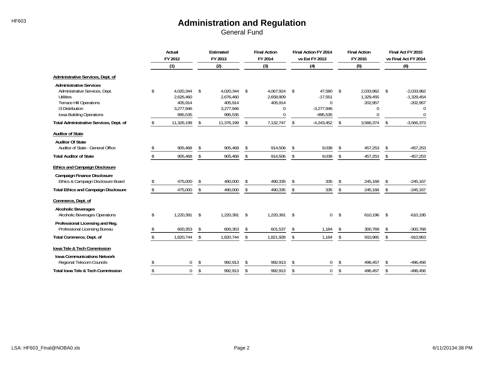|                                                                                                                                                                       | Actual<br>FY 2012<br>(1) |                                                           | Estimated<br>FY 2013 |                                                           |     | <b>Final Action</b><br>FY 2014                     | Final Action FY 2014<br>vs Est FY 2013 |                                                             |    | <b>Final Action</b><br>FY 2015                     | Final Act FY 2015<br>vs Final Act FY 2014 |                                                                |
|-----------------------------------------------------------------------------------------------------------------------------------------------------------------------|--------------------------|-----------------------------------------------------------|----------------------|-----------------------------------------------------------|-----|----------------------------------------------------|----------------------------------------|-------------------------------------------------------------|----|----------------------------------------------------|-------------------------------------------|----------------------------------------------------------------|
|                                                                                                                                                                       |                          |                                                           |                      | (2)                                                       |     | (3)                                                |                                        | (4)                                                         |    | (5)                                                |                                           | (6)                                                            |
| Administrative Services, Dept. of                                                                                                                                     |                          |                                                           |                      |                                                           |     |                                                    |                                        |                                                             |    |                                                    |                                           |                                                                |
| <b>Administrative Services</b><br>Administrative Services, Dept.<br><b>Utilities</b><br><b>Terrace Hill Operations</b><br>13 Distribution<br>Iowa Building Operations | \$                       | 4.020.344<br>2,626,460<br>405,914<br>3,277,946<br>995,535 | -\$                  | 4,020,344<br>2,676,460<br>405,914<br>3,277,946<br>995,535 | -\$ | 4.067.924<br>2,658,909<br>405,914<br>0<br>$\Omega$ | -\$                                    | 47.580<br>$-17,551$<br>$\Omega$<br>$-3,277,946$<br>-995,535 | \$ | 2.033.962<br>1,329,455<br>202,957<br>0<br>$\Omega$ | - \$                                      | $-2,033,962$<br>$-1,329,454$<br>$-202,957$<br>0<br>$\mathbf 0$ |
| Total Administrative Services, Dept. of                                                                                                                               | \$                       | 11,326,199                                                | \$                   | 11,376,199                                                | \$  | 7,132,747                                          | \$                                     | $-4,243,452$                                                | \$ | 3,566,374                                          | \$                                        | $-3,566,373$                                                   |
| <b>Auditor of State</b>                                                                                                                                               |                          |                                                           |                      |                                                           |     |                                                    |                                        |                                                             |    |                                                    |                                           |                                                                |
| <b>Auditor Of State</b><br>Auditor of State - General Office                                                                                                          | \$                       | 905,468                                                   | \$                   | 905,468                                                   | \$  | 914,506                                            | \$                                     | 9,038                                                       | \$ | 457,253                                            | S                                         | $-457,253$                                                     |
| <b>Total Auditor of State</b>                                                                                                                                         | \$                       | 905,468                                                   | \$                   | 905,468                                                   | \$  | 914,506                                            | \$                                     | 9,038                                                       | \$ | 457,253                                            | \$                                        | $-457,253$                                                     |
| <b>Ethics and Campaign Disclosure</b>                                                                                                                                 |                          |                                                           |                      |                                                           |     |                                                    |                                        |                                                             |    |                                                    |                                           |                                                                |
| <b>Campaign Finance Disclosure</b><br>Ethics & Campaign Disclosure Board                                                                                              | \$                       | 475,000                                                   | \$                   | 490,000                                                   | \$  | 490,335                                            | \$                                     | 335                                                         | \$ | 245,168                                            | \$                                        | $-245,167$                                                     |
| <b>Total Ethics and Campaign Disclosure</b>                                                                                                                           | \$                       | 475,000                                                   | \$                   | 490,000                                                   | \$  | 490,335                                            | \$                                     | 335                                                         | \$ | 245,168                                            | \$                                        | $-245,167$                                                     |
| Commerce, Dept. of                                                                                                                                                    |                          |                                                           |                      |                                                           |     |                                                    |                                        |                                                             |    |                                                    |                                           |                                                                |
| <b>Alcoholic Beverages</b><br>Alcoholic Beverages Operations                                                                                                          | \$                       | 1,220,391                                                 | \$                   | 1,220,391                                                 | -\$ | 1,220,391                                          | $\mathsf{s}$                           | $\Omega$                                                    | \$ | 610,196                                            | -\$                                       | $-610,195$                                                     |
| Professional Licensing and Reg.<br>Professional Licensing Bureau                                                                                                      | \$                       | 600,353                                                   | \$                   | 600,353                                                   | \$  | 601,537                                            | \$                                     | 1,184                                                       | \$ | 300,769                                            | S                                         | $-300,768$                                                     |
| Total Commerce, Dept. of                                                                                                                                              | \$                       | 1,820,744                                                 | \$                   | 1,820,744                                                 | \$  | 1,821,928                                          | \$                                     | 1,184                                                       | \$ | 910,965                                            | \$                                        | $-910,963$                                                     |
| Iowa Tele & Tech Commission                                                                                                                                           |                          |                                                           |                      |                                                           |     |                                                    |                                        |                                                             |    |                                                    |                                           |                                                                |
| <b>Iowa Communications Network</b><br>Regional Telecom Councils                                                                                                       | \$                       | 0                                                         | \$                   | 992,913                                                   | \$  | 992,913                                            | \$                                     | 0                                                           | \$ | 496,457                                            | \$                                        | $-496,456$                                                     |
| <b>Total Iowa Tele &amp; Tech Commission</b>                                                                                                                          |                          | $\mathbf 0$                                               | \$                   | 992,913                                                   | \$  | 992,913                                            | \$                                     | $\mathbf 0$                                                 | \$ | 496,457                                            | \$                                        | $-496,456$                                                     |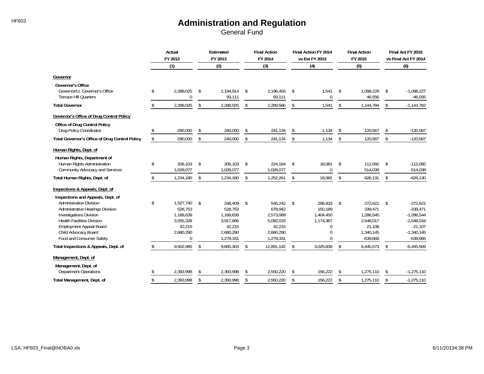|                                                                                                                                                                                                                          | Actual<br>FY 2012<br>(1) |                                                                                   | Estimated<br>FY 2013 |                                                                                  | <b>Final Action</b><br>FY 2014 |                                                                                  | Final Action FY 2014<br>vs Est FY 2013 |                                                                    |    | <b>Final Action</b><br>FY 2015                                                 |            | Final Act FY 2015<br>vs Final Act FY 2014                                                           |  |
|--------------------------------------------------------------------------------------------------------------------------------------------------------------------------------------------------------------------------|--------------------------|-----------------------------------------------------------------------------------|----------------------|----------------------------------------------------------------------------------|--------------------------------|----------------------------------------------------------------------------------|----------------------------------------|--------------------------------------------------------------------|----|--------------------------------------------------------------------------------|------------|-----------------------------------------------------------------------------------------------------|--|
|                                                                                                                                                                                                                          |                          |                                                                                   |                      | (2)                                                                              |                                | (3)                                                                              |                                        | (4)                                                                |    | (5)                                                                            |            | (6)                                                                                                 |  |
| Governor                                                                                                                                                                                                                 |                          |                                                                                   |                      |                                                                                  |                                |                                                                                  |                                        |                                                                    |    |                                                                                |            |                                                                                                     |  |
| <b>Governor's Office</b><br>Governor/Lt. Governor's Office<br><b>Terrace Hill Quarters</b>                                                                                                                               | \$                       | 2,288,025<br>$\Omega$                                                             | \$                   | 2,194,914<br>93,111                                                              | \$                             | 2,196,455<br>93,111                                                              | \$                                     | 1,541<br>$\mathbf 0$                                               | \$ | 1,098,228<br>46,556                                                            | \$         | $-1,098,227$<br>$-46,555$                                                                           |  |
| <b>Total Governor</b>                                                                                                                                                                                                    | \$                       | 2,288,025                                                                         | \$                   | 2,288,025                                                                        | \$                             | 2,289,566                                                                        | \$                                     | 1,541                                                              | \$ | 1,144,784                                                                      | \$         | $-1,144,782$                                                                                        |  |
| Governor's Office of Drug Control Policy                                                                                                                                                                                 |                          |                                                                                   |                      |                                                                                  |                                |                                                                                  |                                        |                                                                    |    |                                                                                |            |                                                                                                     |  |
| Office of Drug Control Policy<br>Drug Policy Coordinator                                                                                                                                                                 |                          | 290,000                                                                           | \$                   | 240,000                                                                          | \$                             | 241,134                                                                          | \$                                     | 1,134                                                              | \$ | 120,567                                                                        | \$         | $-120,567$                                                                                          |  |
| <b>Total Governor's Office of Drug Control Policy</b>                                                                                                                                                                    | \$                       | 290,000                                                                           | \$                   | 240,000                                                                          | \$                             | 241,134                                                                          | \$                                     | 1,134                                                              | \$ | 120,567                                                                        | \$         | $-120,567$                                                                                          |  |
| Human Rights, Dept. of<br>Human Rights, Department of                                                                                                                                                                    |                          |                                                                                   |                      |                                                                                  |                                |                                                                                  |                                        |                                                                    |    |                                                                                |            |                                                                                                     |  |
| Human Rights Administration<br>Community Advocacy and Services                                                                                                                                                           | \$                       | 206.103<br>1,028,077                                                              | $\sqrt{2}$           | 206,103<br>1,028,077                                                             | \$                             | 224,184<br>1,028,077                                                             | \$                                     | 18,081<br>$\mathbf 0$                                              | \$ | 112,092<br>514,039                                                             | \$         | $-112,092$<br>$-514,038$                                                                            |  |
| Total Human Rights, Dept. of                                                                                                                                                                                             | \$                       | 1,234,180                                                                         | \$                   | 1,234,180                                                                        | \$                             | 1,252,261                                                                        | \$                                     | 18,081                                                             | \$ | 626,131                                                                        | \$         | $-626,130$                                                                                          |  |
| Inspections & Appeals, Dept. of<br>Inspections and Appeals, Dept. of                                                                                                                                                     |                          |                                                                                   |                      |                                                                                  |                                |                                                                                  |                                        |                                                                    |    |                                                                                |            |                                                                                                     |  |
| <b>Administration Division</b><br>Administrative Hearings Division<br><b>Investigations Division</b><br><b>Health Facilities Division</b><br>Employment Appeal Board<br>Child Advocacy Board<br>Food and Consumer Safety | \$                       | 1,527,740<br>528,753<br>1,168,639<br>3,555,328<br>42,215<br>2,680,290<br>$\Omega$ | $\sqrt{3}$           | 248,409<br>528,753<br>1,168,639<br>3,917,666<br>42,215<br>2,680,290<br>1,279,331 | \$                             | 545,242<br>678,942<br>2,573,089<br>5,092,033<br>42,215<br>2,680,290<br>1,279,331 | \$                                     | 296,833<br>150,189<br>1,404,450<br>1,174,367<br>0<br>0<br>$\Omega$ | \$ | 272,621<br>339.471<br>1,286,545<br>2,546,017<br>21,108<br>1,340,145<br>639,666 | $\sqrt{3}$ | $-272,621$<br>$-339,471$<br>$-1,286,544$<br>$-2,546,016$<br>$-21,107$<br>$-1,340,145$<br>$-639,665$ |  |
| Total Inspections & Appeals, Dept. of                                                                                                                                                                                    | \$                       | 9,502,965                                                                         | \$                   | 9,865,303                                                                        | \$                             | 12,891,142                                                                       | \$                                     | 3,025,839                                                          | \$ | 6,445,573                                                                      | \$         | $-6,445,569$                                                                                        |  |
| Management, Dept. of                                                                                                                                                                                                     |                          |                                                                                   |                      |                                                                                  |                                |                                                                                  |                                        |                                                                    |    |                                                                                |            |                                                                                                     |  |
| Management, Dept. of<br><b>Department Operations</b>                                                                                                                                                                     |                          | 2,393,998                                                                         | \$                   | 2,393,998                                                                        | \$                             | 2,550,220                                                                        | \$                                     | 156,222                                                            | \$ | 1,275,110                                                                      | \$         | $-1,275,110$                                                                                        |  |
| Total Management, Dept. of                                                                                                                                                                                               | \$                       | 2,393,998                                                                         | \$                   | 2,393,998                                                                        | \$                             | 2,550,220                                                                        | \$                                     | 156,222                                                            | \$ | 1,275,110                                                                      | \$         | $-1,275,110$                                                                                        |  |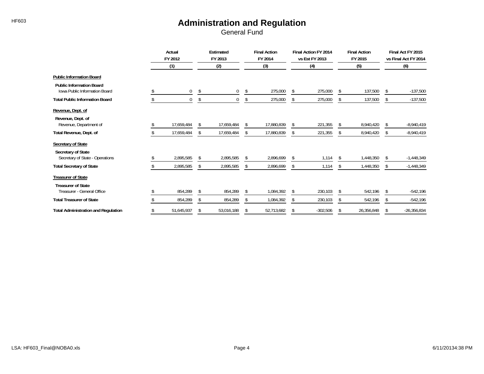|                                                                         | Actual<br>FY 2012 |             | Estimated<br>FY 2013 |            |    | <b>Final Action</b><br>FY 2014 | <b>Final Action FY 2014</b><br>vs Est FY 2013 |            |    | <b>Final Action</b><br>FY 2015 |               | Final Act FY 2015<br>vs Final Act FY 2014 |
|-------------------------------------------------------------------------|-------------------|-------------|----------------------|------------|----|--------------------------------|-----------------------------------------------|------------|----|--------------------------------|---------------|-------------------------------------------|
|                                                                         |                   | (1)         |                      | (2)        |    | (3)                            |                                               | (4)        |    | (5)                            |               | (6)                                       |
| <b>Public Information Board</b>                                         |                   |             |                      |            |    |                                |                                               |            |    |                                |               |                                           |
| <b>Public Information Board</b><br><b>Iowa Public Information Board</b> |                   | $\mathbf 0$ | \$                   | 0          | \$ | 275,000                        | \$                                            | 275,000    | \$ | 137,500                        | -S            | $-137,500$                                |
| <b>Total Public Information Board</b>                                   |                   | 0           | \$                   | 0          | \$ | 275,000                        | \$                                            | 275,000    | \$ | 137,500                        | \$            | $-137,500$                                |
| Revenue, Dept. of                                                       |                   |             |                      |            |    |                                |                                               |            |    |                                |               |                                           |
| Revenue, Dept. of<br>Revenue, Department of                             |                   | 17,659,484  | \$                   | 17,659,484 |    | 17,880,839                     | \$                                            | 221,355    | \$ | 8,940,420                      |               | $-8,940,419$                              |
| Total Revenue, Dept. of                                                 |                   | 17,659,484  | S                    | 17,659,484 |    | 17,880,839                     | Ŝ.                                            | 221,355    | S  | 8,940,420                      |               | $-8,940,419$                              |
| Secretary of State<br>Secretary of State                                |                   |             |                      |            |    |                                |                                               |            |    |                                |               |                                           |
| Secretary of State - Operations                                         |                   | 2,895,585   | \$                   | 2,895,585  |    | 2,896,699                      | -S                                            | 1,114      |    | 1,448,350                      |               | $-1,448,349$                              |
| <b>Total Secretary of State</b>                                         |                   | 2,895,585   | \$                   | 2,895,585  |    | 2,896,699                      | \$                                            | 1,114      | \$ | 1,448,350                      | S.            | $-1,448,349$                              |
| <b>Treasurer of State</b><br><b>Treasurer of State</b>                  |                   |             |                      |            |    |                                |                                               |            |    |                                |               |                                           |
| Treasurer - General Office                                              |                   | 854,289     | \$                   | 854,289    |    | 1,084,392                      | S                                             | 230,103    | \$ | 542,196                        |               | $-542,196$                                |
| <b>Total Treasurer of State</b>                                         |                   | 854,289     | \$                   | 854,289    |    | 1,084,392                      | \$                                            | 230,103    | \$ | 542,196                        |               | -542,196                                  |
| <b>Total Administration and Regulation</b>                              |                   | 51,645,937  | \$                   | 53,016,188 |    | 52,713,682                     | S                                             | $-302,506$ | \$ | 26,356,848                     | <sup>\$</sup> | $-26,356,834$                             |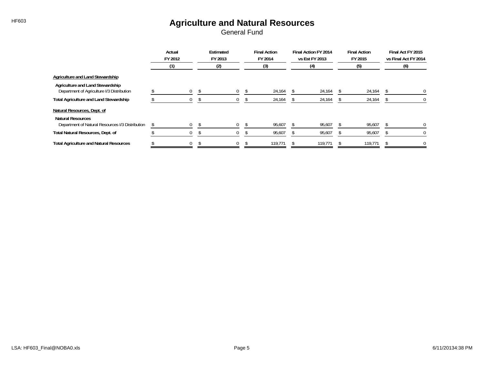# HF603 **Agriculture and Natural Resources**

|                                                                                | Actual<br>FY 2012 |  | Estimated<br>FY 2013 |  | <b>Final Action</b><br>FY 2014 |  | Final Action FY 2014<br>vs Est FY 2013 | <b>Final Action</b><br>FY 2015 | Final Act FY 2015<br>vs Final Act FY 2014 |
|--------------------------------------------------------------------------------|-------------------|--|----------------------|--|--------------------------------|--|----------------------------------------|--------------------------------|-------------------------------------------|
|                                                                                | (1)               |  | (2)                  |  | (3)                            |  | (4)                                    | (5)                            | (6)                                       |
| Agriculture and Land Stewardship                                               |                   |  |                      |  |                                |  |                                        |                                |                                           |
| Agriculture and Land Stewardship<br>Department of Agriculture I/3 Distribution | $\Omega$          |  | $\mathbf{0}$         |  | 24,164                         |  | 24,164                                 | 24,164                         | $\Omega$                                  |
| <b>Total Agriculture and Land Stewardship</b>                                  | $\overline{0}$    |  | 0                    |  | 24,164                         |  | 24,164                                 | 24,164                         | 0                                         |
| Natural Resources, Dept. of<br><b>Natural Resources</b>                        |                   |  |                      |  |                                |  |                                        |                                |                                           |
| Department of Natural Resources I/3 Distribution                               | \$<br>$\Omega$    |  | $\Omega$             |  | 95,607                         |  | 95,607                                 | 95,607                         |                                           |
| Total Natural Resources, Dept. of                                              |                   |  |                      |  | 95,607                         |  | 95,607                                 | 95,607                         |                                           |
| <b>Total Agriculture and Natural Resources</b>                                 | $\mathbf 0$       |  | 0                    |  | 119,771                        |  | 119,771                                | 119,771                        |                                           |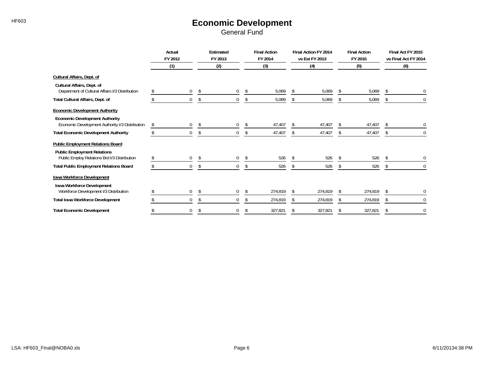# HF603 **Economic Development**

|                                                                                          | Actual<br>FY 2012 |              | Estimated<br>FY 2013 |     |    | <b>Final Action</b><br>FY 2014 |    | Final Action FY 2014<br>vs Est FY 2013 |                | <b>Final Action</b><br>FY 2015 | Final Act FY 2015<br>vs Final Act FY 2014 |
|------------------------------------------------------------------------------------------|-------------------|--------------|----------------------|-----|----|--------------------------------|----|----------------------------------------|----------------|--------------------------------|-------------------------------------------|
|                                                                                          |                   | (1)          |                      | (2) |    | (3)                            |    | (4)                                    |                | (5)                            | (6)                                       |
| Cultural Affairs, Dept. of                                                               |                   |              |                      |     |    |                                |    |                                        |                |                                |                                           |
| Cultural Affairs, Dept. of<br>Department of Cultural Affairs I/3 Distribution            |                   | $\mathbf 0$  | \$                   | 0   | \$ | 5,069                          |    | 5,069                                  |                | 5,069                          |                                           |
| Total Cultural Affairs, Dept. of                                                         |                   | $\mathbf{0}$ | \$                   | 0   | S  | 5,069                          |    | 5,069                                  |                | 5,069                          | $\mathbf 0$                               |
| <b>Economic Development Authority</b>                                                    |                   |              |                      |     |    |                                |    |                                        |                |                                |                                           |
| <b>Economic Development Authority</b><br>Economic Development Authority I/3 Distribution | \$                | $\mathbf{0}$ | -S                   | 0   | \$ | 47,407                         | .S | 47,407                                 | S              | 47,407                         | 0                                         |
| <b>Total Economic Development Authority</b>                                              |                   | 0            |                      | 0   |    | 47,407                         |    | 47,407                                 |                | 47,407                         | 0                                         |
| <b>Public Employment Relations Board</b><br><b>Public Employment Relations</b>           |                   |              |                      |     |    |                                |    |                                        |                |                                |                                           |
| Public Employ Relations Brd I/3 Distribution                                             |                   | 0            | \$                   | 0   | S  | 526                            |    | 526                                    | $\mathfrak{L}$ | 526                            |                                           |
| <b>Total Public Employment Relations Board</b>                                           |                   | $\mathbf{0}$ |                      | 0   |    | 526                            |    | 526                                    |                | 526                            | $\mathbf 0$                               |
| Iowa Workforce Development                                                               |                   |              |                      |     |    |                                |    |                                        |                |                                |                                           |
| Iowa Workforce Development<br>Workforce Development I/3 Distribution                     |                   | $\mathbf 0$  | S.                   | 0   |    | 274,819                        | .S | 274,819                                | <sup>\$</sup>  | 274,819                        | $\mathbf{0}$                              |
| <b>Total Iowa Workforce Development</b>                                                  |                   | $\mathbf{0}$ |                      | 0   |    | 274,819                        |    | 274,819                                |                | 274,819                        | $\mathbf{0}$                              |
| <b>Total Economic Development</b>                                                        |                   |              |                      | 0   |    | 327,821                        |    | 327,821                                |                | 327,821                        | $\Omega$                                  |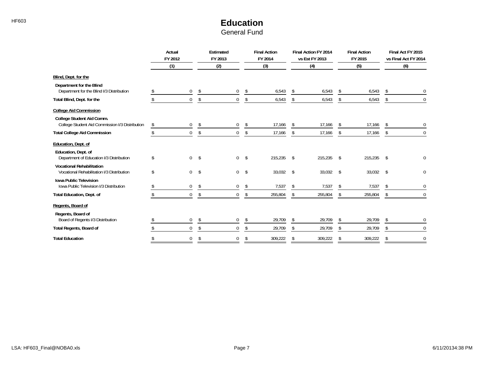### HF603 **Education** General Fund

|                                                                                | Actual<br>FY 2012 |              | <b>Estimated</b><br>FY 2013 |    | <b>Final Action</b><br>FY 2014 |               | Final Action FY 2014<br>vs Est FY 2013 |    | <b>Final Action</b><br>FY 2015 |               | Final Act FY 2015<br>vs Final Act FY 2014 |
|--------------------------------------------------------------------------------|-------------------|--------------|-----------------------------|----|--------------------------------|---------------|----------------------------------------|----|--------------------------------|---------------|-------------------------------------------|
|                                                                                | (1)               |              | (2)                         |    | (3)                            |               | (4)                                    |    | (5)                            |               | (6)                                       |
| Blind, Dept. for the                                                           |                   |              |                             |    |                                |               |                                        |    |                                |               |                                           |
| Department for the Blind<br>Department for the Blind I/3 Distribution          |                   | 0            | \$<br>0                     | S  | 6,543                          | \$            | 6,543                                  | S  | 6,543                          | \$            | 0                                         |
| Total Blind, Dept. for the                                                     |                   | $\Omega$     | \$<br>$\mathbf{0}$          | \$ | 6,543                          | \$            | 6,543                                  |    | 6,543                          |               | $\Omega$                                  |
| <b>College Aid Commission</b>                                                  |                   |              |                             |    |                                |               |                                        |    |                                |               |                                           |
| College Student Aid Comm.<br>College Student Aid Commission I/3 Distribution   | \$                | 0            | \$<br>0                     | \$ | 17,166                         | \$            | 17,166                                 | S. | 17,166                         | S             | 0                                         |
| <b>Total College Aid Commission</b>                                            | \$                | $\mathbf 0$  | \$<br>$\mathbf 0$           | \$ | 17,166                         | \$            | 17,166                                 | \$ | 17,166                         | \$            | 0                                         |
| Education, Dept. of                                                            |                   |              |                             |    |                                |               |                                        |    |                                |               |                                           |
| Education, Dept. of<br>Department of Education I/3 Distribution                | \$                | $\mathbf 0$  | \$<br>$\mathbf{0}$          | \$ | 215,235                        | $\mathsf{\$}$ | 215,235                                | \$ | 215,235                        | $\mathsf{\$}$ |                                           |
| <b>Vocational Rehabilitation</b><br>Vocational Rehabilitation I/3 Distribution | \$                | $\mathbf 0$  | \$<br>$\overline{0}$        | \$ | 33,032 \$                      |               | 33,032                                 | \$ | 33,032                         | $\mathsf{\$}$ | 0                                         |
| <b>Iowa Public Television</b><br>Iowa Public Television I/3 Distribution       |                   | 0            | \$<br>0                     | \$ | 7,537                          | \$            | 7,537                                  | S. | 7,537                          | \$            | 0                                         |
| Total Education, Dept. of                                                      |                   | $\mathbf 0$  | \$<br>0                     | \$ | 255,804                        | \$            | 255,804                                | \$ | 255,804                        | \$            | $\mathbf 0$                               |
| Regents, Board of                                                              |                   |              |                             |    |                                |               |                                        |    |                                |               |                                           |
| Regents, Board of<br>Board of Regents I/3 Distribution                         |                   | $\mathbf{0}$ | \$<br>$\mathbf{0}$          | \$ | 29,709                         | \$            | 29,709                                 | \$ | 29,709                         | \$            | 0                                         |
| Total Regents, Board of                                                        |                   | 0            | 0                           | \$ | 29,709                         | \$            | 29,709                                 | \$ | 29,709                         | \$            | 0                                         |
| <b>Total Education</b>                                                         |                   | $\Omega$     | 0                           | S  | 309,222                        | \$            | 309,222                                | \$ | 309,222                        | S             | 0                                         |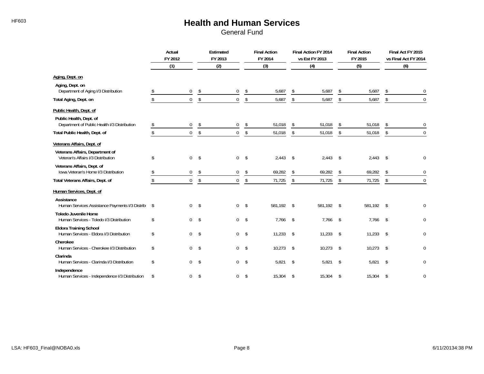# HF603 **Health and Human Services**

|                                                                           | Actual<br>FY 2012 |              | Estimated<br>FY 2013 |                | <b>Final Action</b><br>FY 2014 |             | Final Action FY 2014<br>vs Est FY 2013 | <b>Final Action</b><br>FY 2015 |                   | Final Act FY 2015<br>vs Final Act FY 2014 |                  |
|---------------------------------------------------------------------------|-------------------|--------------|----------------------|----------------|--------------------------------|-------------|----------------------------------------|--------------------------------|-------------------|-------------------------------------------|------------------|
|                                                                           |                   | (1)          |                      | (2)            |                                | (3)         |                                        | (4)                            | (5)               |                                           | (6)              |
| Aging, Dept. on                                                           |                   |              |                      |                |                                |             |                                        |                                |                   |                                           |                  |
| Aging, Dept. on<br>Department of Aging I/3 Distribution                   |                   | $\mathbf 0$  | \$                   | 0              | \$                             | 5,687       | \$                                     | 5,687                          | \$<br>5,687       | Ŝ.                                        | $\mathbf 0$      |
| Total Aging, Dept. on                                                     | \$                | $\mathbf 0$  | \$                   | 0              | \$                             | 5,687       | \$                                     | 5,687                          | \$<br>5,687       | \$                                        | $\mathbf 0$      |
| Public Health, Dept. of<br>Public Health, Dept. of                        |                   |              |                      |                |                                |             |                                        |                                |                   |                                           |                  |
| Department of Public Health I/3 Distribution                              | \$                | $\mathbf 0$  | \$                   | 0              | \$                             | 51,018      | \$                                     | 51,018                         | \$<br>51,018      | S                                         | $\mathbf 0$      |
| Total Public Health, Dept. of                                             | \$                | $\Omega$     | \$                   | 0              | \$                             | 51,018      | \$                                     | 51,018                         | \$<br>51,018      | \$                                        | $\Omega$         |
| Veterans Affairs, Dept. of                                                |                   |              |                      |                |                                |             |                                        |                                |                   |                                           |                  |
| Veterans Affairs, Department of<br>Veteran's Affairs I/3 Distribution     | \$                | $\mathbf 0$  | \$                   | $\mathbf{0}$   | -\$                            | 2,443       | $\mathsf{\$}$                          | 2,443                          | \$<br>$2,443$ \$  |                                           | $\mathbf 0$      |
| Veterans Affairs, Dept. of<br>Iowa Veteran's Home I/3 Distribution        |                   | $\mathbf{0}$ | \$                   | 0              | \$                             | 69,282      | \$                                     | 69,282                         | \$<br>69,282      |                                           | $\mathbf 0$      |
| Total Veterans Affairs, Dept. of                                          | \$                | $\Omega$     | \$                   | 0              | \$                             | 71,725      | \$                                     | 71,725                         | \$<br>71,725      | \$                                        | $\Omega$         |
| Human Services, Dept. of<br>Assistance                                    |                   |              |                      |                |                                |             |                                        |                                |                   |                                           |                  |
| Human Services Assistance Payments I/3 Distrib                            | \$                | $\Omega$     | $\mathsf{\$}$        | $\overline{0}$ | -\$                            | 581,192 \$  |                                        | 581.192                        | \$<br>581,192 \$  |                                           | $\mathbf 0$      |
| <b>Toledo Juvenile Home</b><br>Human Services - Toledo I/3 Distribution   | \$                | $\mathbf 0$  | \$                   |                | 0 <sup>5</sup>                 | $7,766$ \$  |                                        | 7,766                          | \$<br>$7,766$ \$  |                                           | $\pmb{0}$        |
| <b>Eldora Training School</b><br>Human Services - Eldora I/3 Distribution | \$                | $\Omega$     | \$                   | $\overline{0}$ | \$                             | 11,233      | $\sqrt{5}$                             | 11,233                         | \$<br>$11,233$ \$ |                                           | $\mathbf 0$      |
| Cherokee<br>Human Services - Cherokee I/3 Distribution                    | \$                | $\Omega$     | \$                   | $\overline{0}$ | -\$                            | $10,273$ \$ |                                        | 10,273                         | \$<br>$10,273$ \$ |                                           | $\mathbf 0$      |
| Clarinda<br>Human Services - Clarinda I/3 Distribution                    | \$                | $\Omega$     | \$                   |                | 0 <sup>5</sup>                 | 5,821       | $\mathsf{S}$                           | 5,821                          | \$<br>5,821       | - \$                                      | $\pmb{0}$        |
| Independence<br>Human Services - Independence I/3 Distribution            | \$                | $\mathbf{0}$ | \$                   | 0              | \$                             | 15,304      | $\mathsf{s}$                           | 15,304                         | \$<br>15,304      | -\$                                       | $\boldsymbol{0}$ |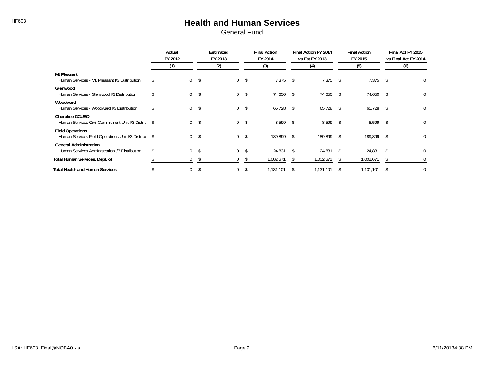# HF603 **Health and Human Services**

|                                                                                 | Actual<br>FY 2012 |              | Estimated<br>FY 2013 |                | <b>Final Action</b><br>FY 2014 |              | Final Action FY 2014<br>vs Est FY 2013 |               | <b>Final Action</b><br>FY 2015 |     | Final Act FY 2015<br>vs Final Act FY 2014 |
|---------------------------------------------------------------------------------|-------------------|--------------|----------------------|----------------|--------------------------------|--------------|----------------------------------------|---------------|--------------------------------|-----|-------------------------------------------|
|                                                                                 |                   | (1)          | (2)                  |                | (3)                            |              | (4)                                    |               | (5)                            |     | (6)                                       |
| <b>Mt Pleasant</b><br>Human Services - Mt. Pleasant I/3 Distribution            |                   | $\mathbf{0}$ | \$<br>$\overline{0}$ | -\$            | $7,375$ \$                     |              | 7,375                                  | -S            | 7,375                          | \$  | 0                                         |
| Glenwood<br>Human Services - Glenwood I/3 Distribution                          |                   | $\mathbf{0}$ | \$<br>$\overline{0}$ | \$             | 74,650                         | $\mathsf{s}$ | 74,650                                 | -S            | 74,650                         | -S  | 0                                         |
| Woodward<br>Human Services - Woodward I/3 Distribution                          |                   | $\mathbf{0}$ | \$<br>$\overline{0}$ | \$             | $65,728$ \$                    |              | 65,728                                 | s.            | 65,728                         | -\$ | 0                                         |
| Cherokee CCUSO<br>Human Services Civil Commitment Unit I/3 Distric \$           |                   | $\mathbf{0}$ | \$                   | 0 <sup>5</sup> | 8,599 \$                       |              | 8,599                                  | -\$           | 8,599                          | \$  | 0                                         |
| <b>Field Operations</b><br>Human Services Field Operations Unit I/3 Distribu \$ |                   | $\mathbf{0}$ | \$<br>$\overline{0}$ | \$             | 189,899 \$                     |              | 189,899                                | <sup>\$</sup> | 189,899                        | Ŝ.  | 0                                         |
| <b>General Administration</b><br>Human Services Administration I/3 Distribution |                   | 0            | \$<br>$\mathbf{0}$   | \$             | 24,831                         |              | 24,831                                 | S.            | 24,831                         |     | 0                                         |
| Total Human Services, Dept. of                                                  |                   | 0            | 0                    | S              | 1,002,671                      |              | 1,002,671                              |               | 1,002,671                      |     |                                           |
| <b>Total Health and Human Services</b>                                          |                   | 0            |                      |                | 1,131,101                      |              | 1,131,101                              |               | 1,131,101                      |     | 0                                         |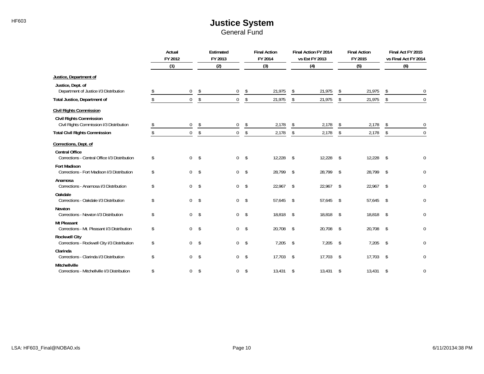# HF603 **HF603 Justice System**

| General Fund |  |
|--------------|--|
|--------------|--|

|                                                                        | Actual<br>FY 2012 |                  | Estimated<br>FY 2013 |                | <b>Final Action</b><br>FY 2014 |           | Final Action FY 2014<br>vs Est FY 2013 | <b>Final Action</b><br>FY 2015 |              | Final Act FY 2015<br>vs Final Act FY 2014 |                  |
|------------------------------------------------------------------------|-------------------|------------------|----------------------|----------------|--------------------------------|-----------|----------------------------------------|--------------------------------|--------------|-------------------------------------------|------------------|
|                                                                        |                   | (1)              |                      | (2)            |                                | (3)       |                                        | (4)                            | (5)          |                                           | (6)              |
| Justice, Department of                                                 |                   |                  |                      |                |                                |           |                                        |                                |              |                                           |                  |
| Justice, Dept. of<br>Department of Justice I/3 Distribution            |                   | $\mathbf 0$      | \$                   | $\mathbf{0}$   | \$                             | 21,975    | \$                                     | 21,975                         | \$<br>21,975 | s.                                        | 0                |
| Total Justice, Department of                                           | \$                | $\mathbf{0}$     | \$                   | $\mathbf 0$    | \$                             | 21,975    | \$                                     | 21,975                         | \$<br>21,975 | \$                                        | $\theta$         |
| <b>Civil Rights Commission</b><br><b>Civil Rights Commission</b>       |                   |                  |                      |                |                                |           |                                        |                                |              |                                           |                  |
| Civil Rights Commission I/3 Distribution                               | S.                | 0                | \$                   | 0              | \$                             | 2,178     | \$                                     | 2,178                          | \$<br>2,178  | \$                                        | $\Omega$         |
| <b>Total Civil Rights Commission</b>                                   | \$                | $\boldsymbol{0}$ | \$                   | 0              | \$                             | 2,178     | \$                                     | 2,178                          | \$<br>2,178  | \$                                        | $\boldsymbol{0}$ |
| Corrections, Dept. of                                                  |                   |                  |                      |                |                                |           |                                        |                                |              |                                           |                  |
| <b>Central Office</b><br>Corrections - Central Office I/3 Distribution | \$                | $\mathbf 0$      | \$                   | $\mathbf{0}$   | -\$                            | 12,228    | $\sqrt{5}$                             | 12,228                         | \$<br>12,228 | \$                                        | $\mathbf 0$      |
| <b>Fort Madison</b><br>Corrections - Fort Madison I/3 Distribution     | \$                | $\mathbf 0$      | \$                   | $\mathbf{0}$   | -\$                            | 28,799    | $\sqrt{3}$                             | 28,799                         | \$<br>28,799 | \$                                        | 0                |
| Anamosa<br>Corrections - Anamosa I/3 Distribution                      | \$                | $\mathbf 0$      | \$                   | $\overline{0}$ | -\$                            | 22,967 \$ |                                        | 22,967                         | \$<br>22,967 | \$                                        | 0                |
| Oakdale<br>Corrections - Oakdale I/3 Distribution                      | \$                | $\mathbf 0$      | \$                   | $\overline{0}$ | \$                             | 57,645    | $\sqrt{2}$                             | 57,645                         | \$<br>57,645 | \$                                        | 0                |
| Newton<br>Corrections - Newton I/3 Distribution                        | \$                | $\Omega$         | \$                   | $\overline{0}$ | $\mathbf{\hat{S}}$             | 18,818 \$ |                                        | 18,818                         | \$<br>18,818 | \$                                        | 0                |
| <b>Mt Pleasant</b><br>Corrections - Mt. Pleasant I/3 Distribution      | \$                | $\mathbf 0$      | \$                   | $\mathbf{0}$   | -\$                            | 20,708 \$ |                                        | 20,708                         | \$<br>20,708 | \$                                        | 0                |
| <b>Rockwell City</b><br>Corrections - Rockwell City I/3 Distribution   | \$                | $\mathbf 0$      | \$                   | $\mathbf{0}$   | \$                             | 7,205     | $\mathsf{\$}$                          | 7,205                          | \$<br>7,205  | \$                                        | 0                |
| Clarinda<br>Corrections - Clarinda I/3 Distribution                    | \$                | $\mathbf 0$      | \$                   | $\overline{0}$ | \$                             | 17,703    | $\mathsf{\$}$                          | 17,703                         | \$<br>17,703 | \$                                        | 0                |
| Mitchellville<br>Corrections - Mitchellville I/3 Distribution          | \$                | $\mathbf 0$      | \$                   | $\overline{0}$ | \$                             | 13,431    | \$                                     | 13,431                         | \$<br>13,431 | \$                                        | 0                |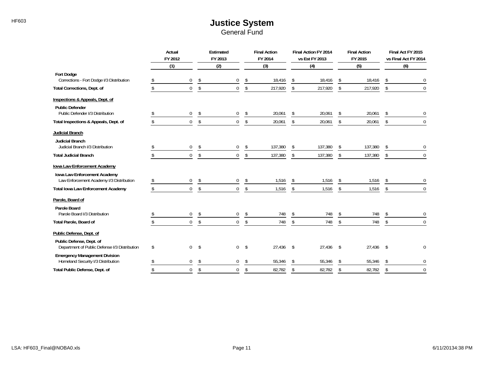### HF603 **HF603 Justice System** General Fund

|                                                                               | Actual<br>FY 2012 |                | Estimated<br>FY 2013 |                | <b>Final Action</b><br>FY 2014 |         |               | Final Action FY 2014<br>vs Est FY 2013 |    | <b>Final Action</b><br>FY 2015 |    | Final Act FY 2015<br>vs Final Act FY 2014 |
|-------------------------------------------------------------------------------|-------------------|----------------|----------------------|----------------|--------------------------------|---------|---------------|----------------------------------------|----|--------------------------------|----|-------------------------------------------|
|                                                                               | (1)               |                |                      | (2)            |                                | (3)     |               | (4)                                    |    | (5)                            |    | (6)                                       |
| <b>Fort Dodge</b><br>Corrections - Fort Dodge I/3 Distribution                |                   | 0              | \$                   | $\Omega$       |                                | 18,416  | \$            | 18,416                                 | S  | 18,416                         |    |                                           |
| Total Corrections, Dept. of                                                   |                   | $\Omega$       | \$                   | $\Omega$       | \$                             | 217,920 | \$            | 217,920                                | \$ | 217,920                        | Ŝ. | $\Omega$                                  |
| Inspections & Appeals, Dept. of                                               |                   |                |                      |                |                                |         |               |                                        |    |                                |    |                                           |
| <b>Public Defender</b><br>Public Defender I/3 Distribution                    |                   | 0              | \$                   | 0              |                                | 20,061  | \$            | 20,061                                 | \$ | 20,061                         |    | 0                                         |
| Total Inspections & Appeals, Dept. of                                         |                   | $\Omega$       | \$                   | $\overline{0}$ | \$                             | 20,061  | \$            | 20,061                                 | \$ | 20,061                         | \$ | $\Omega$                                  |
| Judicial Branch<br><b>Judicial Branch</b><br>Judicial Branch I/3 Distribution |                   | 0              | \$                   | 0              | \$                             | 137,380 | \$            | 137,380                                | \$ | 137,380                        | S. | 0                                         |
| <b>Total Judicial Branch</b>                                                  |                   | $\Omega$       | \$                   | $\overline{0}$ | \$                             | 137,380 | \$            | 137,380                                | \$ | 137,380                        | \$ | $\overline{0}$                            |
| Iowa Law Enforcement Academy<br>Iowa Law Enforcement Academy                  |                   |                |                      |                |                                |         |               |                                        |    |                                |    |                                           |
| Law Enforcement Academy I/3 Distribution                                      |                   | 0              | \$                   | $\mathbf 0$    | \$                             | 1,516   | \$            | 1,516                                  |    | 1,516                          |    | $\mathbf 0$                               |
| <b>Total Iowa Law Enforcement Academy</b>                                     |                   | $\Omega$       | $\mathsf{\$}$        | $\overline{0}$ | \$                             | 1,516   | \$            | 1,516                                  | \$ | 1,516                          | \$ | $\Omega$                                  |
| Parole, Board of                                                              |                   |                |                      |                |                                |         |               |                                        |    |                                |    |                                           |
| Parole Board<br>Parole Board I/3 Distribution                                 |                   | $\mathbf 0$    | \$                   | 0              | \$                             | 748     | \$            | 748                                    | \$ | 748                            | -S | $\mathbf 0$                               |
| Total Parole, Board of                                                        |                   | $\overline{0}$ | \$                   | $\mathbf 0$    | \$                             | 748     | \$            | 748                                    | \$ | 748                            | \$ | $\mathbf 0$                               |
| Public Defense, Dept. of<br>Public Defense, Dept. of                          |                   |                |                      |                |                                |         |               |                                        |    |                                |    |                                           |
| Department of Public Defense I/3 Distribution                                 | \$                | $\Omega$       | -\$                  | $\mathbf 0$    | \$                             | 27,436  | $^{\circ}$    | 27,436                                 | \$ | $27,436$ \$                    |    | $\Omega$                                  |
| <b>Emergency Management Division</b><br>Homeland Security I/3 Distribution    |                   | $\Omega$       | \$                   | $\mathbf 0$    | \$                             | 55,346  | \$            | 55,346                                 |    | 55,346                         |    | $\pmb{0}$                                 |
| Total Public Defense, Dept. of                                                |                   | $\overline{0}$ | $\mathsf{\$}$        | $\overline{0}$ | \$                             | 82,782  | $\mathsf{\$}$ | 82,782                                 | \$ | 82,782                         | \$ | $\mathbf 0$                               |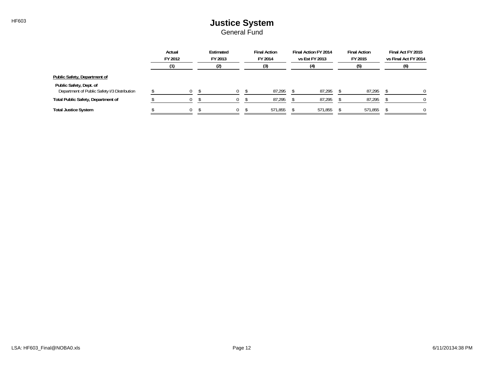# HF603 **HF603 Justice System**

|                                                                         |  | Actual<br>FY 2012 |  |     |  | Estimated<br>FY 2013 |         | <b>Final Action</b><br>FY 2014 | Final Action FY 2014<br>vs Est FY 2013 | <b>Final Action</b><br>FY 2015 | Final Act FY 2015<br>vs Final Act FY 2014 |
|-------------------------------------------------------------------------|--|-------------------|--|-----|--|----------------------|---------|--------------------------------|----------------------------------------|--------------------------------|-------------------------------------------|
|                                                                         |  |                   |  | (2) |  | (3)                  | (4)     | (5)                            | (6)                                    |                                |                                           |
| Public Safety, Department of                                            |  |                   |  |     |  |                      |         |                                |                                        |                                |                                           |
| Public Safety, Dept. of<br>Department of Public Safety I/3 Distribution |  | $\Omega$          |  |     |  | 87,295               | 87,295  | 87,295                         | $\Omega$                               |                                |                                           |
|                                                                         |  |                   |  |     |  |                      |         |                                |                                        |                                |                                           |
| <b>Total Public Safety, Department of</b>                               |  | $\Omega$          |  |     |  | 87,295               | 87,295  | 87,295                         | 0                                      |                                |                                           |
| <b>Total Justice System</b>                                             |  | $\Omega$          |  |     |  | 571.855              | 571.855 | 571,855                        | $\Omega$                               |                                |                                           |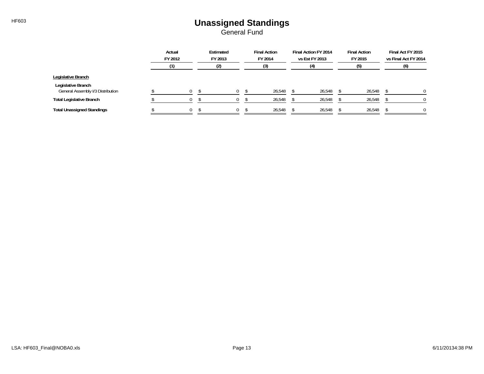### HF603 **Unassigned Standings** General Fund

|                                                         |  | Actual<br>FY 2012 |  |     |  | Estimated<br>FY 2013 |        | <b>Final Action</b><br>FY 2014 | Final Action FY 2014<br>vs Est FY 2013 | <b>Final Action</b><br>FY 2015 | Final Act FY 2015<br>vs Final Act FY 2014 |
|---------------------------------------------------------|--|-------------------|--|-----|--|----------------------|--------|--------------------------------|----------------------------------------|--------------------------------|-------------------------------------------|
|                                                         |  |                   |  | (2) |  | (3)                  | (4)    | (5)                            | (6)                                    |                                |                                           |
| Legislative Branch                                      |  |                   |  |     |  |                      |        |                                |                                        |                                |                                           |
| Legislative Branch<br>General Assembly I/3 Distribution |  | 0                 |  | 0   |  | 26,548               | 26,548 | 26,548                         |                                        |                                |                                           |
| <b>Total Legislative Branch</b>                         |  |                   |  |     |  | 26,548               | 26,548 | 26,548                         |                                        |                                |                                           |
| <b>Total Unassigned Standings</b>                       |  | 0                 |  | 0   |  | 26,548               | 26,548 | 26,548                         |                                        |                                |                                           |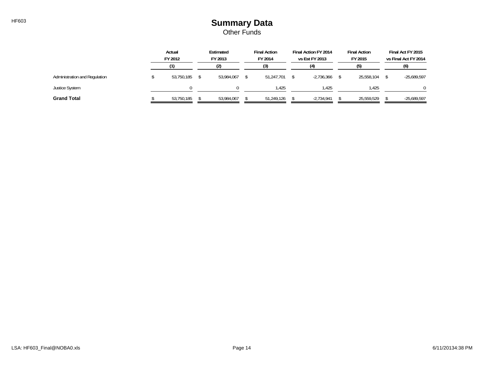## HF603 **Summary Data** Other Funds

|                               | Actual<br>FY 2012 |  | Estimated<br>FY 2013 |    | <b>Final Action</b><br>FY 2014 |     | Final Action FY 2014<br>vs Est FY 2013 |  | <b>Final Action</b><br>FY 2015 |     | Final Act FY 2015<br>vs Final Act FY 2014 |
|-------------------------------|-------------------|--|----------------------|----|--------------------------------|-----|----------------------------------------|--|--------------------------------|-----|-------------------------------------------|
|                               |                   |  | /ንነ                  | (3 |                                | (4) |                                        |  |                                | (6) |                                           |
| Administration and Regulation | 53,750,185        |  | 53.984.067           |    | 51.247.701                     |     | $-2.736.366$                           |  | 25,558,104                     |     | $-25,689,597$                             |
| <b>Justice System</b>         |                   |  |                      |    | .425                           |     | l.425                                  |  | 1.425                          |     |                                           |
| <b>Grand Total</b>            | 53,750,185        |  | 53,984,067           |    | 51.249.126                     |     | $-2,734,941$                           |  | 25,559,529                     |     | $-25,689,597$                             |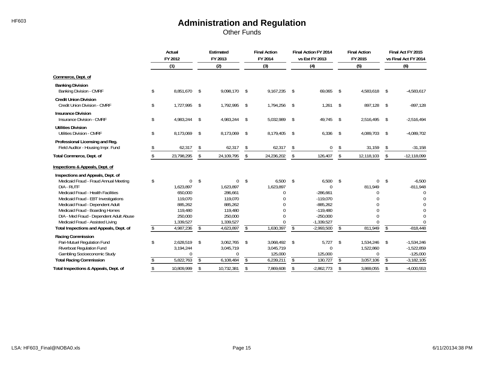Other Funds

|                                                                                                                                                                                                                                                                                                                             |    | Actual<br>FY 2012<br>(1)                                                                  |                                 | Estimated<br>FY 2013<br>(2)                                                                  |           | <b>Final Action</b><br>FY 2014<br>(3)             |               | Final Action FY 2014<br>vs Est FY 2013                                                                  |                                | <b>Final Action</b><br>FY 2015                  |           | Final Act FY 2015<br>vs Final Act FY 2014                       |
|-----------------------------------------------------------------------------------------------------------------------------------------------------------------------------------------------------------------------------------------------------------------------------------------------------------------------------|----|-------------------------------------------------------------------------------------------|---------------------------------|----------------------------------------------------------------------------------------------|-----------|---------------------------------------------------|---------------|---------------------------------------------------------------------------------------------------------|--------------------------------|-------------------------------------------------|-----------|-----------------------------------------------------------------|
|                                                                                                                                                                                                                                                                                                                             |    |                                                                                           |                                 |                                                                                              |           |                                                   |               | (4)                                                                                                     |                                | (5)                                             |           | (6)                                                             |
| Commerce, Dept. of                                                                                                                                                                                                                                                                                                          |    |                                                                                           |                                 |                                                                                              |           |                                                   |               |                                                                                                         |                                |                                                 |           |                                                                 |
| <b>Banking Division</b><br><b>Banking Division - CMRF</b>                                                                                                                                                                                                                                                                   | \$ | 8,851,670                                                                                 | \$                              | 9,098,170                                                                                    | -\$       | 9,167,235                                         | $^{\circ}$    | 69,065                                                                                                  | \$                             | 4,583,618                                       | - \$      | $-4,583,617$                                                    |
| <b>Credit Union Division</b><br>Credit Union Division - CMRF                                                                                                                                                                                                                                                                | \$ | 1,727,995                                                                                 | -\$                             | 1,792,995                                                                                    | -\$       | 1,794,256                                         | $\mathsf{\$}$ | 1,261                                                                                                   | \$                             | 897,128                                         | \$        | $-897,128$                                                      |
| <b>Insurance Division</b><br>Insurance Division - CMRF                                                                                                                                                                                                                                                                      | \$ | 4,983,244                                                                                 | \$                              | 4,983,244                                                                                    | - \$      | 5,032,989 \$                                      |               | 49,745                                                                                                  | \$                             | 2,516,495                                       | - \$      | $-2,516,494$                                                    |
| <b>Utilities Division</b><br><b>Utilities Division - CMRF</b>                                                                                                                                                                                                                                                               | \$ | 8,173,069                                                                                 | \$                              | 8,173,069                                                                                    | \$        | 8,179,405                                         | $^{\circ}$    | 6,336                                                                                                   | \$                             | 4,089,703                                       | - \$      | $-4,089,702$                                                    |
| Professional Licensing and Reg.<br>Field Auditor - Housing Impr. Fund                                                                                                                                                                                                                                                       |    | 62,317                                                                                    | \$                              | 62,317                                                                                       | \$        | 62,317                                            | \$            | $\mathbf 0$                                                                                             | \$                             | 31,159                                          | S.        | $-31,158$                                                       |
| Total Commerce, Dept. of                                                                                                                                                                                                                                                                                                    |    | 23,798,295                                                                                | \$                              | 24,109,795                                                                                   | \$        | 24,236,202                                        | \$            | 126,407                                                                                                 | \$                             | 12,118,103                                      | \$        | $-12,118,099$                                                   |
| Inspections & Appeals, Dept. of                                                                                                                                                                                                                                                                                             |    |                                                                                           |                                 |                                                                                              |           |                                                   |               |                                                                                                         |                                |                                                 |           |                                                                 |
| Inspections and Appeals, Dept. of<br>Medicaid Fraud - Fraud Annual Meeting<br>DIA - RUTF<br>Medicaid Fraud - Health Facilities<br>Medicaid Fraud - EBT Investigations<br>Medicaid Fraud - Dependent Adult<br>Medicaid Fraud - Boarding Homes<br>DIA - Med Fraud - Dependent Adult Abuse<br>Medicaid Fraud - Assisted Living | \$ | $\Omega$<br>1.623.897<br>650,000<br>119,070<br>885,262<br>119,480<br>250,000<br>1,339,527 | \$                              | $\mathbf 0$<br>1.623.897<br>286,661<br>119,070<br>885,262<br>119,480<br>250,000<br>1,339,527 | \$        | 6,500<br>1,623,897<br>$\Omega$<br>U               | \$            | 6,500<br>$\Omega$<br>$-286,661$<br>$-119,070$<br>$-885,262$<br>$-119,480$<br>$-250,000$<br>$-1,339,527$ | \$                             | $\Omega$<br>811,949<br>U<br>$\Omega$            | \$        | $-6,500$<br>$-811,948$<br>$\mathbf 0$<br>$\bigcap$<br>$\bigcap$ |
| Total Inspections and Appeals, Dept. of                                                                                                                                                                                                                                                                                     | S  | 4,987,236                                                                                 | \$                              | 4,623,897                                                                                    | \$        | 1,630,397                                         | s.            | $-2,993,500$                                                                                            | \$                             | 811,949                                         | \$        | $-818,448$                                                      |
| Racing Commission<br>Pari-Mutuel Regulation Fund<br>Riverboat Regulation Fund<br>Gambling Socioeconomic Study<br><b>Total Racing Commission</b>                                                                                                                                                                             | \$ | 2,628,519<br>3,194,244<br>$\Omega$<br>5,822,763                                           | -\$<br>$\overline{\mathcal{E}}$ | 3,062,765<br>3,045,719<br>$\Omega$<br>6,108,484                                              | -\$<br>\$ | 3,068,492 \$<br>3,045,719<br>125,000<br>6,239,211 | S             | 5,727<br>$\theta$<br>125,000<br>130,727                                                                 | \$<br>$\overline{\mathcal{S}}$ | 1,534,246<br>1,522,860<br>$\Omega$<br>3,057,106 | - \$<br>Ŝ | $-1,534,246$<br>$-1,522,859$<br>$-125,000$<br>$-3,182,105$      |
| Total Inspections & Appeals, Dept. of                                                                                                                                                                                                                                                                                       |    | 10,809,999                                                                                | \$                              | 10,732,381                                                                                   | \$        | 7,869,608                                         | \$            | $-2,862,773$                                                                                            | \$                             | 3,869,055                                       | \$        | $-4,000,553$                                                    |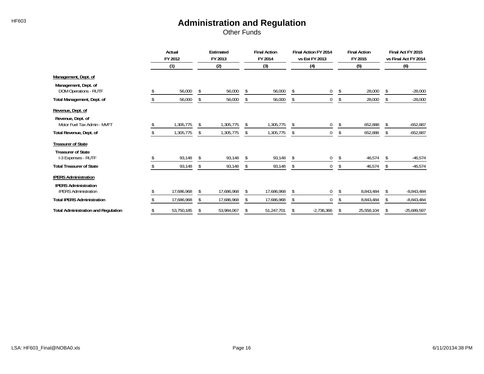Other Funds

|                                                            | Actual<br>FY 2012 |            | Estimated<br>FY 2013 |            | <b>Final Action</b><br>FY 2014 |            | Final Action FY 2014<br>vs Est FY 2013 |              |    | <b>Final Action</b><br>FY 2015 |    | Final Act FY 2015<br>vs Final Act FY 2014 |
|------------------------------------------------------------|-------------------|------------|----------------------|------------|--------------------------------|------------|----------------------------------------|--------------|----|--------------------------------|----|-------------------------------------------|
|                                                            |                   | (1)        |                      | (2)        |                                | (3)        |                                        | (4)          |    | (5)                            |    | (6)                                       |
| Management, Dept. of                                       |                   |            |                      |            |                                |            |                                        |              |    |                                |    |                                           |
| Management, Dept. of<br>DOM Operations - RUTF              |                   | 56,000     | $\mathbf{\hat{S}}$   | 56,000     | \$                             | 56,000     | \$                                     | $\mathbf 0$  | s. | 28,000                         | S. | $-28,000$                                 |
| Total Management, Dept. of                                 |                   | 56,000     | Ŝ.                   | 56,000     | \$                             | 56,000     | \$                                     | 0            | \$ | 28,000                         | \$ | $-28,000$                                 |
| Revenue, Dept. of                                          |                   |            |                      |            |                                |            |                                        |              |    |                                |    |                                           |
| Revenue, Dept. of<br>Motor Fuel Tax Admin - MVFT           |                   | 1,305,775  | Ŝ.                   | 1,305,775  | \$                             | 1,305,775  | \$                                     | 0            | \$ | 652,888                        | \$ | $-652,887$                                |
| Total Revenue, Dept. of                                    |                   | 1,305,775  | <sup>\$</sup>        | 1,305,775  | S.                             | 1,305,775  | \$                                     | $\Omega$     | S. | 652,888                        | -S | $-652,887$                                |
| <b>Treasurer of State</b><br><b>Treasurer of State</b>     |                   |            |                      |            |                                |            |                                        |              |    |                                |    |                                           |
| I-3 Expenses - RUTF                                        |                   | 93,148     |                      | 93,148     | \$                             | 93,148     | \$                                     | $\mathbf 0$  | S. | 46,574                         | S. | $-46,574$                                 |
| <b>Total Treasurer of State</b>                            |                   | 93,148     | Ŝ.                   | 93,148     | \$                             | 93,148     | \$                                     | $\mathbf 0$  | S  | 46,574                         | -S | $-46,574$                                 |
| <b>IPERS Administration</b><br><b>IPERS Administration</b> |                   |            |                      |            |                                |            |                                        |              |    |                                |    |                                           |
| <b>IPERS Administration</b>                                |                   | 17,686,968 | -S                   | 17,686,968 |                                | 17,686,968 | \$                                     | $\mathbf 0$  |    | 8,843,484                      |    | $-8,843,484$                              |
| <b>Total IPERS Administration</b>                          |                   | 17,686,968 |                      | 17,686,968 |                                | 17,686,968 | \$                                     | $\Omega$     |    | 8,843,484                      |    | $-8,843,484$                              |
| <b>Total Administration and Regulation</b>                 |                   | 53,750,185 | S                    | 53,984,067 | S                              | 51,247,701 | \$                                     | $-2,736,366$ | \$ | 25,558,104                     | s. | $-25,689,597$                             |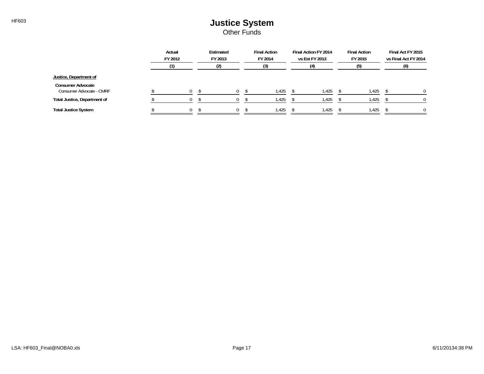### HF603 **HF603 Justice System** Other Funds

|                                                      | Actual<br>FY 2012 | Estimated<br>FY 2013 | <b>Final Action</b><br>FY 2014 | Final Action FY 2014<br>vs Est FY 2013 | <b>Final Action</b><br>FY 2015 | Final Act FY 2015<br>vs Final Act FY 2014 |
|------------------------------------------------------|-------------------|----------------------|--------------------------------|----------------------------------------|--------------------------------|-------------------------------------------|
|                                                      |                   | (2)                  | (3)                            |                                        | (5)                            | (6)                                       |
| Justice, Department of                               |                   |                      |                                |                                        |                                |                                           |
| <b>Consumer Advocate</b><br>Consumer Advocate - CMRF |                   |                      | 1,425                          | 1.425                                  | 1,425                          |                                           |
| Total Justice, Department of                         | ∩                 |                      | 1,425                          | 1,425                                  | 1,425                          |                                           |
| <b>Total Justice System</b>                          | 0                 |                      | 1,425                          | 1,425                                  | 1,425                          | 0                                         |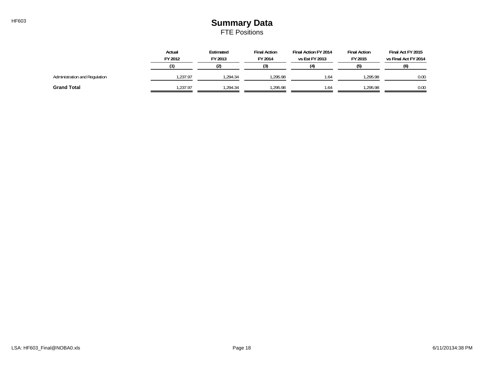## HF603 **Summary Data** FTE Positions

|                               | Actual<br>FY 2012 | Estimated<br>FY 2013 | <b>Final Action</b><br>FY 2014 | Final Action FY 2014<br>vs Est FY 2013 | <b>Final Action</b><br>FY 2015 | Final Act FY 2015<br>vs Final Act FY 2014 |
|-------------------------------|-------------------|----------------------|--------------------------------|----------------------------------------|--------------------------------|-------------------------------------------|
|                               |                   |                      | (3)                            |                                        |                                | (6)                                       |
| Administration and Regulation | .237.97           | .294.34              | .295.98                        | .64                                    | .295.98                        | 0.00                                      |
| <b>Grand Total</b>            | .237.97           | .294.34              | ,295.98                        | ، 64                                   | .295.98                        | 0.00                                      |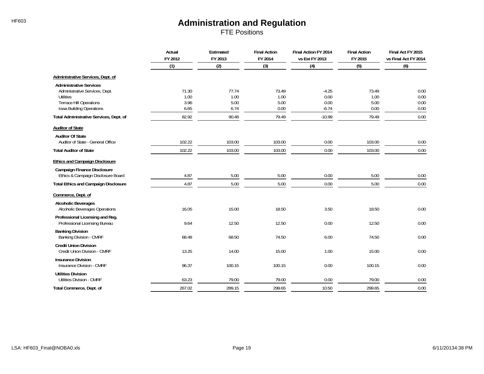FTE Positions

|                                                                                                                        | Actual<br>FY 2012     | Estimated<br><b>Final Action</b><br>FY 2013<br>FY 2014<br>vs Est FY 2013 |                       | Final Action FY 2014    | <b>Final Action</b><br>FY 2015 | Final Act FY 2015<br>vs Final Act FY 2014 |
|------------------------------------------------------------------------------------------------------------------------|-----------------------|--------------------------------------------------------------------------|-----------------------|-------------------------|--------------------------------|-------------------------------------------|
|                                                                                                                        | (1)                   | (2)                                                                      | (3)                   | (4)                     | (5)                            | (6)                                       |
| Administrative Services, Dept. of                                                                                      |                       |                                                                          |                       |                         |                                |                                           |
| <b>Administrative Services</b><br>Administrative Services, Dept.<br><b>Utilities</b><br><b>Terrace Hill Operations</b> | 71.30<br>1.00<br>3.96 | 77.74<br>1.00<br>5.00                                                    | 73.49<br>1.00<br>5.00 | $-4.25$<br>0.00<br>0.00 | 73.49<br>1.00<br>5.00          | 0.00<br>0.00<br>0.00                      |
| Iowa Building Operations<br>Total Administrative Services, Dept. of                                                    | 6.65<br>82.92         | 6.74<br>90.48                                                            | 0.00<br>79.49         | $-6.74$<br>$-10.99$     | 0.00<br>79.49                  | 0.00<br>0.00                              |
|                                                                                                                        |                       |                                                                          |                       |                         |                                |                                           |
| <b>Auditor of State</b><br><b>Auditor Of State</b>                                                                     |                       |                                                                          |                       |                         |                                |                                           |
| Auditor of State - General Office                                                                                      | 102.22                | 103.00                                                                   | 103.00                | 0.00                    | 103.00                         | 0.00                                      |
| <b>Total Auditor of State</b>                                                                                          | 102.22                | 103.00                                                                   | 103.00                | 0.00                    | 103.00                         | 0.00                                      |
| <b>Ethics and Campaign Disclosure</b>                                                                                  |                       |                                                                          |                       |                         |                                |                                           |
| <b>Campaign Finance Disclosure</b><br>Ethics & Campaign Disclosure Board                                               | 4.87                  | 5.00                                                                     | 5.00                  | 0.00                    | 5.00                           | 0.00                                      |
| <b>Total Ethics and Campaign Disclosure</b>                                                                            | 4.87                  | 5.00                                                                     | 5.00                  | 0.00                    | 5.00                           | 0.00                                      |
| Commerce, Dept. of                                                                                                     |                       |                                                                          |                       |                         |                                |                                           |
| <b>Alcoholic Beverages</b><br>Alcoholic Beverages Operations                                                           | 16.05                 | 15.00                                                                    | 18.50                 | 3.50                    | 18.50                          | 0.00                                      |
| Professional Licensing and Reg.<br>Professional Licensing Bureau                                                       | 9.64                  | 12.50                                                                    | 12.50                 | 0.00                    | 12.50                          | 0.00                                      |
| <b>Banking Division</b><br>Banking Division - CMRF                                                                     | 68.48                 | 68.50                                                                    | 74.50                 | 6.00                    | 74.50                          | 0.00                                      |
| <b>Credit Union Division</b><br>Credit Union Division - CMRF                                                           | 13.25                 | 14.00                                                                    | 15.00                 | 1.00                    | 15.00                          | 0.00                                      |
| <b>Insurance Division</b><br><b>Insurance Division - CMRF</b>                                                          | 96.37                 | 100.15                                                                   | 100.15                | 0.00                    | 100.15                         | 0.00                                      |
| <b>Utilities Division</b><br><b>Utilities Division - CMRF</b>                                                          | 63.23                 | 79.00                                                                    | 79.00                 | 0.00                    | 79.00                          | 0.00                                      |
| Total Commerce, Dept. of                                                                                               | 267.02                | 289.15                                                                   | 299.65                | 10.50                   | 299.65                         | 0.00                                      |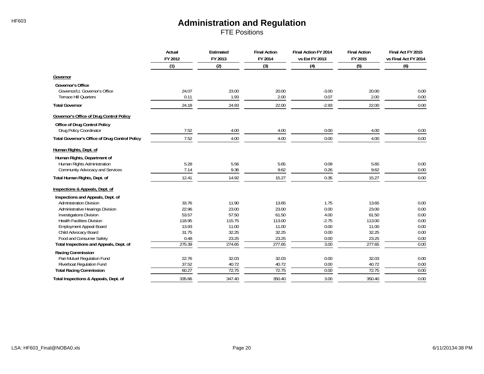FTE Positions

|                                                       | Actual<br>FY 2012 | Estimated<br>FY 2013 | <b>Final Action</b><br>FY 2014 | Final Action FY 2014<br>vs Est FY 2013 | <b>Final Action</b><br>FY 2015 | Final Act FY 2015<br>vs Final Act FY 2014 |
|-------------------------------------------------------|-------------------|----------------------|--------------------------------|----------------------------------------|--------------------------------|-------------------------------------------|
|                                                       | (1)               | (2)                  | (3)                            | (4)                                    | (5)                            | (6)                                       |
| Governor                                              |                   |                      |                                |                                        |                                |                                           |
| <b>Governor's Office</b>                              |                   |                      |                                |                                        |                                |                                           |
| Governor/Lt. Governor's Office                        | 24.07             | 23.00                | 20.00                          | $-3.00$                                | 20.00                          | 0.00                                      |
| <b>Terrace Hill Quarters</b>                          | 0.11              | 1.93                 | 2.00                           | 0.07                                   | 2.00                           | 0.00                                      |
| <b>Total Governor</b>                                 | 24.18             | 24.93                | 22.00                          | $-2.93$                                | 22.00                          | 0.00                                      |
| Governor's Office of Drug Control Policy              |                   |                      |                                |                                        |                                |                                           |
| Office of Drug Control Policy                         |                   |                      |                                |                                        |                                |                                           |
| Drug Policy Coordinator                               | 7.52              | 4.00                 | 4.00                           | 0.00                                   | 4.00                           | 0.00                                      |
| <b>Total Governor's Office of Drug Control Policy</b> | 7.52              | 4.00                 | 4.00                           | 0.00                                   | 4.00                           | 0.00                                      |
| Human Rights, Dept. of                                |                   |                      |                                |                                        |                                |                                           |
| Human Rights, Department of                           |                   |                      |                                |                                        |                                |                                           |
| Human Rights Administration                           | 5.28              | 5.56                 | 5.65                           | 0.09                                   | 5.65                           | 0.00                                      |
| Community Advocacy and Services                       | 7.14              | 9.36                 | 9.62                           | 0.26                                   | 9.62                           | 0.00                                      |
| Total Human Rights, Dept. of                          | 12.41             | 14.92                | 15.27                          | 0.35                                   | 15.27                          | 0.00                                      |
| Inspections & Appeals, Dept. of                       |                   |                      |                                |                                        |                                |                                           |
| Inspections and Appeals, Dept. of                     |                   |                      |                                |                                        |                                |                                           |
| <b>Administration Division</b>                        | 33.76             | 11.90                | 13.65                          | 1.75                                   | 13.65                          | 0.00                                      |
| Administrative Hearings Division                      | 22.96             | 23.00                | 23.00                          | 0.00                                   | 23.00                          | 0.00                                      |
| <b>Investigations Division</b>                        | 53.57             | 57.50                | 61.50                          | 4.00                                   | 61.50                          | 0.00                                      |
| <b>Health Facilities Division</b>                     | 118.95            | 115.75               | 113.00                         | $-2.75$                                | 113.00                         | 0.00                                      |
| <b>Employment Appeal Board</b>                        | 13.93             | 11.00                | 11.00                          | 0.00                                   | 11.00                          | 0.00                                      |
| Child Advocacy Board                                  | 31.75             | 32.25                | 32.25                          | 0.00                                   | 32.25                          | 0.00                                      |
| Food and Consumer Safety                              | 0.48              | 23.25                | 23.25                          | 0.00                                   | 23.25                          | 0.00                                      |
| Total Inspections and Appeals, Dept. of               | 275.39            | 274.65               | 277.65                         | 3.00                                   | 277.65                         | 0.00                                      |
| Racing Commission                                     |                   |                      |                                |                                        |                                |                                           |
| Pari-Mutuel Regulation Fund                           | 22.76             | 32.03                | 32.03                          | 0.00                                   | 32.03                          | 0.00                                      |
| Riverboat Regulation Fund                             | 37.52             | 40.72                | 40.72                          | 0.00                                   | 40.72                          | 0.00                                      |
| <b>Total Racing Commission</b>                        | 60.27             | 72.75                | 72.75                          | 0.00                                   | 72.75                          | 0.00                                      |
| Total Inspections & Appeals, Dept. of                 | 335.66            | 347.40               | 350.40                         | 3.00                                   | 350.40                         | 0.00                                      |